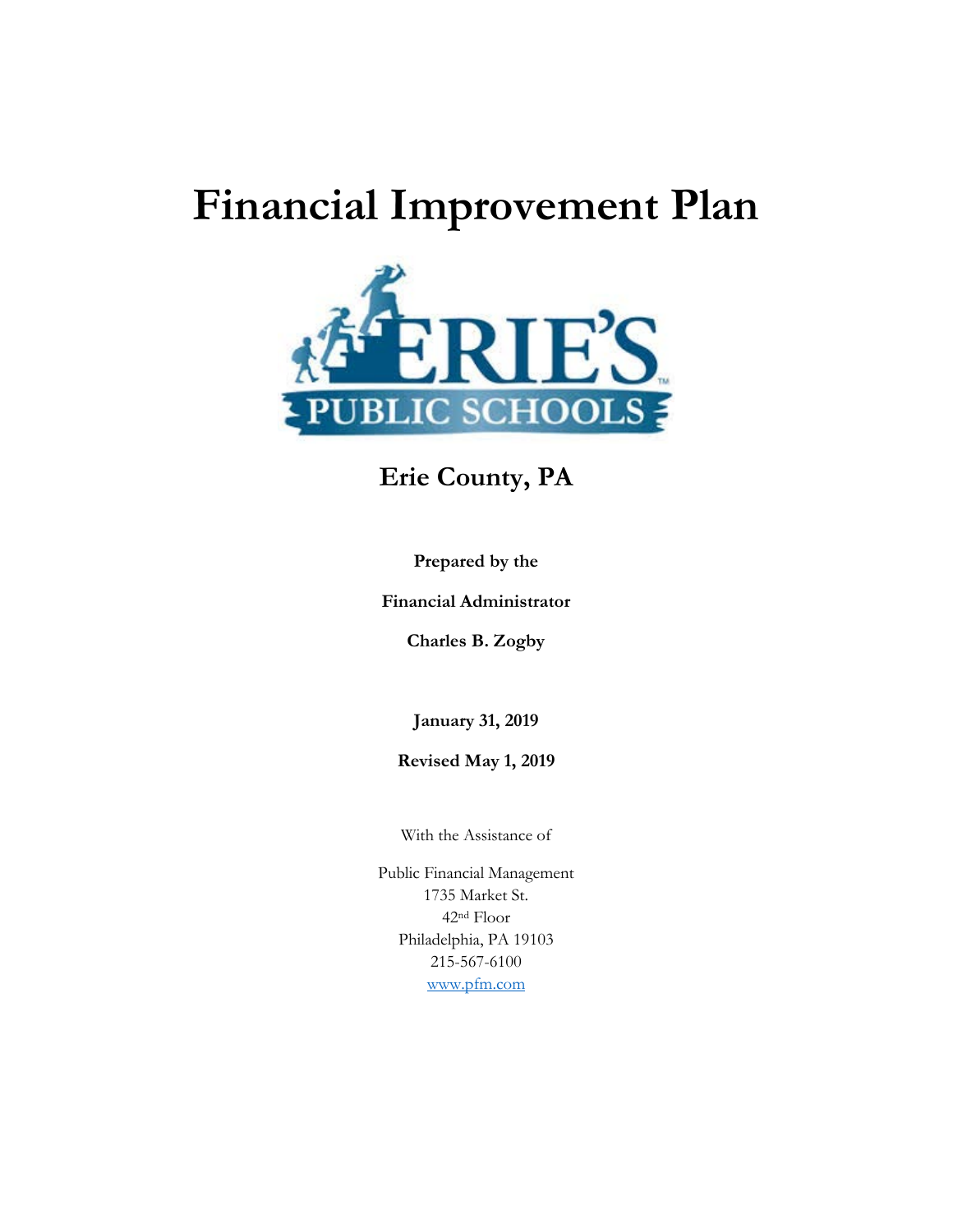# **Financial Improvement Plan**



# **Erie County, PA**

**Prepared by the** 

**Financial Administrator**

**Charles B. Zogby**

**January 31, 2019**

**Revised May 1, 2019**

With the Assistance of

Public Financial Management 1735 Market St. 42nd Floor Philadelphia, PA 19103 215-567-6100 [www.pfm.com](http://www.pfm.com/)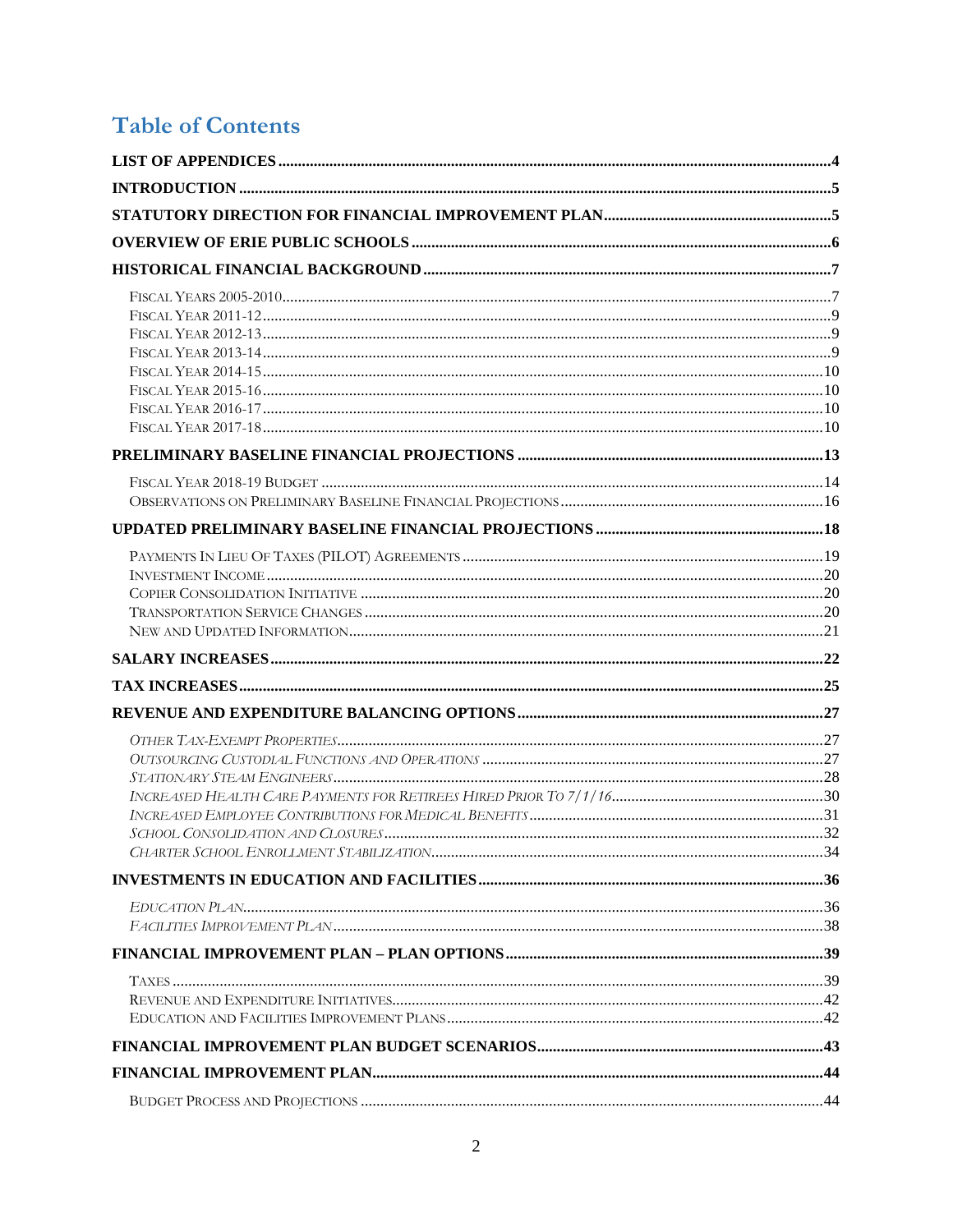# **Table of Contents**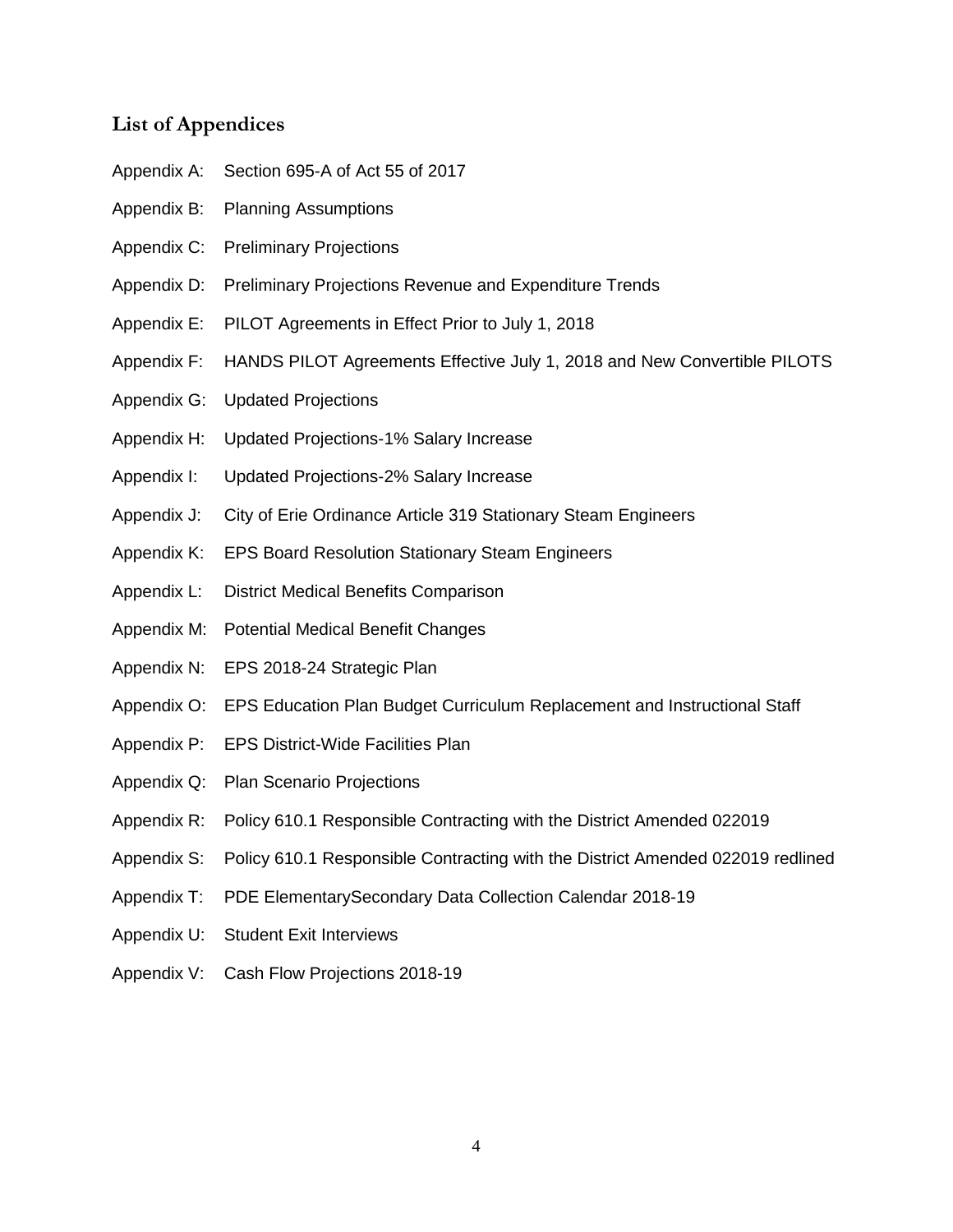# <span id="page-3-0"></span>**List of Appendices**

- Appendix A: Section 695-A of Act 55 of 2017
- Appendix B: Planning Assumptions
- Appendix C: Preliminary Projections
- Appendix D: Preliminary Projections Revenue and Expenditure Trends
- Appendix E: PILOT Agreements in Effect Prior to July 1, 2018
- Appendix F: HANDS PILOT Agreements Effective July 1, 2018 and New Convertible PILOTS
- Appendix G: Updated Projections
- Appendix H: Updated Projections-1% Salary Increase
- Appendix I: Updated Projections-2% Salary Increase
- Appendix J: City of Erie Ordinance Article 319 Stationary Steam Engineers
- Appendix K: EPS Board Resolution Stationary Steam Engineers
- Appendix L: District Medical Benefits Comparison
- Appendix M: Potential Medical Benefit Changes
- Appendix N: EPS 2018-24 Strategic Plan
- Appendix O: EPS Education Plan Budget Curriculum Replacement and Instructional Staff
- Appendix P: EPS District-Wide Facilities Plan
- Appendix Q: Plan Scenario Projections
- Appendix R: Policy 610.1 Responsible Contracting with the District Amended 022019
- Appendix S: Policy 610.1 Responsible Contracting with the District Amended 022019 redlined
- Appendix T: PDE ElementarySecondary Data Collection Calendar 2018-19
- Appendix U: Student Exit Interviews
- Appendix V: Cash Flow Projections 2018-19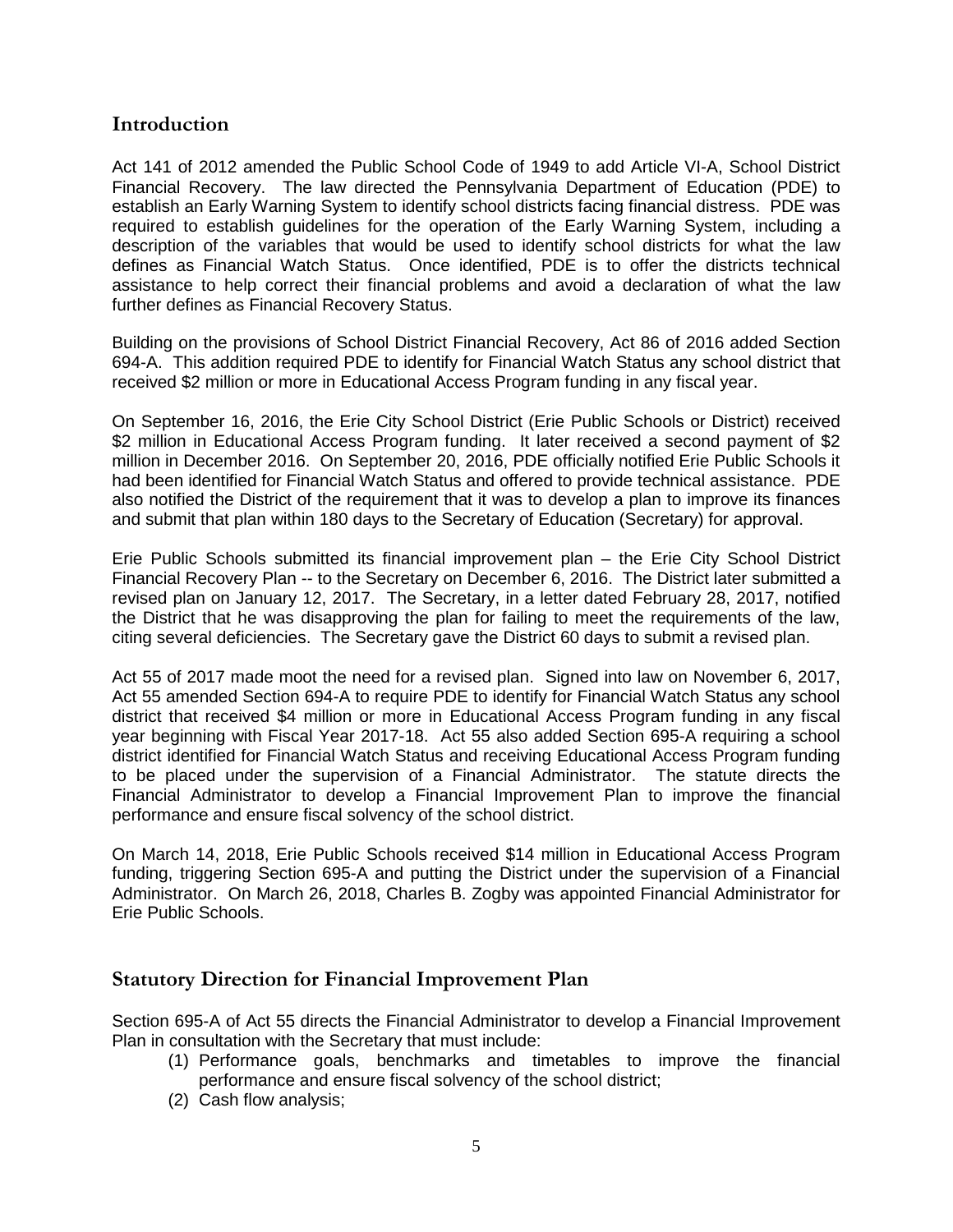# <span id="page-4-0"></span>**Introduction**

Act 141 of 2012 amended the Public School Code of 1949 to add Article VI-A, School District Financial Recovery. The law directed the Pennsylvania Department of Education (PDE) to establish an Early Warning System to identify school districts facing financial distress. PDE was required to establish guidelines for the operation of the Early Warning System, including a description of the variables that would be used to identify school districts for what the law defines as Financial Watch Status. Once identified, PDE is to offer the districts technical assistance to help correct their financial problems and avoid a declaration of what the law further defines as Financial Recovery Status.

Building on the provisions of School District Financial Recovery, Act 86 of 2016 added Section 694-A. This addition required PDE to identify for Financial Watch Status any school district that received \$2 million or more in Educational Access Program funding in any fiscal year.

On September 16, 2016, the Erie City School District (Erie Public Schools or District) received \$2 million in Educational Access Program funding. It later received a second payment of \$2 million in December 2016. On September 20, 2016, PDE officially notified Erie Public Schools it had been identified for Financial Watch Status and offered to provide technical assistance. PDE also notified the District of the requirement that it was to develop a plan to improve its finances and submit that plan within 180 days to the Secretary of Education (Secretary) for approval.

Erie Public Schools submitted its financial improvement plan – the Erie City School District Financial Recovery Plan -- to the Secretary on December 6, 2016. The District later submitted a revised plan on January 12, 2017. The Secretary, in a letter dated February 28, 2017, notified the District that he was disapproving the plan for failing to meet the requirements of the law, citing several deficiencies. The Secretary gave the District 60 days to submit a revised plan.

Act 55 of 2017 made moot the need for a revised plan. Signed into law on November 6, 2017, Act 55 amended Section 694-A to require PDE to identify for Financial Watch Status any school district that received \$4 million or more in Educational Access Program funding in any fiscal year beginning with Fiscal Year 2017-18. Act 55 also added Section 695-A requiring a school district identified for Financial Watch Status and receiving Educational Access Program funding to be placed under the supervision of a Financial Administrator. The statute directs the Financial Administrator to develop a Financial Improvement Plan to improve the financial performance and ensure fiscal solvency of the school district.

On March 14, 2018, Erie Public Schools received \$14 million in Educational Access Program funding, triggering Section 695-A and putting the District under the supervision of a Financial Administrator. On March 26, 2018, Charles B. Zogby was appointed Financial Administrator for Erie Public Schools.

# <span id="page-4-1"></span>**Statutory Direction for Financial Improvement Plan**

Section 695-A of Act 55 directs the Financial Administrator to develop a Financial Improvement Plan in consultation with the Secretary that must include:

- (1) Performance goals, benchmarks and timetables to improve the financial performance and ensure fiscal solvency of the school district;
- (2) Cash flow analysis;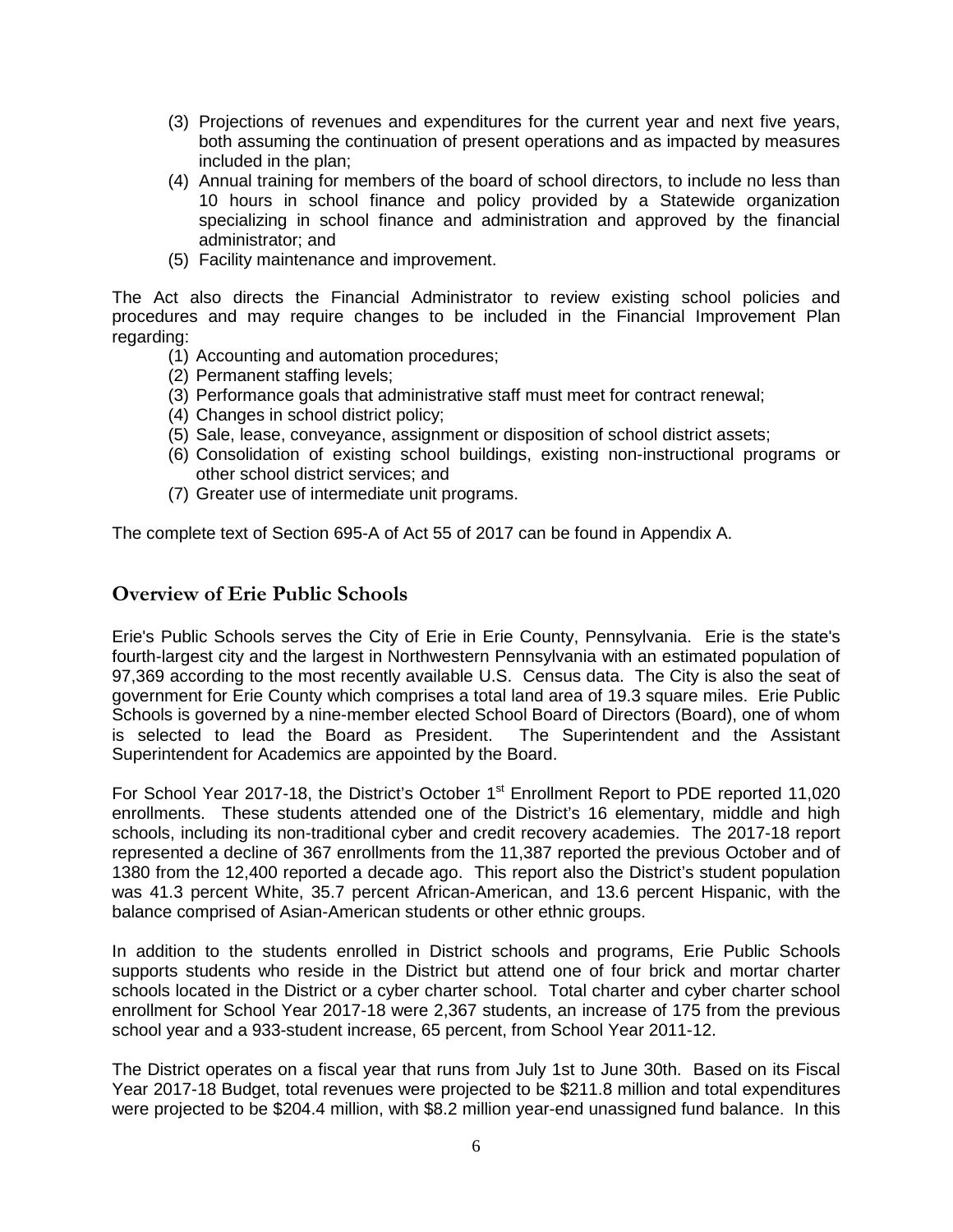- (3) Projections of revenues and expenditures for the current year and next five years, both assuming the continuation of present operations and as impacted by measures included in the plan;
- (4) Annual training for members of the board of school directors, to include no less than 10 hours in school finance and policy provided by a Statewide organization specializing in school finance and administration and approved by the financial administrator; and
- (5) Facility maintenance and improvement.

The Act also directs the Financial Administrator to review existing school policies and procedures and may require changes to be included in the Financial Improvement Plan regarding:

- (1) Accounting and automation procedures;
- (2) Permanent staffing levels;
- (3) Performance goals that administrative staff must meet for contract renewal;
- (4) Changes in school district policy;
- (5) Sale, lease, conveyance, assignment or disposition of school district assets;
- (6) Consolidation of existing school buildings, existing non-instructional programs or other school district services; and
- (7) Greater use of intermediate unit programs.

The complete text of Section 695-A of Act 55 of 2017 can be found in Appendix A.

# <span id="page-5-0"></span>**Overview of Erie Public Schools**

Erie's Public Schools serves the City of Erie in Erie County, Pennsylvania. Erie is the state's fourth-largest city and the largest in Northwestern Pennsylvania with an estimated population of 97,369 according to the most recently available U.S. Census data. The City is also the seat of government for Erie County which comprises a total land area of 19.3 square miles. Erie Public Schools is governed by a nine-member elected School Board of Directors (Board), one of whom is selected to lead the Board as President. The Superintendent and the Assistant Superintendent for Academics are appointed by the Board.

For School Year 2017-18, the District's October 1<sup>st</sup> Enrollment Report to PDE reported 11,020 enrollments. These students attended one of the District's 16 elementary, middle and high schools, including its non-traditional cyber and credit recovery academies. The 2017-18 report represented a decline of 367 enrollments from the 11,387 reported the previous October and of 1380 from the 12,400 reported a decade ago. This report also the District's student population was 41.3 percent White, 35.7 percent African-American, and 13.6 percent Hispanic, with the balance comprised of Asian-American students or other ethnic groups.

In addition to the students enrolled in District schools and programs, Erie Public Schools supports students who reside in the District but attend one of four brick and mortar charter schools located in the District or a cyber charter school. Total charter and cyber charter school enrollment for School Year 2017-18 were 2,367 students, an increase of 175 from the previous school year and a 933-student increase, 65 percent, from School Year 2011-12.

The District operates on a fiscal year that runs from July 1st to June 30th. Based on its Fiscal Year 2017-18 Budget, total revenues were projected to be \$211.8 million and total expenditures were projected to be \$204.4 million, with \$8.2 million year-end unassigned fund balance. In this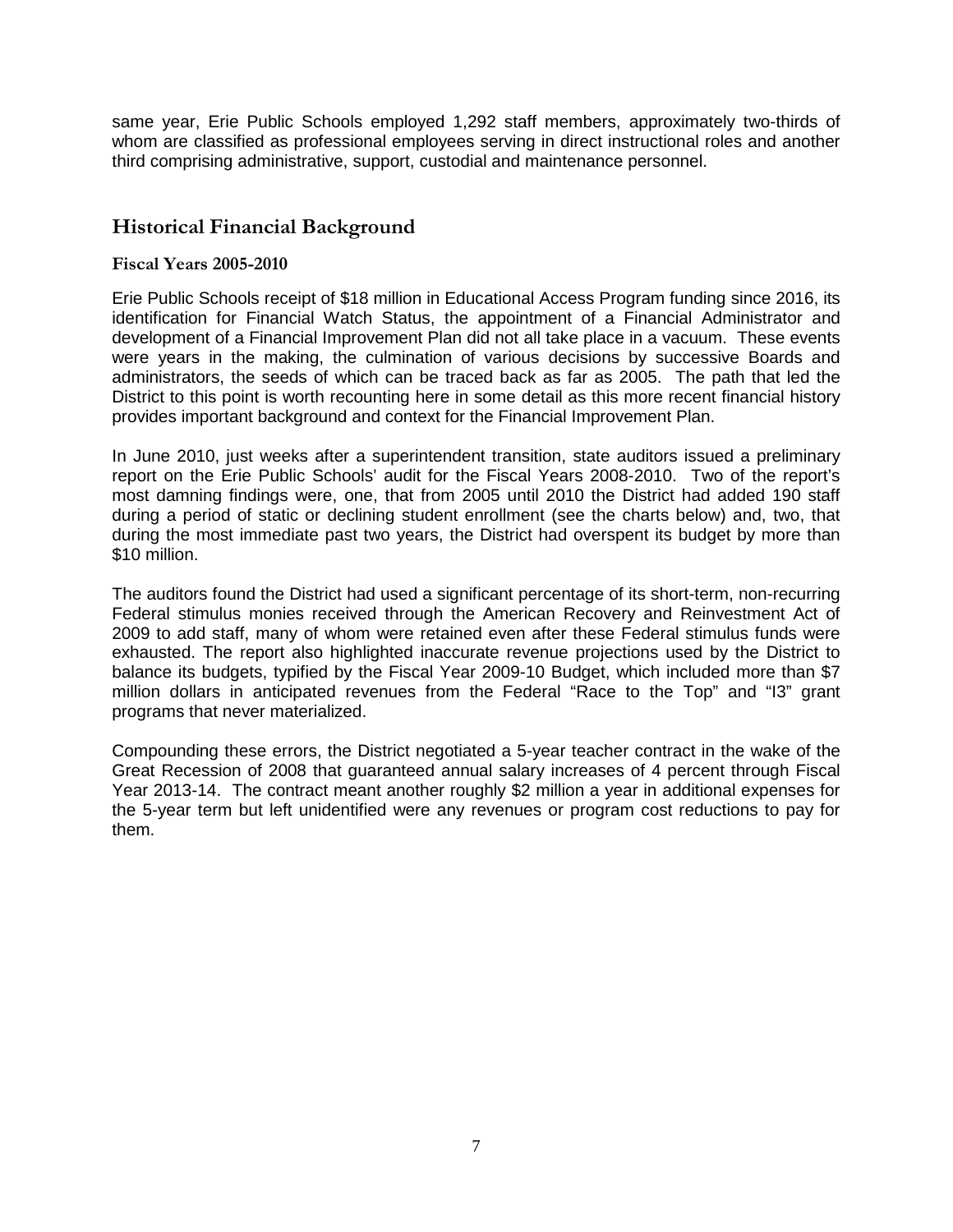same year, Erie Public Schools employed 1,292 staff members, approximately two-thirds of whom are classified as professional employees serving in direct instructional roles and another third comprising administrative, support, custodial and maintenance personnel.

# <span id="page-6-0"></span>**Historical Financial Background**

#### <span id="page-6-1"></span>**Fiscal Years 2005-2010**

Erie Public Schools receipt of \$18 million in Educational Access Program funding since 2016, its identification for Financial Watch Status, the appointment of a Financial Administrator and development of a Financial Improvement Plan did not all take place in a vacuum. These events were years in the making, the culmination of various decisions by successive Boards and administrators, the seeds of which can be traced back as far as 2005. The path that led the District to this point is worth recounting here in some detail as this more recent financial history provides important background and context for the Financial Improvement Plan.

In June 2010, just weeks after a superintendent transition, state auditors issued a preliminary report on the Erie Public Schools' audit for the Fiscal Years 2008-2010. Two of the report's most damning findings were, one, that from 2005 until 2010 the District had added 190 staff during a period of static or declining student enrollment (see the charts below) and, two, that during the most immediate past two years, the District had overspent its budget by more than \$10 million.

The auditors found the District had used a significant percentage of its short-term, non-recurring Federal stimulus monies received through the American Recovery and Reinvestment Act of 2009 to add staff, many of whom were retained even after these Federal stimulus funds were exhausted. The report also highlighted inaccurate revenue projections used by the District to balance its budgets, typified by the Fiscal Year 2009-10 Budget, which included more than \$7 million dollars in anticipated revenues from the Federal "Race to the Top" and "I3" grant programs that never materialized.

Compounding these errors, the District negotiated a 5-year teacher contract in the wake of the Great Recession of 2008 that guaranteed annual salary increases of 4 percent through Fiscal Year 2013-14. The contract meant another roughly \$2 million a year in additional expenses for the 5-year term but left unidentified were any revenues or program cost reductions to pay for them.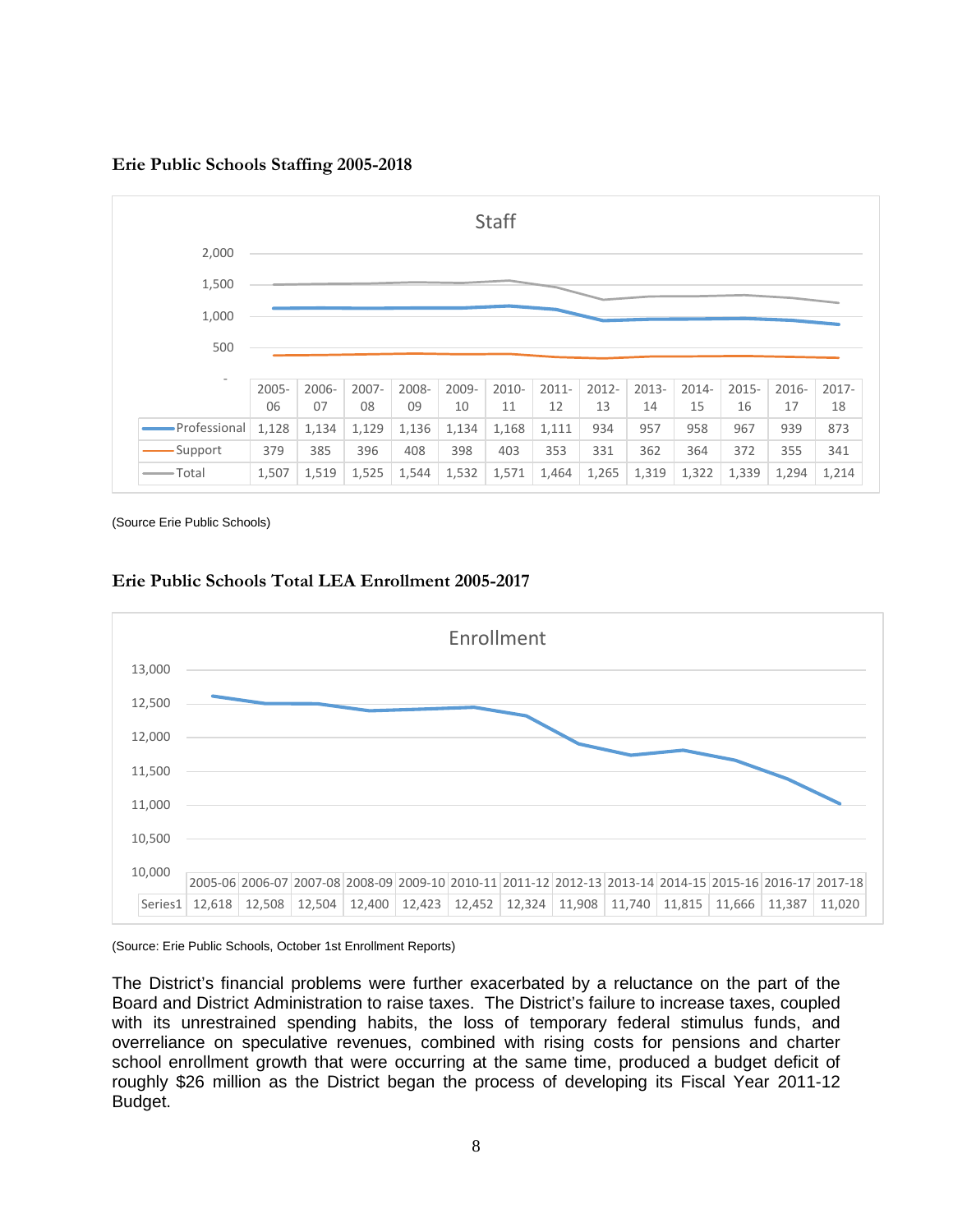**Erie Public Schools Staffing 2005-2018**



(Source Erie Public Schools)

#### **Erie Public Schools Total LEA Enrollment 2005-2017**



(Source: Erie Public Schools, October 1st Enrollment Reports)

The District's financial problems were further exacerbated by a reluctance on the part of the Board and District Administration to raise taxes. The District's failure to increase taxes, coupled with its unrestrained spending habits, the loss of temporary federal stimulus funds, and overreliance on speculative revenues, combined with rising costs for pensions and charter school enrollment growth that were occurring at the same time, produced a budget deficit of roughly \$26 million as the District began the process of developing its Fiscal Year 2011-12 Budget.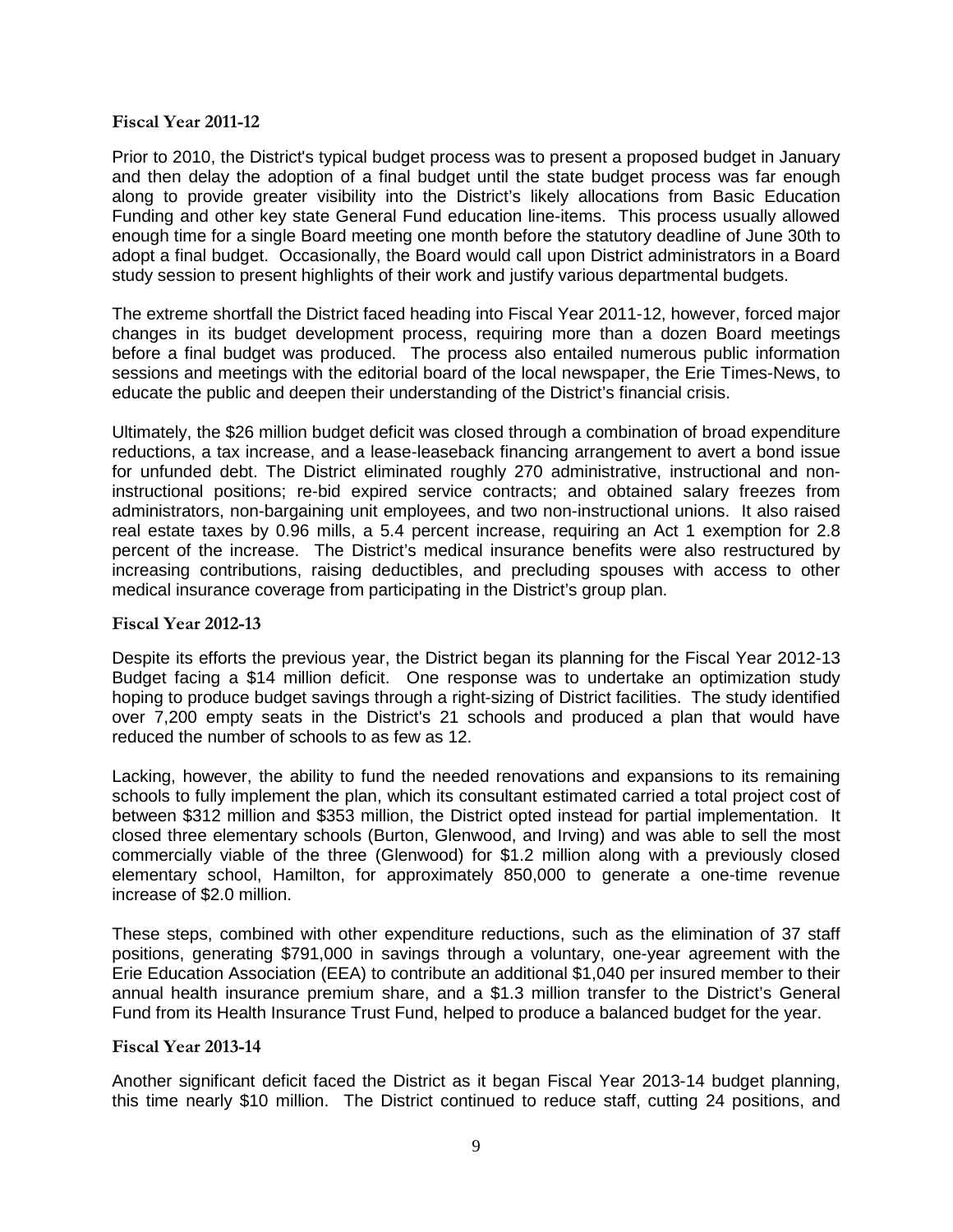#### <span id="page-8-0"></span>**Fiscal Year 2011-12**

Prior to 2010, the District's typical budget process was to present a proposed budget in January and then delay the adoption of a final budget until the state budget process was far enough along to provide greater visibility into the District's likely allocations from Basic Education Funding and other key state General Fund education line-items. This process usually allowed enough time for a single Board meeting one month before the statutory deadline of June 30th to adopt a final budget. Occasionally, the Board would call upon District administrators in a Board study session to present highlights of their work and justify various departmental budgets.

The extreme shortfall the District faced heading into Fiscal Year 2011-12, however, forced major changes in its budget development process, requiring more than a dozen Board meetings before a final budget was produced. The process also entailed numerous public information sessions and meetings with the editorial board of the local newspaper, the Erie Times-News, to educate the public and deepen their understanding of the District's financial crisis.

Ultimately, the \$26 million budget deficit was closed through a combination of broad expenditure reductions, a tax increase, and a lease-leaseback financing arrangement to avert a bond issue for unfunded debt. The District eliminated roughly 270 administrative, instructional and noninstructional positions; re-bid expired service contracts; and obtained salary freezes from administrators, non-bargaining unit employees, and two non-instructional unions. It also raised real estate taxes by 0.96 mills, a 5.4 percent increase, requiring an Act 1 exemption for 2.8 percent of the increase. The District's medical insurance benefits were also restructured by increasing contributions, raising deductibles, and precluding spouses with access to other medical insurance coverage from participating in the District's group plan.

#### <span id="page-8-1"></span>**Fiscal Year 2012-13**

Despite its efforts the previous year, the District began its planning for the Fiscal Year 2012-13 Budget facing a \$14 million deficit. One response was to undertake an optimization study hoping to produce budget savings through a right-sizing of District facilities. The study identified over 7,200 empty seats in the District's 21 schools and produced a plan that would have reduced the number of schools to as few as 12.

Lacking, however, the ability to fund the needed renovations and expansions to its remaining schools to fully implement the plan, which its consultant estimated carried a total project cost of between \$312 million and \$353 million, the District opted instead for partial implementation. It closed three elementary schools (Burton, Glenwood, and Irving) and was able to sell the most commercially viable of the three (Glenwood) for \$1.2 million along with a previously closed elementary school, Hamilton, for approximately 850,000 to generate a one-time revenue increase of \$2.0 million.

These steps, combined with other expenditure reductions, such as the elimination of 37 staff positions, generating \$791,000 in savings through a voluntary, one-year agreement with the Erie Education Association (EEA) to contribute an additional \$1,040 per insured member to their annual health insurance premium share, and a \$1.3 million transfer to the District's General Fund from its Health Insurance Trust Fund, helped to produce a balanced budget for the year.

#### <span id="page-8-2"></span>**Fiscal Year 2013-14**

Another significant deficit faced the District as it began Fiscal Year 2013-14 budget planning, this time nearly \$10 million. The District continued to reduce staff, cutting 24 positions, and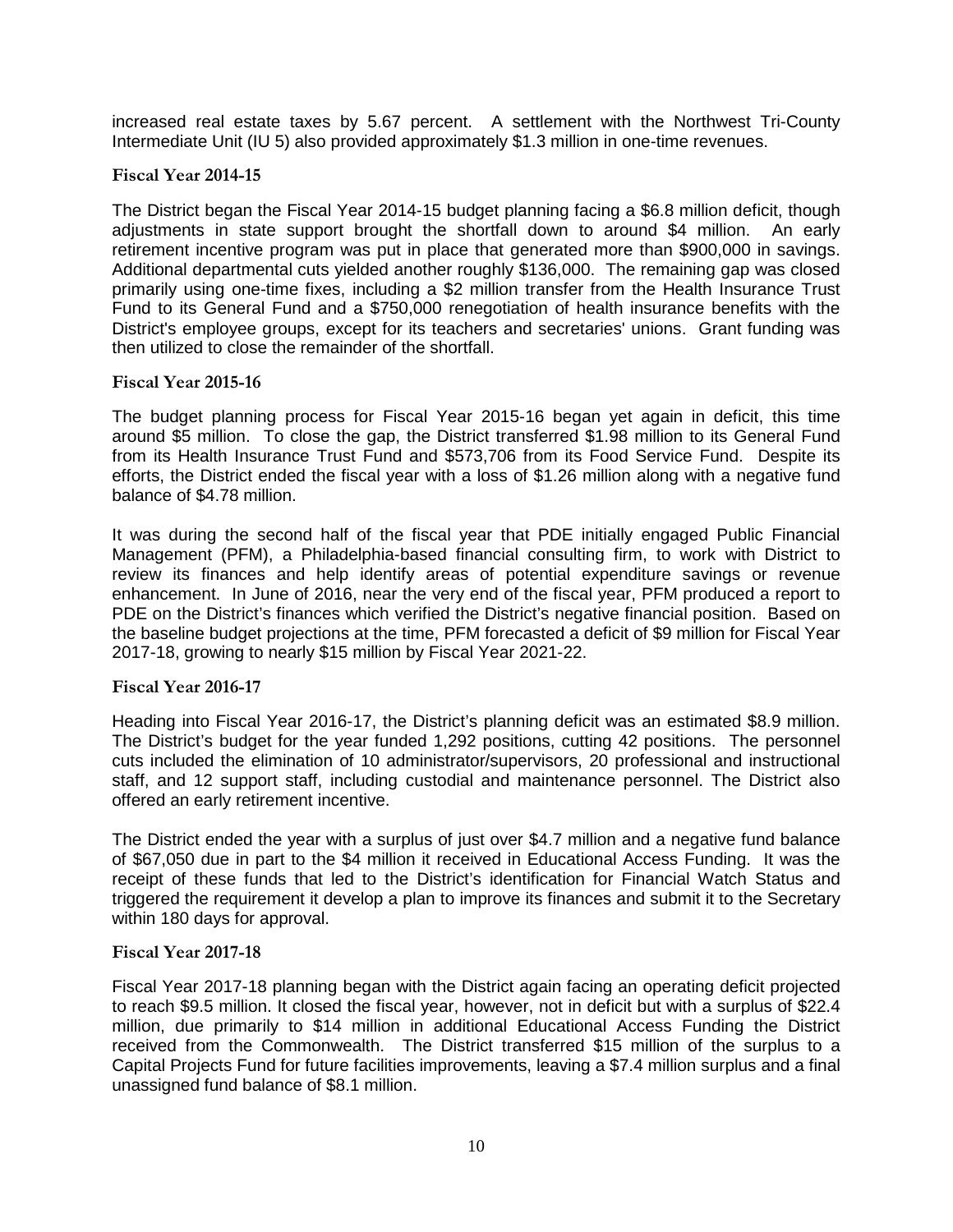increased real estate taxes by 5.67 percent. A settlement with the Northwest Tri-County Intermediate Unit (IU 5) also provided approximately \$1.3 million in one-time revenues.

#### <span id="page-9-0"></span>**Fiscal Year 2014-15**

The District began the Fiscal Year 2014-15 budget planning facing a \$6.8 million deficit, though adjustments in state support brought the shortfall down to around \$4 million. An early retirement incentive program was put in place that generated more than \$900,000 in savings. Additional departmental cuts yielded another roughly \$136,000. The remaining gap was closed primarily using one-time fixes, including a \$2 million transfer from the Health Insurance Trust Fund to its General Fund and a \$750,000 renegotiation of health insurance benefits with the District's employee groups, except for its teachers and secretaries' unions. Grant funding was then utilized to close the remainder of the shortfall.

#### <span id="page-9-1"></span>**Fiscal Year 2015-16**

The budget planning process for Fiscal Year 2015-16 began yet again in deficit, this time around \$5 million. To close the gap, the District transferred \$1.98 million to its General Fund from its Health Insurance Trust Fund and \$573,706 from its Food Service Fund. Despite its efforts, the District ended the fiscal year with a loss of \$1.26 million along with a negative fund balance of \$4.78 million.

It was during the second half of the fiscal year that PDE initially engaged Public Financial Management (PFM), a Philadelphia-based financial consulting firm, to work with District to review its finances and help identify areas of potential expenditure savings or revenue enhancement. In June of 2016, near the very end of the fiscal year, PFM produced a report to PDE on the District's finances which verified the District's negative financial position. Based on the baseline budget projections at the time, PFM forecasted a deficit of \$9 million for Fiscal Year 2017-18, growing to nearly \$15 million by Fiscal Year 2021-22.

#### <span id="page-9-2"></span>**Fiscal Year 2016-17**

Heading into Fiscal Year 2016-17, the District's planning deficit was an estimated \$8.9 million. The District's budget for the year funded 1,292 positions, cutting 42 positions. The personnel cuts included the elimination of 10 administrator/supervisors, 20 professional and instructional staff, and 12 support staff, including custodial and maintenance personnel. The District also offered an early retirement incentive.

The District ended the year with a surplus of just over \$4.7 million and a negative fund balance of \$67,050 due in part to the \$4 million it received in Educational Access Funding. It was the receipt of these funds that led to the District's identification for Financial Watch Status and triggered the requirement it develop a plan to improve its finances and submit it to the Secretary within 180 days for approval.

#### <span id="page-9-3"></span>**Fiscal Year 2017-18**

Fiscal Year 2017-18 planning began with the District again facing an operating deficit projected to reach \$9.5 million. It closed the fiscal year, however, not in deficit but with a surplus of \$22.4 million, due primarily to \$14 million in additional Educational Access Funding the District received from the Commonwealth. The District transferred \$15 million of the surplus to a Capital Projects Fund for future facilities improvements, leaving a \$7.4 million surplus and a final unassigned fund balance of \$8.1 million.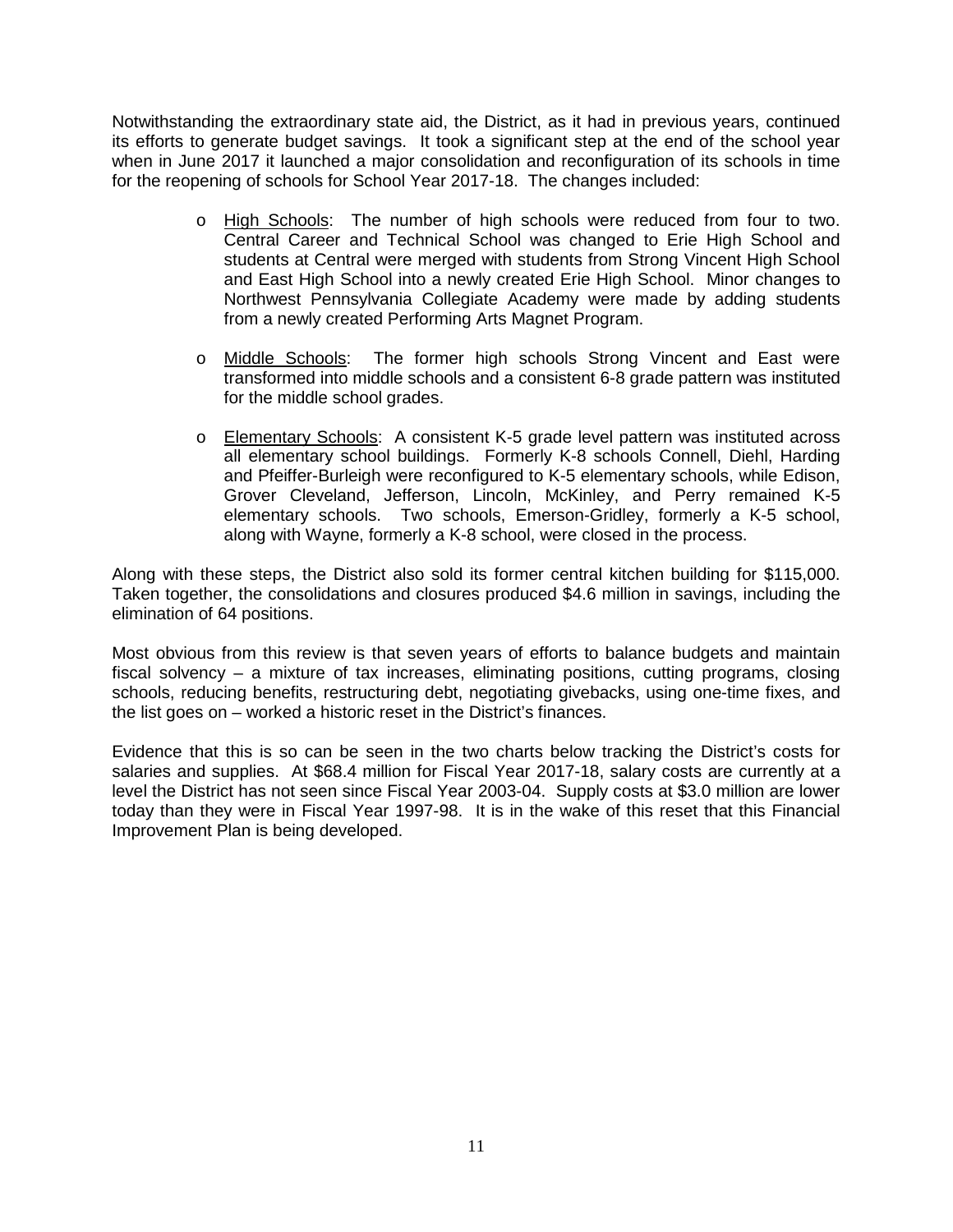Notwithstanding the extraordinary state aid, the District, as it had in previous years, continued its efforts to generate budget savings. It took a significant step at the end of the school year when in June 2017 it launched a major consolidation and reconfiguration of its schools in time for the reopening of schools for School Year 2017-18. The changes included:

- o High Schools: The number of high schools were reduced from four to two. Central Career and Technical School was changed to Erie High School and students at Central were merged with students from Strong Vincent High School and East High School into a newly created Erie High School. Minor changes to Northwest Pennsylvania Collegiate Academy were made by adding students from a newly created Performing Arts Magnet Program.
- o Middle Schools: The former high schools Strong Vincent and East were transformed into middle schools and a consistent 6-8 grade pattern was instituted for the middle school grades.
- o Elementary Schools: A consistent K-5 grade level pattern was instituted across all elementary school buildings. Formerly K-8 schools Connell, Diehl, Harding and Pfeiffer-Burleigh were reconfigured to K-5 elementary schools, while Edison, Grover Cleveland, Jefferson, Lincoln, McKinley, and Perry remained K-5 elementary schools. Two schools, Emerson-Gridley, formerly a K-5 school, along with Wayne, formerly a K-8 school, were closed in the process.

Along with these steps, the District also sold its former central kitchen building for \$115,000. Taken together, the consolidations and closures produced \$4.6 million in savings, including the elimination of 64 positions.

Most obvious from this review is that seven years of efforts to balance budgets and maintain fiscal solvency – a mixture of tax increases, eliminating positions, cutting programs, closing schools, reducing benefits, restructuring debt, negotiating givebacks, using one-time fixes, and the list goes on – worked a historic reset in the District's finances.

Evidence that this is so can be seen in the two charts below tracking the District's costs for salaries and supplies. At \$68.4 million for Fiscal Year 2017-18, salary costs are currently at a level the District has not seen since Fiscal Year 2003-04. Supply costs at \$3.0 million are lower today than they were in Fiscal Year 1997-98. It is in the wake of this reset that this Financial Improvement Plan is being developed.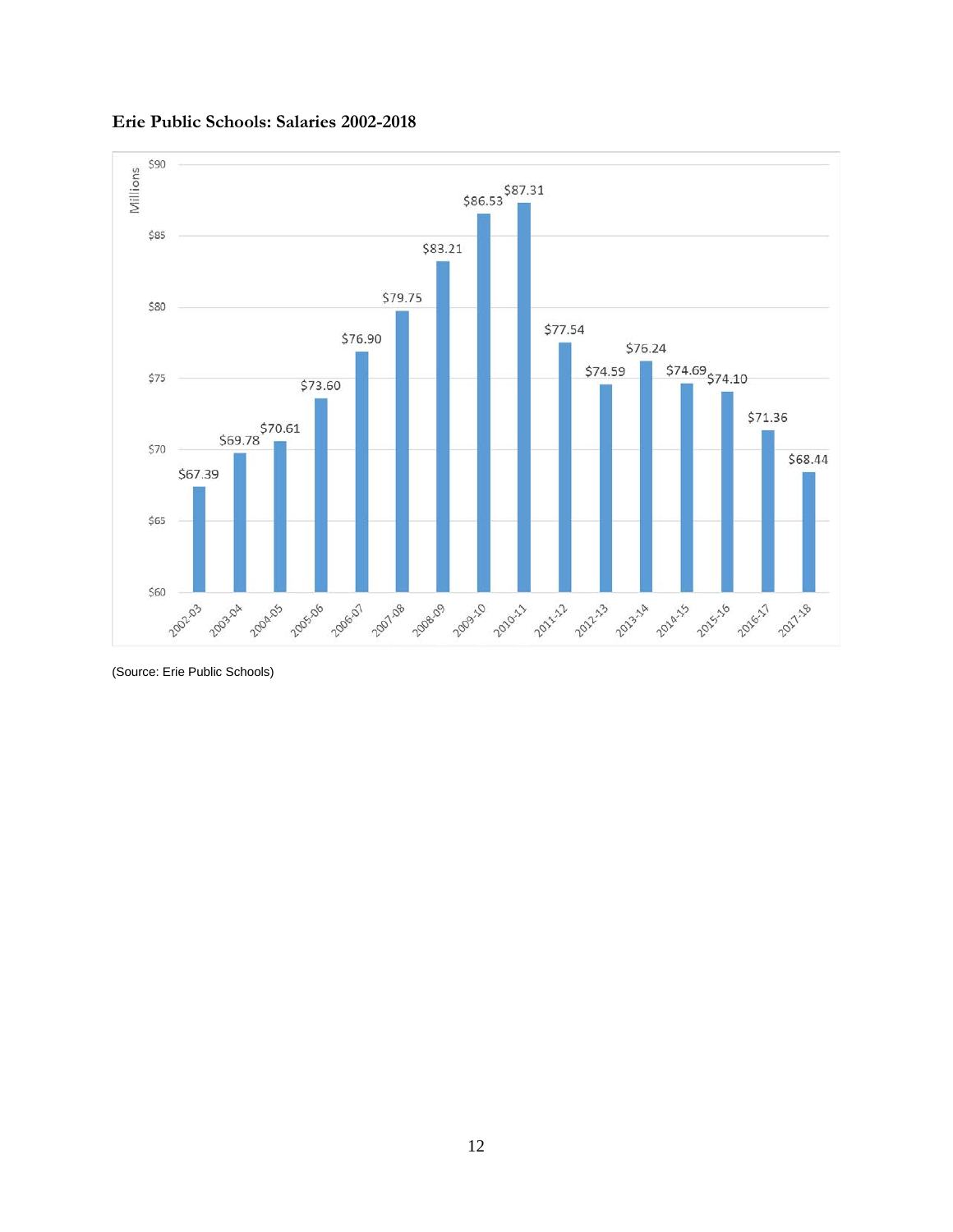

#### **Erie Public Schools: Salaries 2002-2018**

(Source: Erie Public Schools)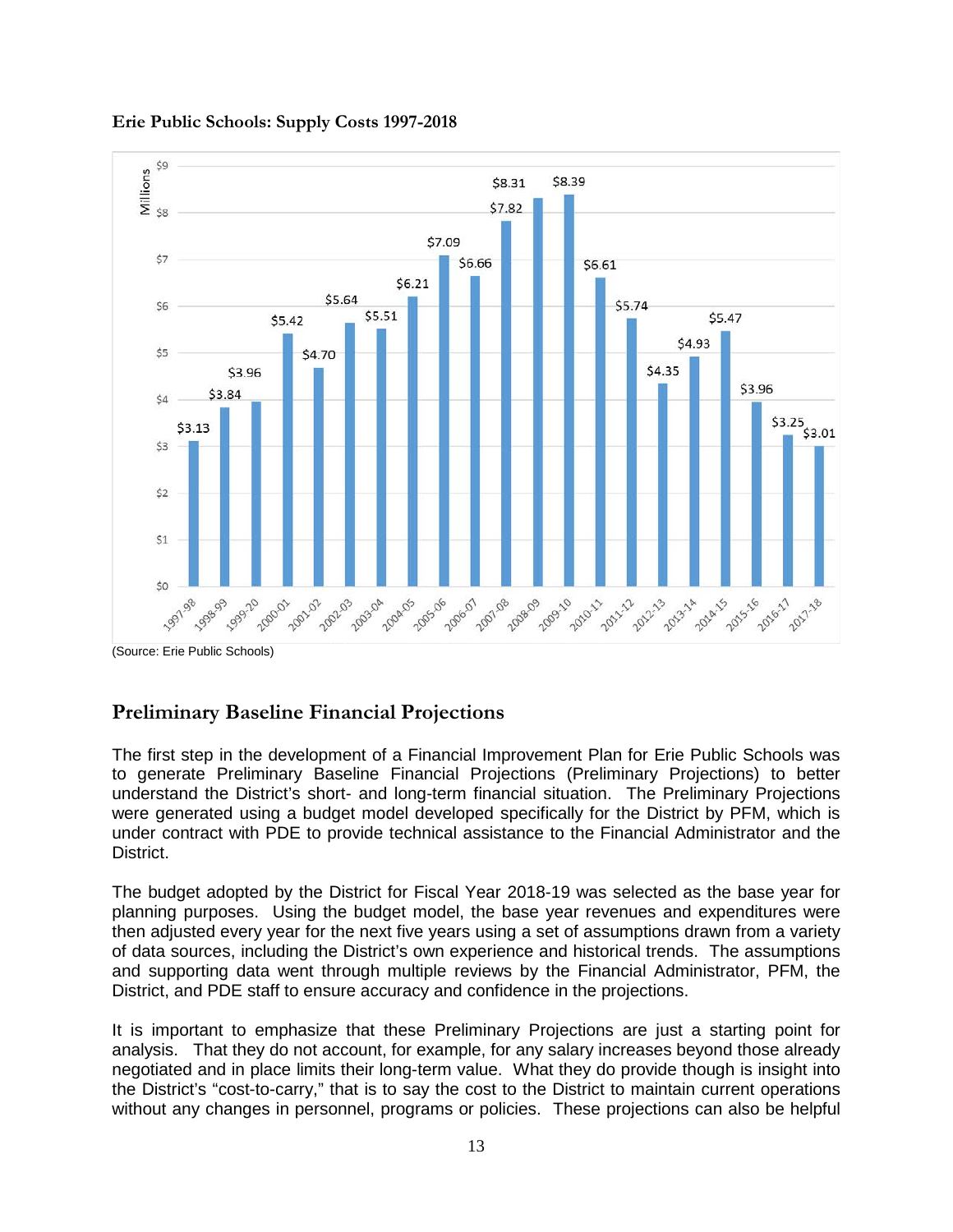

#### **Erie Public Schools: Supply Costs 1997-2018**

(Source: Erie Public Schools)

# <span id="page-12-0"></span>**Preliminary Baseline Financial Projections**

The first step in the development of a Financial Improvement Plan for Erie Public Schools was to generate Preliminary Baseline Financial Projections (Preliminary Projections) to better understand the District's short- and long-term financial situation. The Preliminary Projections were generated using a budget model developed specifically for the District by PFM, which is under contract with PDE to provide technical assistance to the Financial Administrator and the District.

The budget adopted by the District for Fiscal Year 2018-19 was selected as the base year for planning purposes. Using the budget model, the base year revenues and expenditures were then adjusted every year for the next five years using a set of assumptions drawn from a variety of data sources, including the District's own experience and historical trends. The assumptions and supporting data went through multiple reviews by the Financial Administrator, PFM, the District, and PDE staff to ensure accuracy and confidence in the projections.

It is important to emphasize that these Preliminary Projections are just a starting point for analysis. That they do not account, for example, for any salary increases beyond those already negotiated and in place limits their long-term value. What they do provide though is insight into the District's "cost-to-carry," that is to say the cost to the District to maintain current operations without any changes in personnel, programs or policies. These projections can also be helpful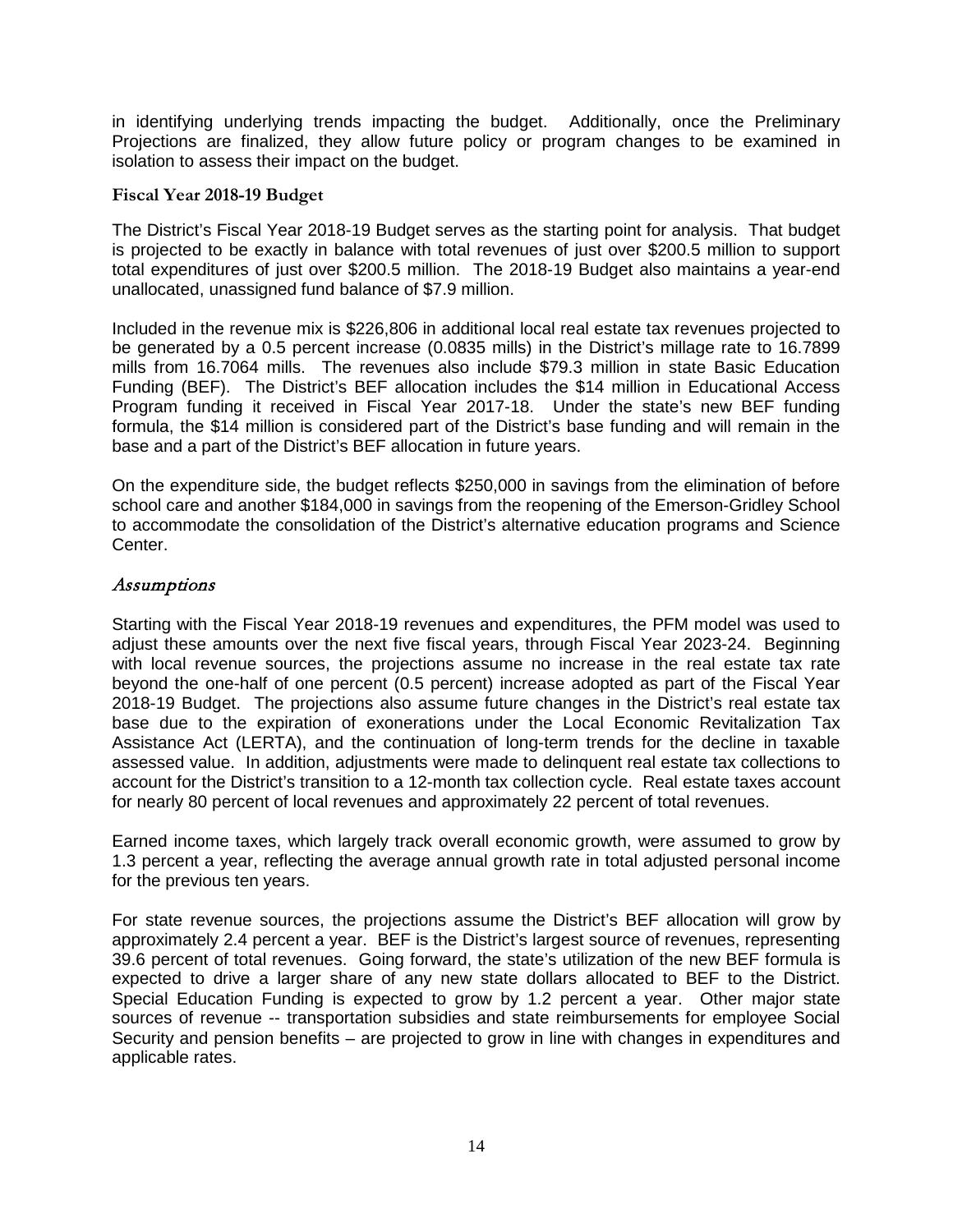in identifying underlying trends impacting the budget. Additionally, once the Preliminary Projections are finalized, they allow future policy or program changes to be examined in isolation to assess their impact on the budget.

#### <span id="page-13-0"></span>**Fiscal Year 2018-19 Budget**

The District's Fiscal Year 2018-19 Budget serves as the starting point for analysis. That budget is projected to be exactly in balance with total revenues of just over \$200.5 million to support total expenditures of just over \$200.5 million. The 2018-19 Budget also maintains a year-end unallocated, unassigned fund balance of \$7.9 million.

Included in the revenue mix is \$226,806 in additional local real estate tax revenues projected to be generated by a 0.5 percent increase (0.0835 mills) in the District's millage rate to 16.7899 mills from 16.7064 mills. The revenues also include \$79.3 million in state Basic Education Funding (BEF). The District's BEF allocation includes the \$14 million in Educational Access Program funding it received in Fiscal Year 2017-18. Under the state's new BEF funding formula, the \$14 million is considered part of the District's base funding and will remain in the base and a part of the District's BEF allocation in future years.

On the expenditure side, the budget reflects \$250,000 in savings from the elimination of before school care and another \$184,000 in savings from the reopening of the Emerson-Gridley School to accommodate the consolidation of the District's alternative education programs and Science Center.

#### Assumptions

Starting with the Fiscal Year 2018-19 revenues and expenditures, the PFM model was used to adjust these amounts over the next five fiscal years, through Fiscal Year 2023-24. Beginning with local revenue sources, the projections assume no increase in the real estate tax rate beyond the one-half of one percent (0.5 percent) increase adopted as part of the Fiscal Year 2018-19 Budget. The projections also assume future changes in the District's real estate tax base due to the expiration of exonerations under the Local Economic Revitalization Tax Assistance Act (LERTA), and the continuation of long-term trends for the decline in taxable assessed value. In addition, adjustments were made to delinquent real estate tax collections to account for the District's transition to a 12-month tax collection cycle. Real estate taxes account for nearly 80 percent of local revenues and approximately 22 percent of total revenues.

Earned income taxes, which largely track overall economic growth, were assumed to grow by 1.3 percent a year, reflecting the average annual growth rate in total adjusted personal income for the previous ten years.

For state revenue sources, the projections assume the District's BEF allocation will grow by approximately 2.4 percent a year. BEF is the District's largest source of revenues, representing 39.6 percent of total revenues. Going forward, the state's utilization of the new BEF formula is expected to drive a larger share of any new state dollars allocated to BEF to the District. Special Education Funding is expected to grow by 1.2 percent a year. Other major state sources of revenue -- transportation subsidies and state reimbursements for employee Social Security and pension benefits – are projected to grow in line with changes in expenditures and applicable rates.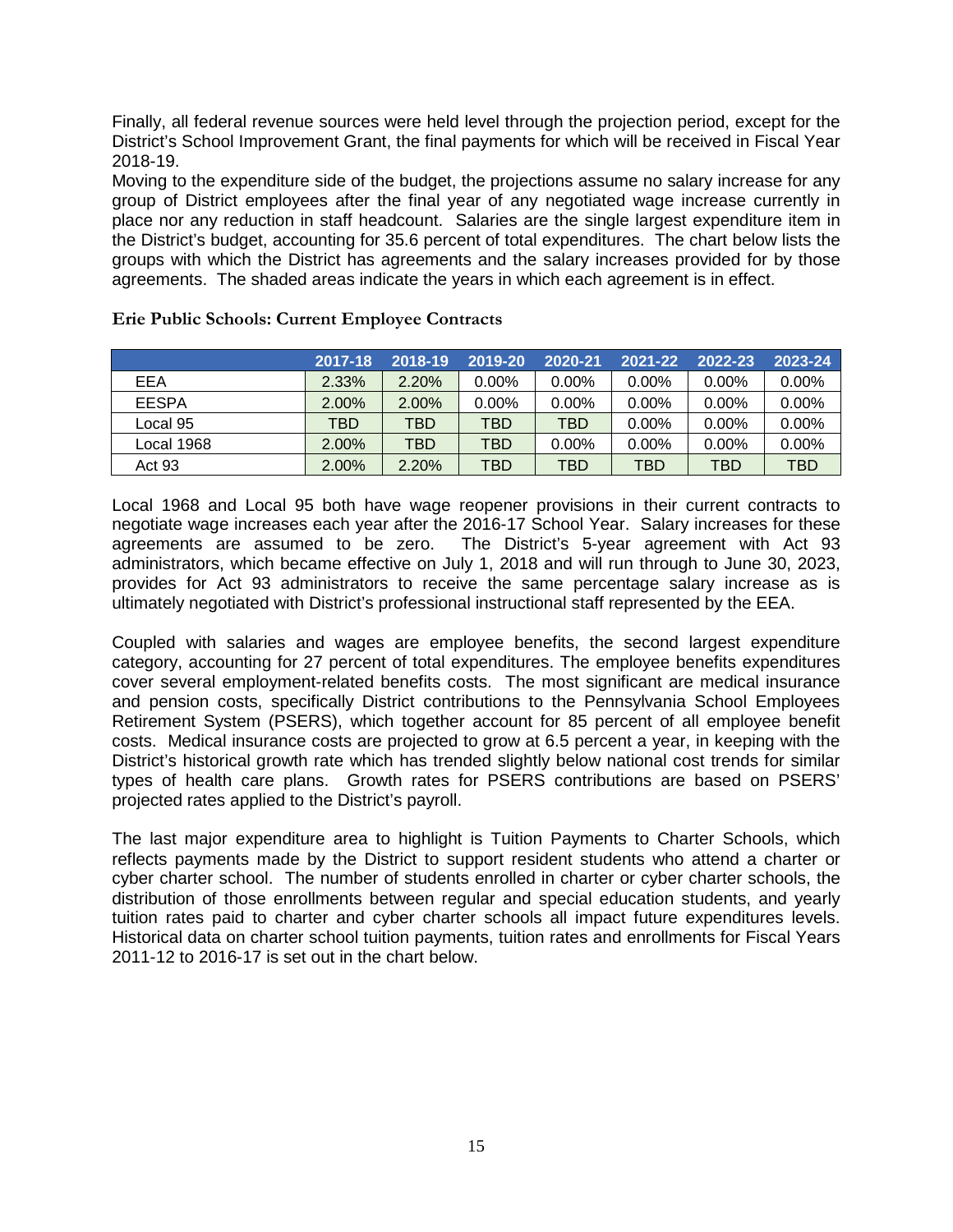Finally, all federal revenue sources were held level through the projection period, except for the District's School Improvement Grant, the final payments for which will be received in Fiscal Year 2018-19.

Moving to the expenditure side of the budget, the projections assume no salary increase for any group of District employees after the final year of any negotiated wage increase currently in place nor any reduction in staff headcount. Salaries are the single largest expenditure item in the District's budget, accounting for 35.6 percent of total expenditures. The chart below lists the groups with which the District has agreements and the salary increases provided for by those agreements. The shaded areas indicate the years in which each agreement is in effect.

|              | 2017-18  | 2018-19  | 2019-20  | 2020-21    | 2021-22  | 2022-23  | 2023-24  |
|--------------|----------|----------|----------|------------|----------|----------|----------|
| EEA          | 2.33%    | 2.20%    | $0.00\%$ | $0.00\%$   | $0.00\%$ | $0.00\%$ | $0.00\%$ |
| <b>EESPA</b> | $2.00\%$ | $2.00\%$ | $0.00\%$ | $0.00\%$   | $0.00\%$ | $0.00\%$ | $0.00\%$ |
| Local 95     | TBD      | TBD      | TBD      | <b>TBD</b> | $0.00\%$ | $0.00\%$ | $0.00\%$ |
| Local 1968   | $2.00\%$ | TBD      | TBD      | 0.00%      | $0.00\%$ | $0.00\%$ | $0.00\%$ |
| Act 93       | 2.00%    | 2.20%    | TBD      | TBD        | TBD      | TBD      | TBD      |

#### **Erie Public Schools: Current Employee Contracts**

Local 1968 and Local 95 both have wage reopener provisions in their current contracts to negotiate wage increases each year after the 2016-17 School Year. Salary increases for these agreements are assumed to be zero. The District's 5-year agreement with Act 93 administrators, which became effective on July 1, 2018 and will run through to June 30, 2023, provides for Act 93 administrators to receive the same percentage salary increase as is ultimately negotiated with District's professional instructional staff represented by the EEA.

Coupled with salaries and wages are employee benefits, the second largest expenditure category, accounting for 27 percent of total expenditures. The employee benefits expenditures cover several employment-related benefits costs. The most significant are medical insurance and pension costs, specifically District contributions to the Pennsylvania School Employees Retirement System (PSERS), which together account for 85 percent of all employee benefit costs. Medical insurance costs are projected to grow at 6.5 percent a year, in keeping with the District's historical growth rate which has trended slightly below national cost trends for similar types of health care plans. Growth rates for PSERS contributions are based on PSERS' projected rates applied to the District's payroll.

The last major expenditure area to highlight is Tuition Payments to Charter Schools, which reflects payments made by the District to support resident students who attend a charter or cyber charter school. The number of students enrolled in charter or cyber charter schools, the distribution of those enrollments between regular and special education students, and yearly tuition rates paid to charter and cyber charter schools all impact future expenditures levels. Historical data on charter school tuition payments, tuition rates and enrollments for Fiscal Years 2011-12 to 2016-17 is set out in the chart below.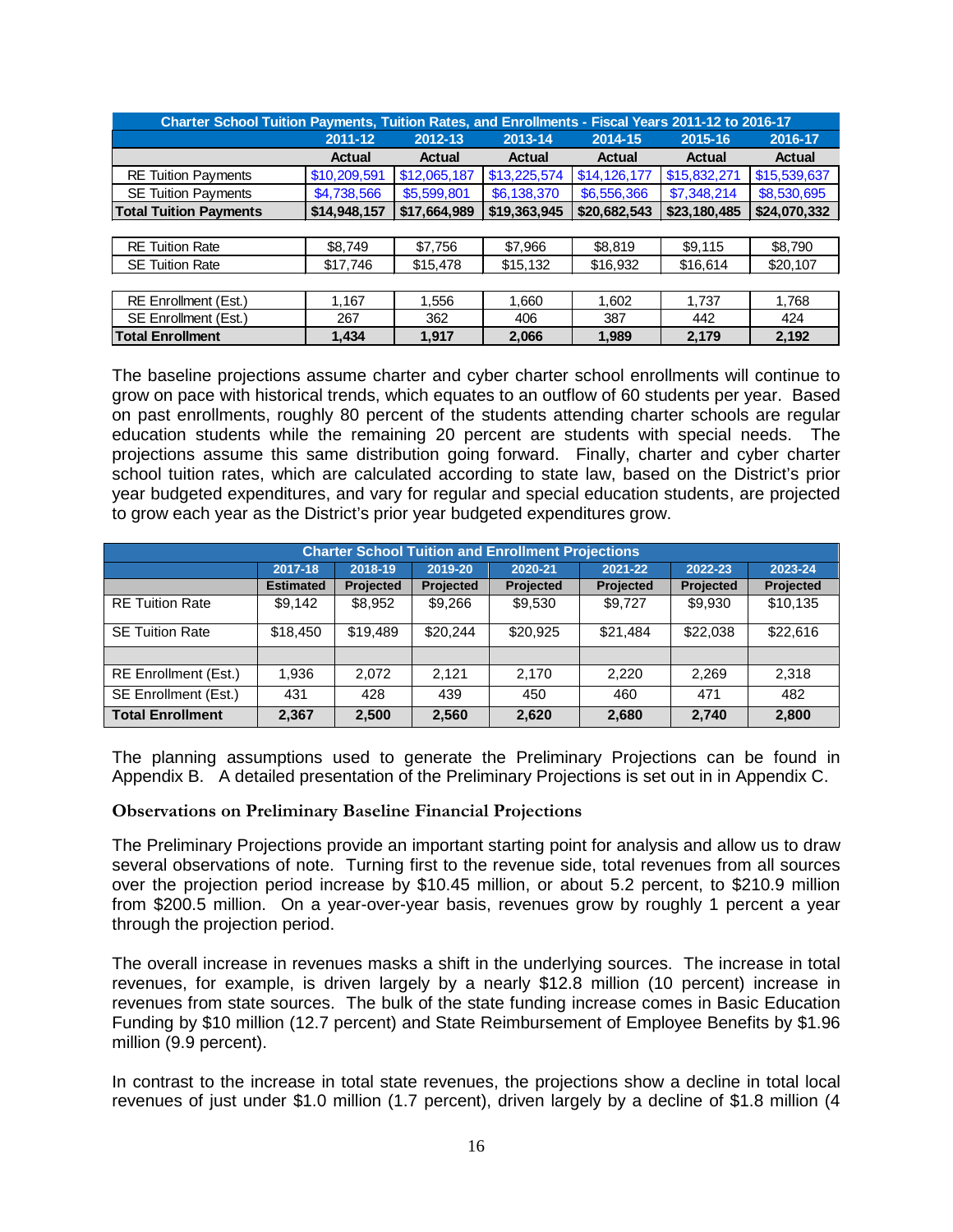| Charter School Tuition Payments, Tuition Rates, and Enrollments - Fiscal Years 2011-12 to 2016-17 |               |               |               |               |               |               |  |  |  |  |
|---------------------------------------------------------------------------------------------------|---------------|---------------|---------------|---------------|---------------|---------------|--|--|--|--|
|                                                                                                   | 2011-12       | 2012-13       | 2013-14       | 2014-15       | 2015-16       | 2016-17       |  |  |  |  |
|                                                                                                   | <b>Actual</b> | <b>Actual</b> | <b>Actual</b> | <b>Actual</b> | <b>Actual</b> | <b>Actual</b> |  |  |  |  |
| <b>RE Tuition Payments</b>                                                                        | \$10,209,591  | \$12,065,187  | \$13,225,574  | \$14,126,177  | \$15,832,271  | \$15,539,637  |  |  |  |  |
| <b>SE Tuition Payments</b>                                                                        | \$4,738,566   | \$5,599,801   | \$6,138,370   | \$6,556,366   | \$7,348,214   | \$8,530,695   |  |  |  |  |
| <b>Total Tuition Payments</b>                                                                     | \$14,948,157  | \$17,664,989  | \$19,363,945  | \$20,682,543  | \$23,180,485  | \$24,070,332  |  |  |  |  |
|                                                                                                   |               |               |               |               |               |               |  |  |  |  |
| <b>RE Tuition Rate</b>                                                                            | \$8,749       | \$7,756       | \$7,966       | \$8,819       | \$9,115       | \$8,790       |  |  |  |  |
| <b>SE Tuition Rate</b>                                                                            | \$17,746      | \$15,478      | \$15,132      | \$16,932      | \$16,614      | \$20,107      |  |  |  |  |
|                                                                                                   |               |               |               |               |               |               |  |  |  |  |
| <b>RE Enrollment (Est.)</b>                                                                       | 1.167         | 1,556         | 1,660         | 1,602         | 1,737         | 1,768         |  |  |  |  |
| SE Enrollment (Est.)                                                                              | 267           | 362           | 406           | 387           | 442           | 424           |  |  |  |  |
| <b>Total Enrollment</b>                                                                           | 1.434         | 1.917         | 2.066         | 1.989         | 2.179         | 2.192         |  |  |  |  |

The baseline projections assume charter and cyber charter school enrollments will continue to grow on pace with historical trends, which equates to an outflow of 60 students per year. Based on past enrollments, roughly 80 percent of the students attending charter schools are regular education students while the remaining 20 percent are students with special needs. The projections assume this same distribution going forward. Finally, charter and cyber charter school tuition rates, which are calculated according to state law, based on the District's prior year budgeted expenditures, and vary for regular and special education students, are projected to grow each year as the District's prior year budgeted expenditures grow.

| <b>Charter School Tuition and Enrollment Projections</b> |                  |                                                                |           |                  |           |           |           |  |  |  |  |
|----------------------------------------------------------|------------------|----------------------------------------------------------------|-----------|------------------|-----------|-----------|-----------|--|--|--|--|
|                                                          | 2017-18          | 2021-22<br>2019-20<br>2018-19<br>2020-21<br>2022-23<br>2023-24 |           |                  |           |           |           |  |  |  |  |
|                                                          | <b>Estimated</b> | Projected                                                      | Projected | <b>Projected</b> | Projected | Projected | Projected |  |  |  |  |
| <b>RE Tuition Rate</b>                                   | \$9,142          | \$8,952                                                        | \$9,266   | \$9,530          | \$9,727   | \$9,930   | \$10,135  |  |  |  |  |
| <b>SE Tuition Rate</b>                                   | \$18,450         | \$19,489                                                       | \$20.244  | \$20.925         | \$21.484  | \$22,038  | \$22,616  |  |  |  |  |
|                                                          |                  |                                                                |           |                  |           |           |           |  |  |  |  |
| <b>RE Enrollment (Est.)</b>                              | 1,936            | 2,072                                                          | 2.121     | 2,170            | 2,220     | 2,269     | 2,318     |  |  |  |  |
| SE Enrollment (Est.)                                     | 431              | 428                                                            | 439       | 450              | 460       | 471       | 482       |  |  |  |  |
| <b>Total Enrollment</b>                                  | 2,367            | 2,500                                                          | 2,560     | 2,620            | 2,680     | 2,740     | 2,800     |  |  |  |  |

The planning assumptions used to generate the Preliminary Projections can be found in Appendix B. A detailed presentation of the Preliminary Projections is set out in in Appendix C.

#### <span id="page-15-0"></span>**Observations on Preliminary Baseline Financial Projections**

The Preliminary Projections provide an important starting point for analysis and allow us to draw several observations of note. Turning first to the revenue side, total revenues from all sources over the projection period increase by \$10.45 million, or about 5.2 percent, to \$210.9 million from \$200.5 million. On a year-over-year basis, revenues grow by roughly 1 percent a year through the projection period.

The overall increase in revenues masks a shift in the underlying sources. The increase in total revenues, for example, is driven largely by a nearly \$12.8 million (10 percent) increase in revenues from state sources. The bulk of the state funding increase comes in Basic Education Funding by \$10 million (12.7 percent) and State Reimbursement of Employee Benefits by \$1.96 million (9.9 percent).

In contrast to the increase in total state revenues, the projections show a decline in total local revenues of just under \$1.0 million (1.7 percent), driven largely by a decline of \$1.8 million (4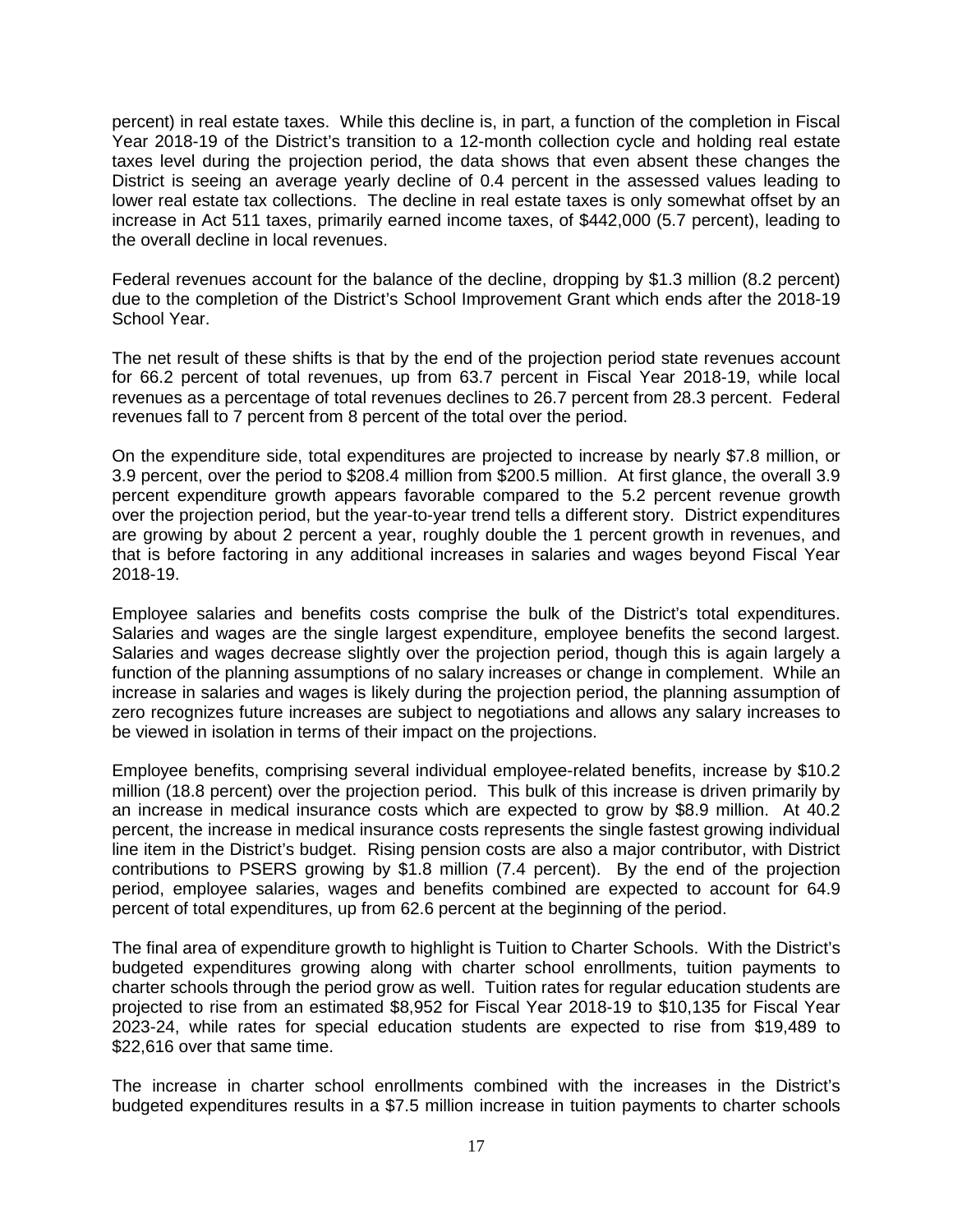percent) in real estate taxes. While this decline is, in part, a function of the completion in Fiscal Year 2018-19 of the District's transition to a 12-month collection cycle and holding real estate taxes level during the projection period, the data shows that even absent these changes the District is seeing an average yearly decline of 0.4 percent in the assessed values leading to lower real estate tax collections. The decline in real estate taxes is only somewhat offset by an increase in Act 511 taxes, primarily earned income taxes, of \$442,000 (5.7 percent), leading to the overall decline in local revenues.

Federal revenues account for the balance of the decline, dropping by \$1.3 million (8.2 percent) due to the completion of the District's School Improvement Grant which ends after the 2018-19 School Year.

The net result of these shifts is that by the end of the projection period state revenues account for 66.2 percent of total revenues, up from 63.7 percent in Fiscal Year 2018-19, while local revenues as a percentage of total revenues declines to 26.7 percent from 28.3 percent. Federal revenues fall to 7 percent from 8 percent of the total over the period.

On the expenditure side, total expenditures are projected to increase by nearly \$7.8 million, or 3.9 percent, over the period to \$208.4 million from \$200.5 million. At first glance, the overall 3.9 percent expenditure growth appears favorable compared to the 5.2 percent revenue growth over the projection period, but the year-to-year trend tells a different story. District expenditures are growing by about 2 percent a year, roughly double the 1 percent growth in revenues, and that is before factoring in any additional increases in salaries and wages beyond Fiscal Year 2018-19.

Employee salaries and benefits costs comprise the bulk of the District's total expenditures. Salaries and wages are the single largest expenditure, employee benefits the second largest. Salaries and wages decrease slightly over the projection period, though this is again largely a function of the planning assumptions of no salary increases or change in complement. While an increase in salaries and wages is likely during the projection period, the planning assumption of zero recognizes future increases are subject to negotiations and allows any salary increases to be viewed in isolation in terms of their impact on the projections.

Employee benefits, comprising several individual employee-related benefits, increase by \$10.2 million (18.8 percent) over the projection period. This bulk of this increase is driven primarily by an increase in medical insurance costs which are expected to grow by \$8.9 million. At 40.2 percent, the increase in medical insurance costs represents the single fastest growing individual line item in the District's budget. Rising pension costs are also a major contributor, with District contributions to PSERS growing by \$1.8 million (7.4 percent). By the end of the projection period, employee salaries, wages and benefits combined are expected to account for 64.9 percent of total expenditures, up from 62.6 percent at the beginning of the period.

The final area of expenditure growth to highlight is Tuition to Charter Schools. With the District's budgeted expenditures growing along with charter school enrollments, tuition payments to charter schools through the period grow as well. Tuition rates for regular education students are projected to rise from an estimated \$8,952 for Fiscal Year 2018-19 to \$10,135 for Fiscal Year 2023-24, while rates for special education students are expected to rise from \$19,489 to \$22,616 over that same time.

The increase in charter school enrollments combined with the increases in the District's budgeted expenditures results in a \$7.5 million increase in tuition payments to charter schools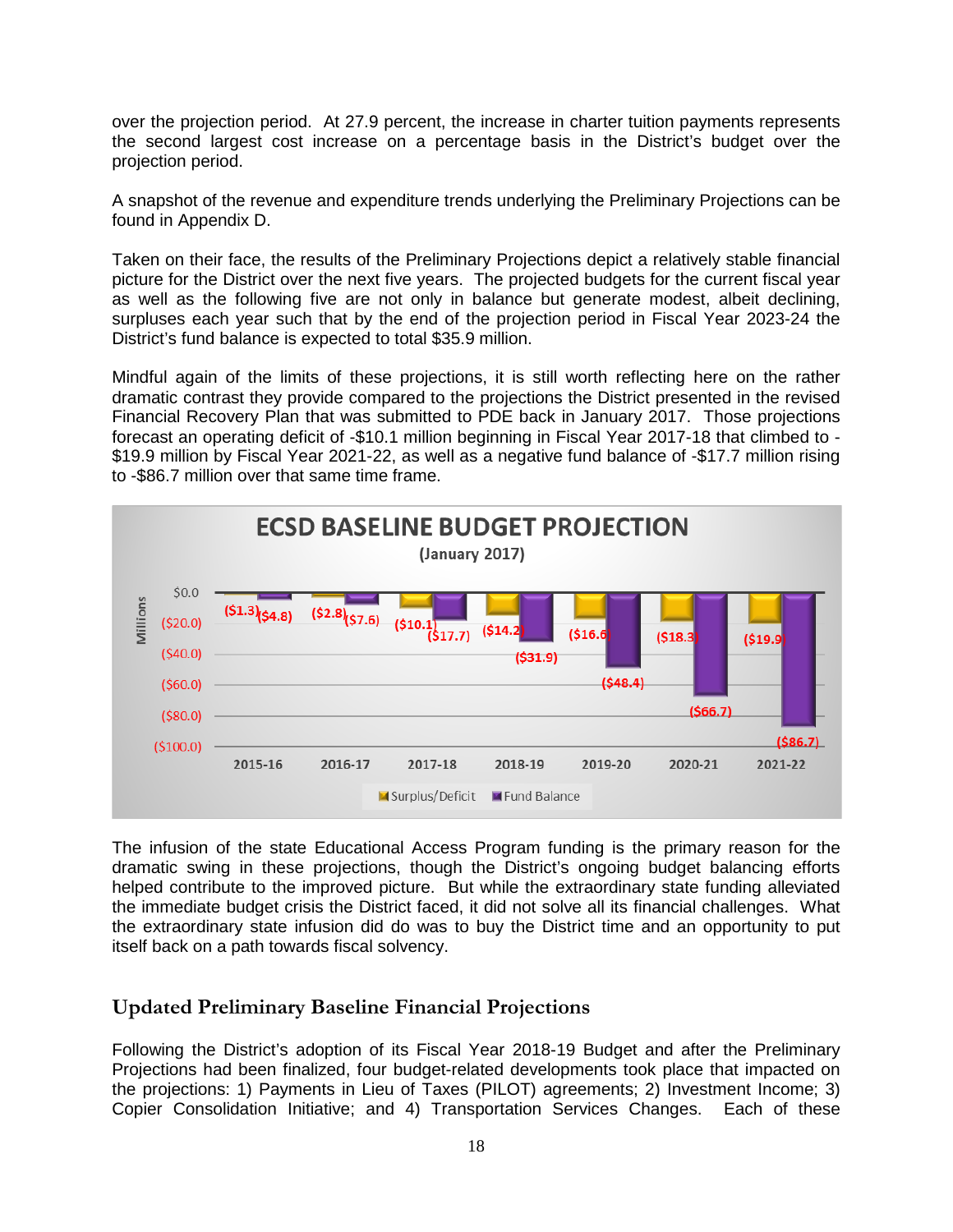over the projection period. At 27.9 percent, the increase in charter tuition payments represents the second largest cost increase on a percentage basis in the District's budget over the projection period.

A snapshot of the revenue and expenditure trends underlying the Preliminary Projections can be found in Appendix D.

Taken on their face, the results of the Preliminary Projections depict a relatively stable financial picture for the District over the next five years. The projected budgets for the current fiscal year as well as the following five are not only in balance but generate modest, albeit declining, surpluses each year such that by the end of the projection period in Fiscal Year 2023-24 the District's fund balance is expected to total \$35.9 million.

Mindful again of the limits of these projections, it is still worth reflecting here on the rather dramatic contrast they provide compared to the projections the District presented in the revised Financial Recovery Plan that was submitted to PDE back in January 2017. Those projections forecast an operating deficit of -\$10.1 million beginning in Fiscal Year 2017-18 that climbed to - \$19.9 million by Fiscal Year 2021-22, as well as a negative fund balance of -\$17.7 million rising to -\$86.7 million over that same time frame.



The infusion of the state Educational Access Program funding is the primary reason for the dramatic swing in these projections, though the District's ongoing budget balancing efforts helped contribute to the improved picture. But while the extraordinary state funding alleviated the immediate budget crisis the District faced, it did not solve all its financial challenges. What the extraordinary state infusion did do was to buy the District time and an opportunity to put itself back on a path towards fiscal solvency.

# <span id="page-17-0"></span>**Updated Preliminary Baseline Financial Projections**

Following the District's adoption of its Fiscal Year 2018-19 Budget and after the Preliminary Projections had been finalized, four budget-related developments took place that impacted on the projections: 1) Payments in Lieu of Taxes (PILOT) agreements; 2) Investment Income; 3) Copier Consolidation Initiative; and 4) Transportation Services Changes. Each of these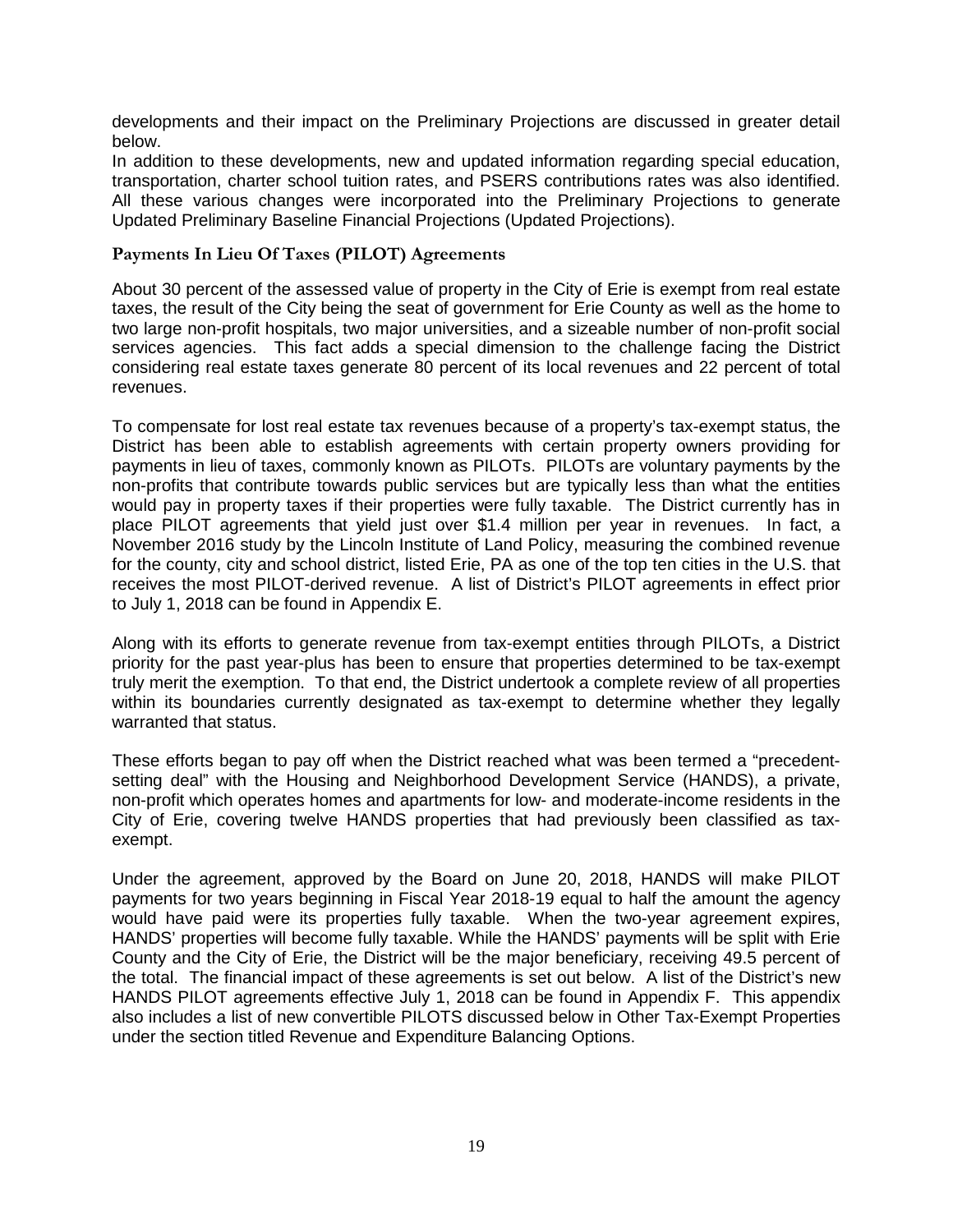developments and their impact on the Preliminary Projections are discussed in greater detail below.

In addition to these developments, new and updated information regarding special education, transportation, charter school tuition rates, and PSERS contributions rates was also identified. All these various changes were incorporated into the Preliminary Projections to generate Updated Preliminary Baseline Financial Projections (Updated Projections).

#### <span id="page-18-0"></span>**Payments In Lieu Of Taxes (PILOT) Agreements**

About 30 percent of the assessed value of property in the City of Erie is exempt from real estate taxes, the result of the City being the seat of government for Erie County as well as the home to two large non-profit hospitals, two major universities, and a sizeable number of non-profit social services agencies. This fact adds a special dimension to the challenge facing the District considering real estate taxes generate 80 percent of its local revenues and 22 percent of total revenues.

To compensate for lost real estate tax revenues because of a property's tax-exempt status, the District has been able to establish agreements with certain property owners providing for payments in lieu of taxes, commonly known as PILOTs. PILOTs are voluntary payments by the non-profits that contribute towards public services but are typically less than what the entities would pay in property taxes if their properties were fully taxable. The District currently has in place PILOT agreements that yield just over \$1.4 million per year in revenues. In fact, a November 2016 study by the Lincoln Institute of Land Policy, measuring the combined revenue for the county, city and school district, listed Erie, PA as one of the top ten cities in the U.S. that receives the most PILOT-derived revenue. A list of District's PILOT agreements in effect prior to July 1, 2018 can be found in Appendix E.

Along with its efforts to generate revenue from tax-exempt entities through PILOTs, a District priority for the past year-plus has been to ensure that properties determined to be tax-exempt truly merit the exemption. To that end, the District undertook a complete review of all properties within its boundaries currently designated as tax-exempt to determine whether they legally warranted that status.

These efforts began to pay off when the District reached what was been termed a "precedentsetting deal" with the Housing and Neighborhood Development Service (HANDS), a private, non-profit which operates homes and apartments for low- and moderate-income residents in the City of Erie, covering twelve HANDS properties that had previously been classified as taxexempt.

Under the agreement, approved by the Board on June 20, 2018, HANDS will make PILOT payments for two years beginning in Fiscal Year 2018-19 equal to half the amount the agency would have paid were its properties fully taxable. When the two-year agreement expires, HANDS' properties will become fully taxable. While the HANDS' payments will be split with Erie County and the City of Erie, the District will be the major beneficiary, receiving 49.5 percent of the total. The financial impact of these agreements is set out below. A list of the District's new HANDS PILOT agreements effective July 1, 2018 can be found in Appendix F. This appendix also includes a list of new convertible PILOTS discussed below in Other Tax-Exempt Properties under the section titled Revenue and Expenditure Balancing Options.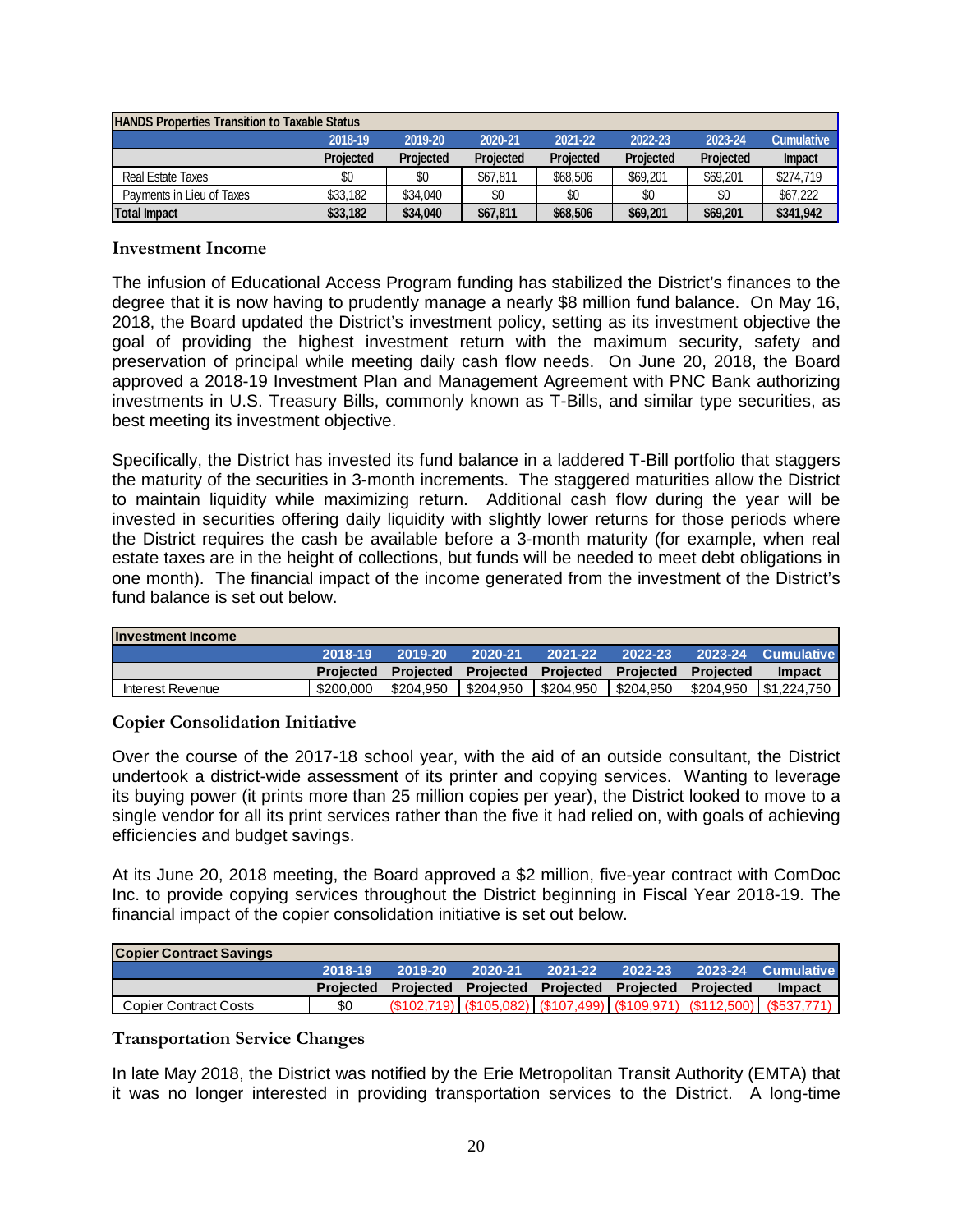| <b>HANDS Properties Transition to Taxable Status</b>                                |                  |                  |           |                  |           |                  |               |  |  |  |
|-------------------------------------------------------------------------------------|------------------|------------------|-----------|------------------|-----------|------------------|---------------|--|--|--|
| 2023-24<br>2018-19<br>2021-22<br><b>Cumulative</b><br>2019-20<br>2020-21<br>2022-23 |                  |                  |           |                  |           |                  |               |  |  |  |
|                                                                                     | <b>Projected</b> | <b>Projected</b> | Projected | <b>Projected</b> | Projected | <b>Projected</b> | <b>Impact</b> |  |  |  |
| Real Estate Taxes                                                                   | \$0              | \$0              | \$67.811  | \$68,506         | \$69,201  | \$69,201         | \$274,719     |  |  |  |
| Payments in Lieu of Taxes                                                           | \$33.182         | \$34,040         | \$0       | \$0              | \$0       | \$0              | \$67,222      |  |  |  |
| <b>Total Impact</b>                                                                 | \$33,182         | \$34,040         | \$67.811  | \$68,506         | \$69,201  | \$69,201         | \$341,942     |  |  |  |

#### <span id="page-19-0"></span>**Investment Income**

The infusion of Educational Access Program funding has stabilized the District's finances to the degree that it is now having to prudently manage a nearly \$8 million fund balance. On May 16, 2018, the Board updated the District's investment policy, setting as its investment objective the goal of providing the highest investment return with the maximum security, safety and preservation of principal while meeting daily cash flow needs. On June 20, 2018, the Board approved a 2018-19 Investment Plan and Management Agreement with PNC Bank authorizing investments in U.S. Treasury Bills, commonly known as T-Bills, and similar type securities, as best meeting its investment objective.

Specifically, the District has invested its fund balance in a laddered T-Bill portfolio that staggers the maturity of the securities in 3-month increments. The staggered maturities allow the District to maintain liquidity while maximizing return. Additional cash flow during the year will be invested in securities offering daily liquidity with slightly lower returns for those periods where the District requires the cash be available before a 3-month maturity (for example, when real estate taxes are in the height of collections, but funds will be needed to meet debt obligations in one month). The financial impact of the income generated from the investment of the District's fund balance is set out below.

| <b>Investment Income</b> |           |           |           |          |                                                   |                        |
|--------------------------|-----------|-----------|-----------|----------|---------------------------------------------------|------------------------|
|                          | 2018-19   | 2019-20   | 2020-21   | 2021-22  | $2022 - 23$                                       | 2023-24 Cumulative     |
|                          | Projected |           |           |          | Projected Projected Projected Projected Projected | <b>Impact</b>          |
| Interest Revenue         | \$200,000 | \$204.950 | \$204.950 | S204.950 | \$204,950                                         | \$204,950  \$1,224,750 |

#### <span id="page-19-1"></span>**Copier Consolidation Initiative**

Over the course of the 2017-18 school year, with the aid of an outside consultant, the District undertook a district-wide assessment of its printer and copying services. Wanting to leverage its buying power (it prints more than 25 million copies per year), the District looked to move to a single vendor for all its print services rather than the five it had relied on, with goals of achieving efficiencies and budget savings.

At its June 20, 2018 meeting, the Board approved a \$2 million, five-year contract with ComDoc Inc. to provide copying services throughout the District beginning in Fiscal Year 2018-19. The financial impact of the copier consolidation initiative is set out below.

| <b>Copier Contract Savings</b> |           |         |         |         |                                                   |                                                                          |
|--------------------------------|-----------|---------|---------|---------|---------------------------------------------------|--------------------------------------------------------------------------|
|                                | 2018-19   | 2019-20 | 2020-21 | 2021-22 | 2022-23                                           | 2023-24 Cumulative                                                       |
|                                | Projected |         |         |         | Projected Projected Projected Projected Projected | <b>Impact</b>                                                            |
| Copier Contract Costs          |           |         |         |         |                                                   | $(102,719)$ $(105,082)$ $(107,499)$ $(109,971)$ $(112,500)$ $(1537,771)$ |

#### <span id="page-19-2"></span>**Transportation Service Changes**

In late May 2018, the District was notified by the Erie Metropolitan Transit Authority (EMTA) that it was no longer interested in providing transportation services to the District. A long-time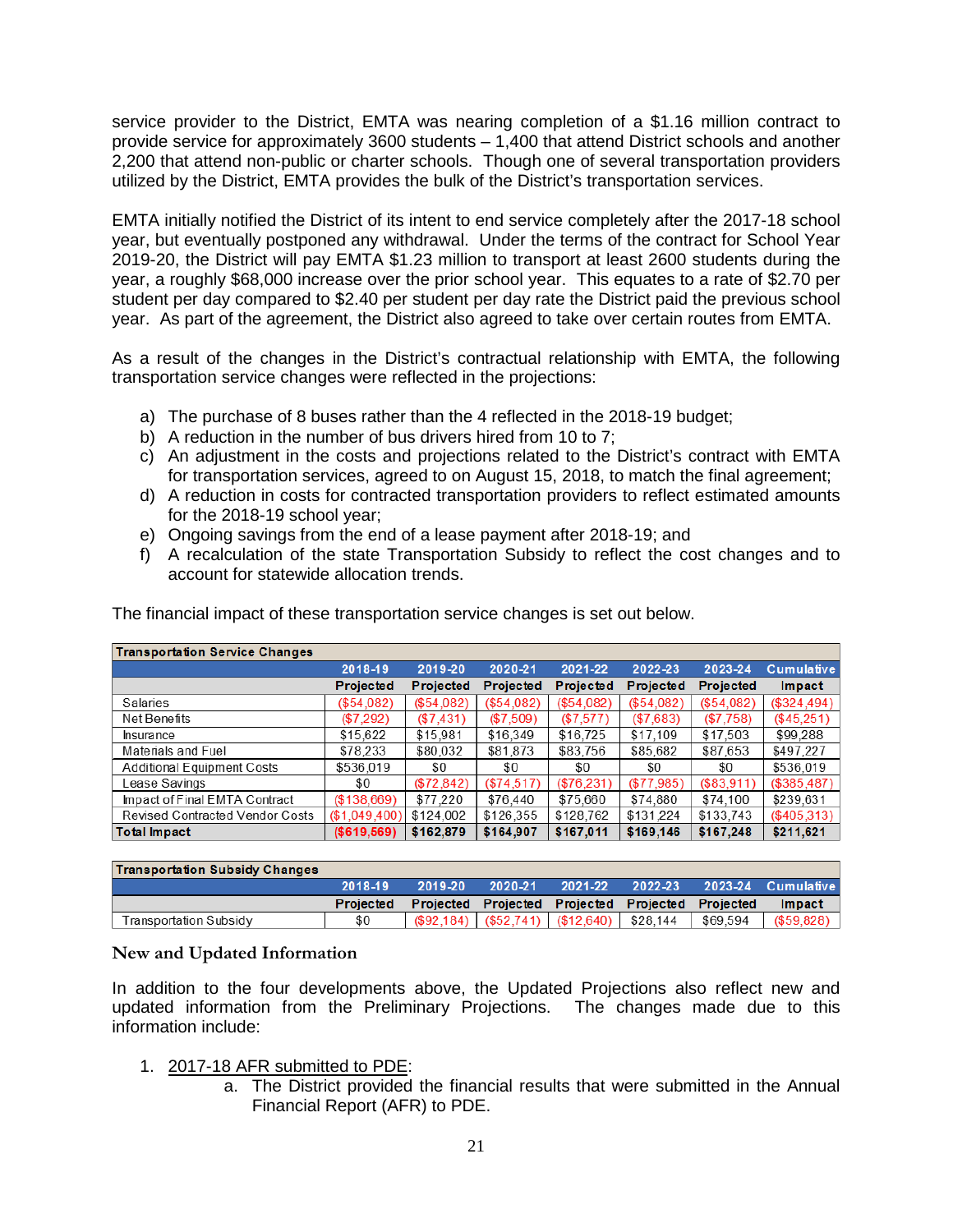service provider to the District, EMTA was nearing completion of a \$1.16 million contract to provide service for approximately 3600 students – 1,400 that attend District schools and another 2,200 that attend non-public or charter schools. Though one of several transportation providers utilized by the District, EMTA provides the bulk of the District's transportation services.

EMTA initially notified the District of its intent to end service completely after the 2017-18 school year, but eventually postponed any withdrawal. Under the terms of the contract for School Year 2019-20, the District will pay EMTA \$1.23 million to transport at least 2600 students during the year, a roughly \$68,000 increase over the prior school year. This equates to a rate of \$2.70 per student per day compared to \$2.40 per student per day rate the District paid the previous school year. As part of the agreement, the District also agreed to take over certain routes from EMTA.

As a result of the changes in the District's contractual relationship with EMTA, the following transportation service changes were reflected in the projections:

- a) The purchase of 8 buses rather than the 4 reflected in the 2018-19 budget;
- b) A reduction in the number of bus drivers hired from 10 to 7;
- c) An adjustment in the costs and projections related to the District's contract with EMTA for transportation services, agreed to on August 15, 2018, to match the final agreement;
- d) A reduction in costs for contracted transportation providers to reflect estimated amounts for the 2018-19 school year;
- e) Ongoing savings from the end of a lease payment after 2018-19; and
- f) A recalculation of the state Transportation Subsidy to reflect the cost changes and to account for statewide allocation trends.

| <b>Transportation Service Changes</b>  |               |                  |              |                  |                  |                  |                   |
|----------------------------------------|---------------|------------------|--------------|------------------|------------------|------------------|-------------------|
|                                        | 2018-19       | 2019-20          | 2020-21      | 2021-22          | 2022-23          | 2023-24          | <b>Cumulative</b> |
|                                        | Projected     | <b>Projected</b> | Projected    | <b>Projected</b> | <b>Projected</b> | <b>Projected</b> | Impact            |
| Salaries                               | (\$54.082)    | (\$54.082)       | (\$54.082)   | (\$54.082)       | (\$54.082)       | $(\$54.082)$     | (\$324,494)       |
| Net Benefits                           | (\$7,292)     | $(\$7,431)$      | (\$7.509)    | $(\$7,577)$      | (\$7,683)        | (\$7,758)        | $(\$45,251)$      |
| <b>Insurance</b>                       | \$15,622      | \$15,981         | \$16,349     | \$16,725         | \$17,109         | \$17,503         | \$99,288          |
| Materials and Fuel                     | \$78,233      | \$80,032         | \$81,873     | \$83,756         | \$85,682         | \$87,653         | \$497.227         |
| <b>Additional Equipment Costs</b>      | \$536,019     | \$0              | \$0          | \$0              | \$0              | \$0              | \$536.019         |
| Lease Savings                          | \$0           | $(\$72,842)$     | $(\$74,517)$ | $(\$76,231)$     | $(\$77,985)$     | $(\$83,911)$     | (\$385,487)       |
| Impact of Final EMTA Contract          | (\$138,669)   | \$77,220         | \$76,440     | \$75,660         | \$74,880         | \$74,100         | \$239.631         |
| <b>Revised Contracted Vendor Costs</b> | (\$1,049,400) | \$124,002        | \$126,355    | \$128,762        | \$131,224        | \$133,743        | $(\$405,313)$     |
| <b>Total Impact</b>                    | (\$619,569)   | \$162,879        | \$164,907    | \$167,011        | \$169,146        | \$167,248        | \$211,621         |

The financial impact of these transportation service changes is set out below.

| <b>Transportation Subsidy Changes</b> |                  |         |             |                                                   |                                                   |          |                    |
|---------------------------------------|------------------|---------|-------------|---------------------------------------------------|---------------------------------------------------|----------|--------------------|
|                                       | 2018-19          | 2019-20 | $2020 - 21$ | 2021-22                                           | 2022-23                                           |          | 2023-24 Cumulative |
|                                       | <b>Projected</b> |         |             |                                                   | Projected Projected Projected Projected Projected |          | Impact             |
| Transportation Subsidv                | \$0              |         |             | $(\$92.184)$ $(\$52.741)$ $(\$12.640)$ $\$28.144$ |                                                   | \$69.594 | (\$59,828)         |

#### <span id="page-20-0"></span>**New and Updated Information**

In addition to the four developments above, the Updated Projections also reflect new and updated information from the Preliminary Projections. The changes made due to this information include:

- 1. 2017-18 AFR submitted to PDE:
	- a. The District provided the financial results that were submitted in the Annual Financial Report (AFR) to PDE.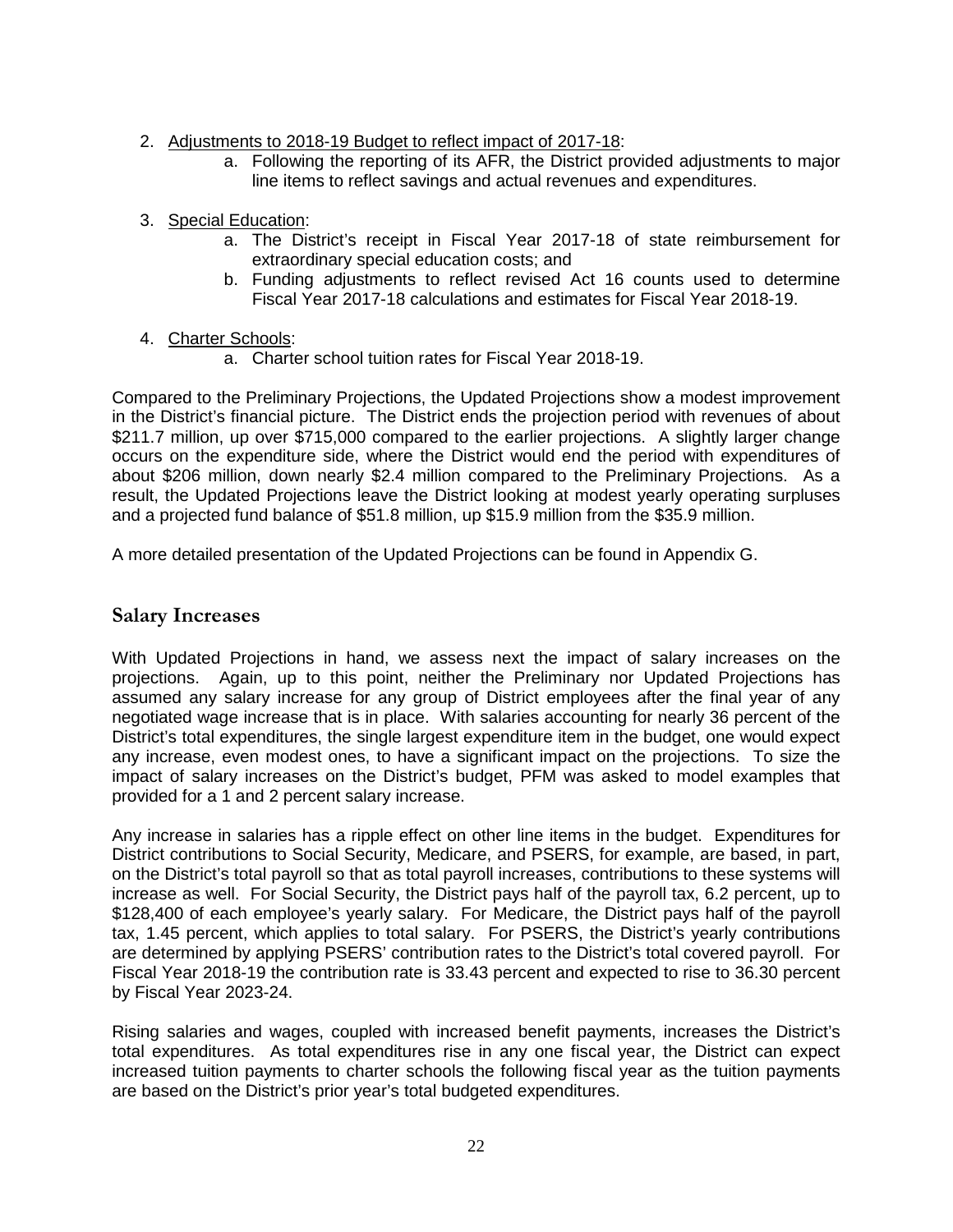- 2. Adjustments to 2018-19 Budget to reflect impact of 2017-18:
	- a. Following the reporting of its AFR, the District provided adjustments to major line items to reflect savings and actual revenues and expenditures.
- 3. Special Education:
	- a. The District's receipt in Fiscal Year 2017-18 of state reimbursement for extraordinary special education costs; and
	- b. Funding adjustments to reflect revised Act 16 counts used to determine Fiscal Year 2017-18 calculations and estimates for Fiscal Year 2018-19.
- 4. Charter Schools:
	- a. Charter school tuition rates for Fiscal Year 2018-19.

Compared to the Preliminary Projections, the Updated Projections show a modest improvement in the District's financial picture. The District ends the projection period with revenues of about \$211.7 million, up over \$715,000 compared to the earlier projections. A slightly larger change occurs on the expenditure side, where the District would end the period with expenditures of about \$206 million, down nearly \$2.4 million compared to the Preliminary Projections. As a result, the Updated Projections leave the District looking at modest yearly operating surpluses and a projected fund balance of \$51.8 million, up \$15.9 million from the \$35.9 million.

A more detailed presentation of the Updated Projections can be found in Appendix G.

## <span id="page-21-0"></span>**Salary Increases**

With Updated Projections in hand, we assess next the impact of salary increases on the projections. Again, up to this point, neither the Preliminary nor Updated Projections has assumed any salary increase for any group of District employees after the final year of any negotiated wage increase that is in place. With salaries accounting for nearly 36 percent of the District's total expenditures, the single largest expenditure item in the budget, one would expect any increase, even modest ones, to have a significant impact on the projections. To size the impact of salary increases on the District's budget, PFM was asked to model examples that provided for a 1 and 2 percent salary increase.

Any increase in salaries has a ripple effect on other line items in the budget. Expenditures for District contributions to Social Security, Medicare, and PSERS, for example, are based, in part, on the District's total payroll so that as total payroll increases, contributions to these systems will increase as well. For Social Security, the District pays half of the payroll tax, 6.2 percent, up to \$128,400 of each employee's yearly salary. For Medicare, the District pays half of the payroll tax, 1.45 percent, which applies to total salary. For PSERS, the District's yearly contributions are determined by applying PSERS' contribution rates to the District's total covered payroll. For Fiscal Year 2018-19 the contribution rate is 33.43 percent and expected to rise to 36.30 percent by Fiscal Year 2023-24.

Rising salaries and wages, coupled with increased benefit payments, increases the District's total expenditures. As total expenditures rise in any one fiscal year, the District can expect increased tuition payments to charter schools the following fiscal year as the tuition payments are based on the District's prior year's total budgeted expenditures.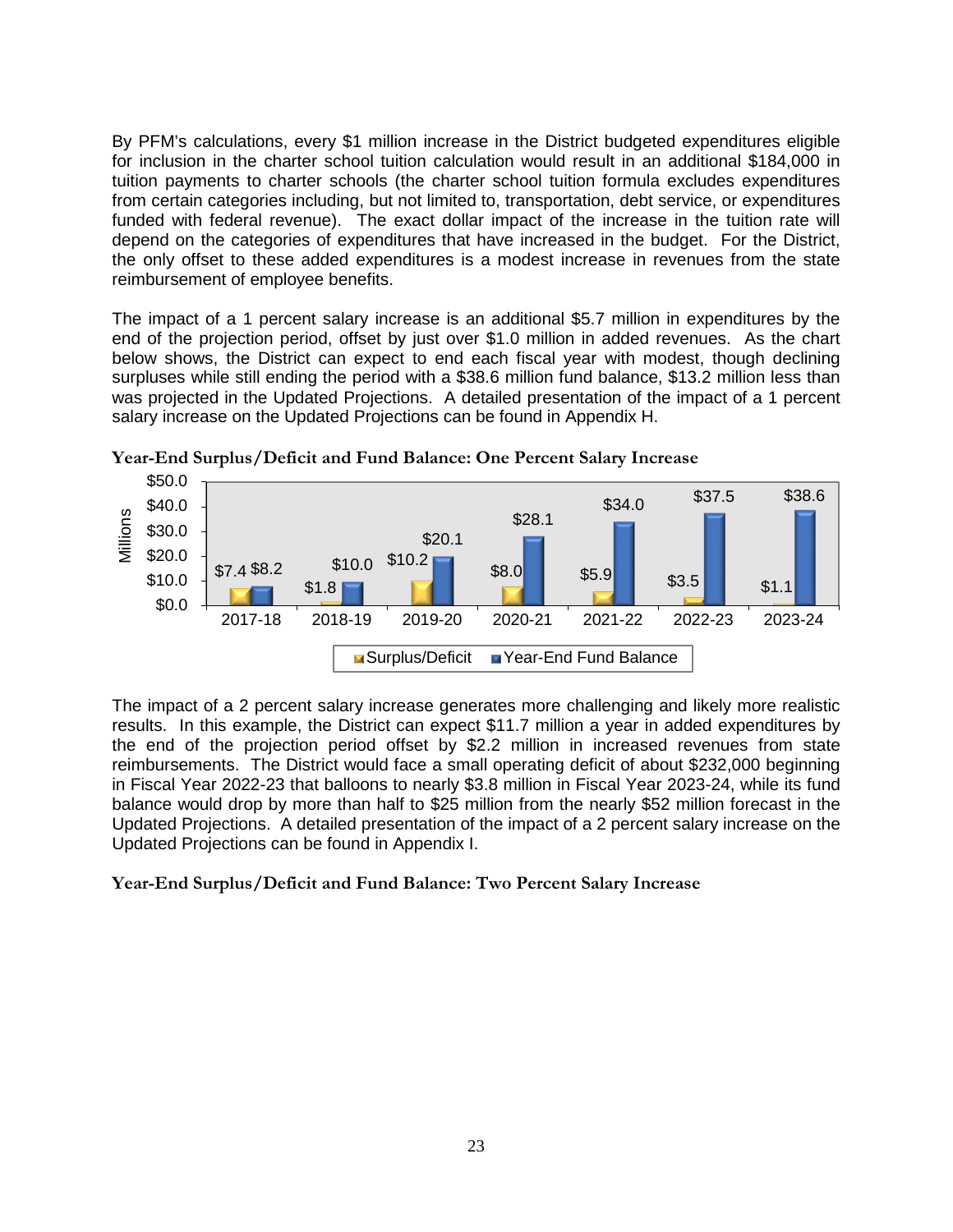By PFM's calculations, every \$1 million increase in the District budgeted expenditures eligible for inclusion in the charter school tuition calculation would result in an additional \$184,000 in tuition payments to charter schools (the charter school tuition formula excludes expenditures from certain categories including, but not limited to, transportation, debt service, or expenditures funded with federal revenue). The exact dollar impact of the increase in the tuition rate will depend on the categories of expenditures that have increased in the budget. For the District, the only offset to these added expenditures is a modest increase in revenues from the state reimbursement of employee benefits.

The impact of a 1 percent salary increase is an additional \$5.7 million in expenditures by the end of the projection period, offset by just over \$1.0 million in added revenues. As the chart below shows, the District can expect to end each fiscal year with modest, though declining surpluses while still ending the period with a \$38.6 million fund balance, \$13.2 million less than was projected in the Updated Projections. A detailed presentation of the impact of a 1 percent salary increase on the Updated Projections can be found in Appendix H.



**Year-End Surplus/Deficit and Fund Balance: One Percent Salary Increase**

The impact of a 2 percent salary increase generates more challenging and likely more realistic results. In this example, the District can expect \$11.7 million a year in added expenditures by the end of the projection period offset by \$2.2 million in increased revenues from state reimbursements. The District would face a small operating deficit of about \$232,000 beginning in Fiscal Year 2022-23 that balloons to nearly \$3.8 million in Fiscal Year 2023-24, while its fund balance would drop by more than half to \$25 million from the nearly \$52 million forecast in the Updated Projections. A detailed presentation of the impact of a 2 percent salary increase on the Updated Projections can be found in Appendix I.

#### **Year-End Surplus/Deficit and Fund Balance: Two Percent Salary Increase**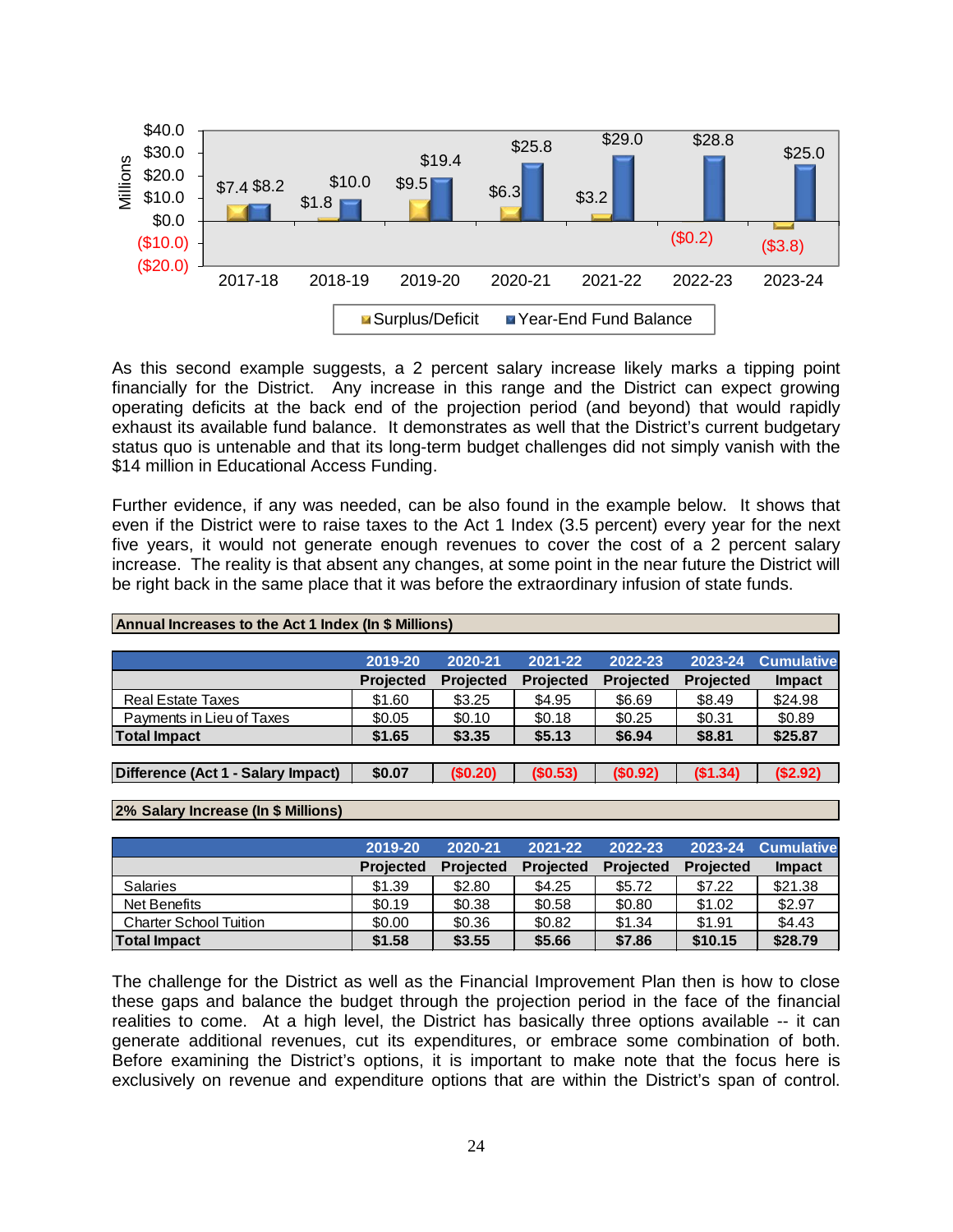

As this second example suggests, a 2 percent salary increase likely marks a tipping point financially for the District. Any increase in this range and the District can expect growing operating deficits at the back end of the projection period (and beyond) that would rapidly exhaust its available fund balance. It demonstrates as well that the District's current budgetary status quo is untenable and that its long-term budget challenges did not simply vanish with the \$14 million in Educational Access Funding.

Further evidence, if any was needed, can be also found in the example below. It shows that even if the District were to raise taxes to the Act 1 Index (3.5 percent) every year for the next five years, it would not generate enough revenues to cover the cost of a 2 percent salary increase. The reality is that absent any changes, at some point in the near future the District will be right back in the same place that it was before the extraordinary infusion of state funds.

| Annual Increases to the Act 1 Index (In \$ Millions) |                  |                  |                  |                  |                  |                   |  |  |  |  |
|------------------------------------------------------|------------------|------------------|------------------|------------------|------------------|-------------------|--|--|--|--|
|                                                      |                  |                  |                  |                  |                  |                   |  |  |  |  |
|                                                      | 2019-20          | 2020-21          | 2021-22          | 2022-23          | 2023-24          | <b>Cumulative</b> |  |  |  |  |
|                                                      | <b>Projected</b> | <b>Projected</b> | <b>Projected</b> | <b>Projected</b> | <b>Projected</b> | <b>Impact</b>     |  |  |  |  |
| <b>Real Estate Taxes</b>                             | \$1.60           | \$3.25           | \$4.95           | \$6.69           | \$8.49           | \$24.98           |  |  |  |  |
| Payments in Lieu of Taxes                            | \$0.05           | \$0.10           | \$0.18           | \$0.25           | \$0.31           | \$0.89            |  |  |  |  |
| <b>Total Impact</b>                                  | \$1.65           | \$3.35           | \$5.13           | \$6.94           | \$8.81           | \$25.87           |  |  |  |  |
|                                                      |                  |                  |                  |                  |                  |                   |  |  |  |  |
| Difference (Act 1 - Salary Impact)                   | \$0.07           | (\$0.20)         | (\$0.53)         | (\$0.92)         | (\$1.34)         | (\$2.92)          |  |  |  |  |

#### **2% Salary Increase (In \$ Millions)**

|                               | 2019-20          | 2020-21          | 2021-22          | 2022-23          | 2023-24          | <b>Cumulative</b> |
|-------------------------------|------------------|------------------|------------------|------------------|------------------|-------------------|
|                               | <b>Projected</b> | <b>Projected</b> | <b>Projected</b> | <b>Projected</b> | <b>Projected</b> | <b>Impact</b>     |
| <b>Salaries</b>               | \$1.39           | \$2.80           | \$4.25           | \$5.72           | \$7.22           | \$21.38           |
| Net Benefits                  | \$0.19           | \$0.38           | \$0.58           | \$0.80           | \$1.02           | \$2.97            |
| <b>Charter School Tuition</b> | \$0.00           | \$0.36           | \$0.82           | \$1.34           | \$1.91           | \$4.43            |
| <b>Total Impact</b>           | \$1.58           | \$3.55           | \$5.66           | \$7.86           | \$10.15          | \$28.79           |

The challenge for the District as well as the Financial Improvement Plan then is how to close these gaps and balance the budget through the projection period in the face of the financial realities to come. At a high level, the District has basically three options available -- it can generate additional revenues, cut its expenditures, or embrace some combination of both. Before examining the District's options, it is important to make note that the focus here is exclusively on revenue and expenditure options that are within the District's span of control.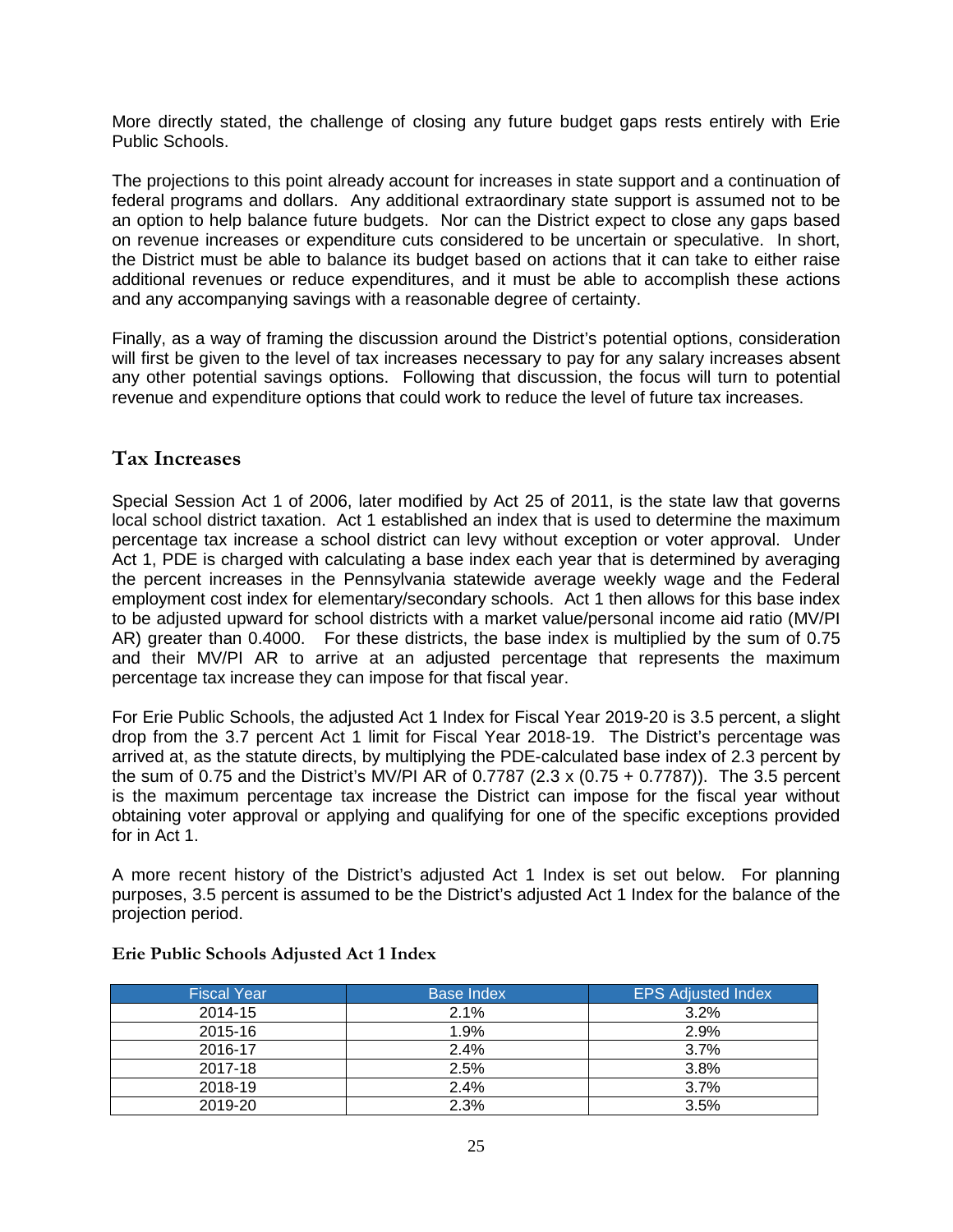More directly stated, the challenge of closing any future budget gaps rests entirely with Erie Public Schools.

The projections to this point already account for increases in state support and a continuation of federal programs and dollars. Any additional extraordinary state support is assumed not to be an option to help balance future budgets. Nor can the District expect to close any gaps based on revenue increases or expenditure cuts considered to be uncertain or speculative. In short, the District must be able to balance its budget based on actions that it can take to either raise additional revenues or reduce expenditures, and it must be able to accomplish these actions and any accompanying savings with a reasonable degree of certainty.

Finally, as a way of framing the discussion around the District's potential options, consideration will first be given to the level of tax increases necessary to pay for any salary increases absent any other potential savings options. Following that discussion, the focus will turn to potential revenue and expenditure options that could work to reduce the level of future tax increases.

# <span id="page-24-0"></span>**Tax Increases**

Special Session Act 1 of 2006, later modified by Act 25 of 2011, is the state law that governs local school district taxation. Act 1 established an index that is used to determine the maximum percentage tax increase a school district can levy without exception or voter approval. Under Act 1, PDE is charged with calculating a base index each year that is determined by averaging the percent increases in the Pennsylvania statewide average weekly wage and the Federal employment cost index for elementary/secondary schools. Act 1 then allows for this base index to be adjusted upward for school districts with a market value/personal income aid ratio (MV/PI AR) greater than 0.4000. For these districts, the base index is multiplied by the sum of 0.75 and their MV/PI AR to arrive at an adjusted percentage that represents the maximum percentage tax increase they can impose for that fiscal year.

For Erie Public Schools, the adjusted Act 1 Index for Fiscal Year 2019-20 is 3.5 percent, a slight drop from the 3.7 percent Act 1 limit for Fiscal Year 2018-19. The District's percentage was arrived at, as the statute directs, by multiplying the PDE-calculated base index of 2.3 percent by the sum of 0.75 and the District's MV/PI AR of 0.7787 (2.3 x (0.75 + 0.7787)). The 3.5 percent is the maximum percentage tax increase the District can impose for the fiscal year without obtaining voter approval or applying and qualifying for one of the specific exceptions provided for in Act 1.

A more recent history of the District's adjusted Act 1 Index is set out below. For planning purposes, 3.5 percent is assumed to be the District's adjusted Act 1 Index for the balance of the projection period.

| <b>Fiscal Year</b> | <b>Base Index</b> | <b>EPS Adjusted Index</b> |
|--------------------|-------------------|---------------------------|
| 2014-15            | 2.1%              | 3.2%                      |
| 2015-16            | 1.9%              | 2.9%                      |
| 2016-17            | 2.4%              | 3.7%                      |
| 2017-18            | 2.5%              | 3.8%                      |
| 2018-19            | 2.4%              | 3.7%                      |
| 2019-20            | 2.3%              | 3.5%                      |

#### **Erie Public Schools Adjusted Act 1 Index**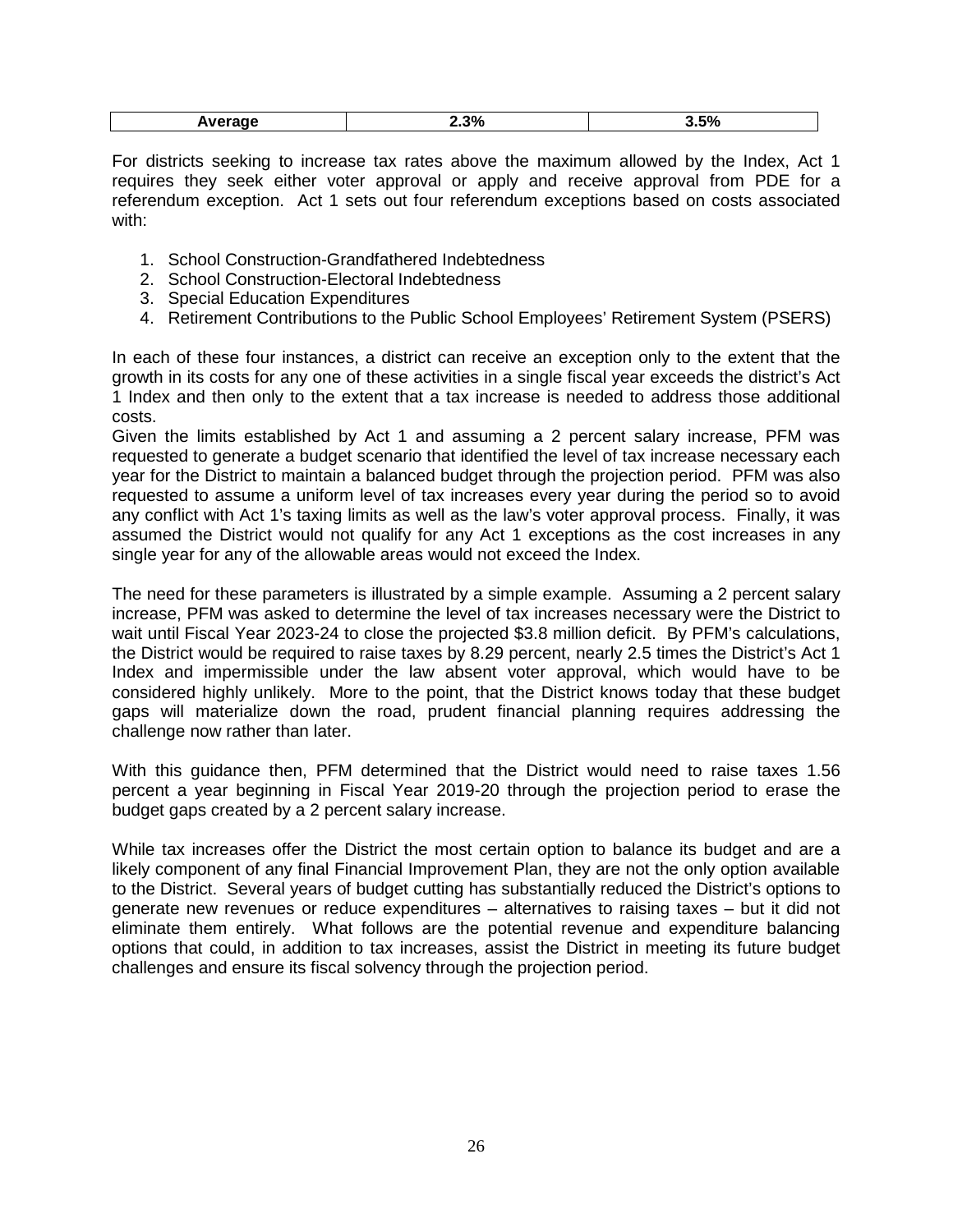| 5%<br>0 <sup>0</sup><br>7σ<br>$-1$<br>. |
|-----------------------------------------|
|-----------------------------------------|

For districts seeking to increase tax rates above the maximum allowed by the Index, Act 1 requires they seek either voter approval or apply and receive approval from PDE for a referendum exception. Act 1 sets out four referendum exceptions based on costs associated with:

- 1. School Construction-Grandfathered Indebtedness
- 2. School Construction-Electoral Indebtedness
- 3. Special Education Expenditures
- 4. Retirement Contributions to the Public School Employees' Retirement System (PSERS)

In each of these four instances, a district can receive an exception only to the extent that the growth in its costs for any one of these activities in a single fiscal year exceeds the district's Act 1 Index and then only to the extent that a tax increase is needed to address those additional costs.

Given the limits established by Act 1 and assuming a 2 percent salary increase, PFM was requested to generate a budget scenario that identified the level of tax increase necessary each year for the District to maintain a balanced budget through the projection period. PFM was also requested to assume a uniform level of tax increases every year during the period so to avoid any conflict with Act 1's taxing limits as well as the law's voter approval process. Finally, it was assumed the District would not qualify for any Act 1 exceptions as the cost increases in any single year for any of the allowable areas would not exceed the Index.

The need for these parameters is illustrated by a simple example. Assuming a 2 percent salary increase, PFM was asked to determine the level of tax increases necessary were the District to wait until Fiscal Year 2023-24 to close the projected \$3.8 million deficit. By PFM's calculations, the District would be required to raise taxes by 8.29 percent, nearly 2.5 times the District's Act 1 Index and impermissible under the law absent voter approval, which would have to be considered highly unlikely. More to the point, that the District knows today that these budget gaps will materialize down the road, prudent financial planning requires addressing the challenge now rather than later.

With this guidance then, PFM determined that the District would need to raise taxes 1.56 percent a year beginning in Fiscal Year 2019-20 through the projection period to erase the budget gaps created by a 2 percent salary increase.

While tax increases offer the District the most certain option to balance its budget and are a likely component of any final Financial Improvement Plan, they are not the only option available to the District. Several years of budget cutting has substantially reduced the District's options to generate new revenues or reduce expenditures – alternatives to raising taxes – but it did not eliminate them entirely. What follows are the potential revenue and expenditure balancing options that could, in addition to tax increases, assist the District in meeting its future budget challenges and ensure its fiscal solvency through the projection period.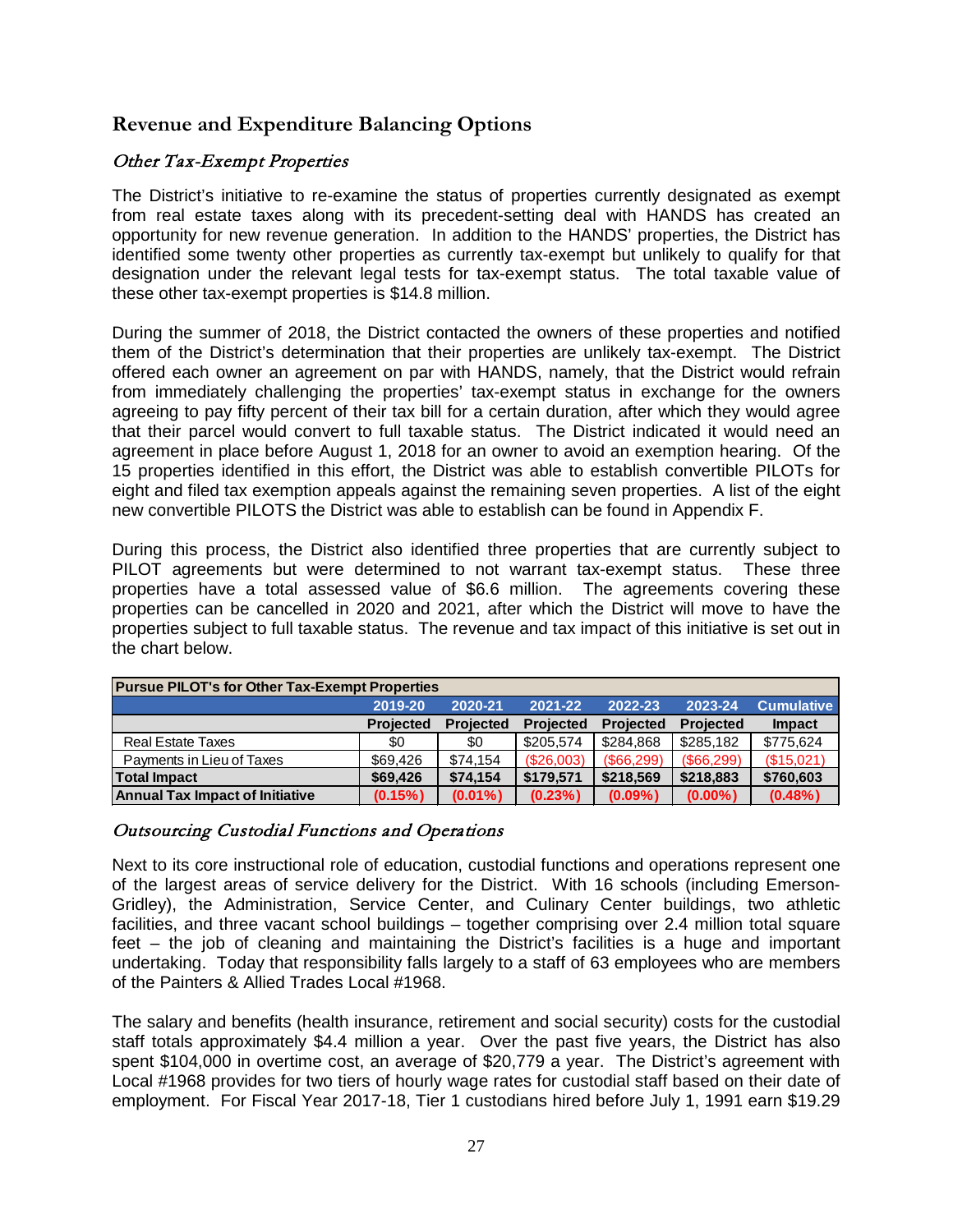# <span id="page-26-0"></span>**Revenue and Expenditure Balancing Options**

## <span id="page-26-1"></span>Other Tax-Exempt Properties

The District's initiative to re-examine the status of properties currently designated as exempt from real estate taxes along with its precedent-setting deal with HANDS has created an opportunity for new revenue generation. In addition to the HANDS' properties, the District has identified some twenty other properties as currently tax-exempt but unlikely to qualify for that designation under the relevant legal tests for tax-exempt status. The total taxable value of these other tax-exempt properties is \$14.8 million.

During the summer of 2018, the District contacted the owners of these properties and notified them of the District's determination that their properties are unlikely tax-exempt. The District offered each owner an agreement on par with HANDS, namely, that the District would refrain from immediately challenging the properties' tax-exempt status in exchange for the owners agreeing to pay fifty percent of their tax bill for a certain duration, after which they would agree that their parcel would convert to full taxable status. The District indicated it would need an agreement in place before August 1, 2018 for an owner to avoid an exemption hearing. Of the 15 properties identified in this effort, the District was able to establish convertible PILOTs for eight and filed tax exemption appeals against the remaining seven properties. A list of the eight new convertible PILOTS the District was able to establish can be found in Appendix F.

During this process, the District also identified three properties that are currently subject to PILOT agreements but were determined to not warrant tax-exempt status. These three properties have a total assessed value of \$6.6 million. The agreements covering these properties can be cancelled in 2020 and 2021, after which the District will move to have the properties subject to full taxable status. The revenue and tax impact of this initiative is set out in the chart below.

| <b>Pursue PILOT's for Other Tax-Exempt Properties</b> |                  |                  |                  |                  |                  |                   |  |  |  |  |  |
|-------------------------------------------------------|------------------|------------------|------------------|------------------|------------------|-------------------|--|--|--|--|--|
|                                                       | 2019-20          | 2020-21          | 2021-22          | 2022-23          | 2023-24          | <b>Cumulative</b> |  |  |  |  |  |
|                                                       | <b>Projected</b> | <b>Projected</b> | <b>Projected</b> | <b>Projected</b> | <b>Projected</b> | <b>Impact</b>     |  |  |  |  |  |
| <b>Real Estate Taxes</b>                              | \$0              | \$0              | \$205.574        | \$284.868        | \$285.182        | \$775,624         |  |  |  |  |  |
| Payments in Lieu of Taxes                             | \$69,426         | \$74.154         | (\$26,003)       | (S66.299)        | (\$66,299)       | (\$15,021)        |  |  |  |  |  |
| <b>Total Impact</b>                                   | \$69,426         | \$74.154         | \$179.571        | \$218,569        | \$218,883        | \$760,603         |  |  |  |  |  |
| <b>Annual Tax Impact of Initiative</b>                | $(0.15\%)$       | $(0.01\%)$       | $(0.23\%)$       | $(0.09\%)$       | $(0.00\%)$       | $(0.48\%)$        |  |  |  |  |  |

#### <span id="page-26-2"></span>Outsourcing Custodial Functions and Operations

Next to its core instructional role of education, custodial functions and operations represent one of the largest areas of service delivery for the District. With 16 schools (including Emerson-Gridley), the Administration, Service Center, and Culinary Center buildings, two athletic facilities, and three vacant school buildings – together comprising over 2.4 million total square feet – the job of cleaning and maintaining the District's facilities is a huge and important undertaking. Today that responsibility falls largely to a staff of 63 employees who are members of the Painters & Allied Trades Local #1968.

The salary and benefits (health insurance, retirement and social security) costs for the custodial staff totals approximately \$4.4 million a year. Over the past five years, the District has also spent \$104,000 in overtime cost, an average of \$20,779 a year. The District's agreement with Local #1968 provides for two tiers of hourly wage rates for custodial staff based on their date of employment. For Fiscal Year 2017-18, Tier 1 custodians hired before July 1, 1991 earn \$19.29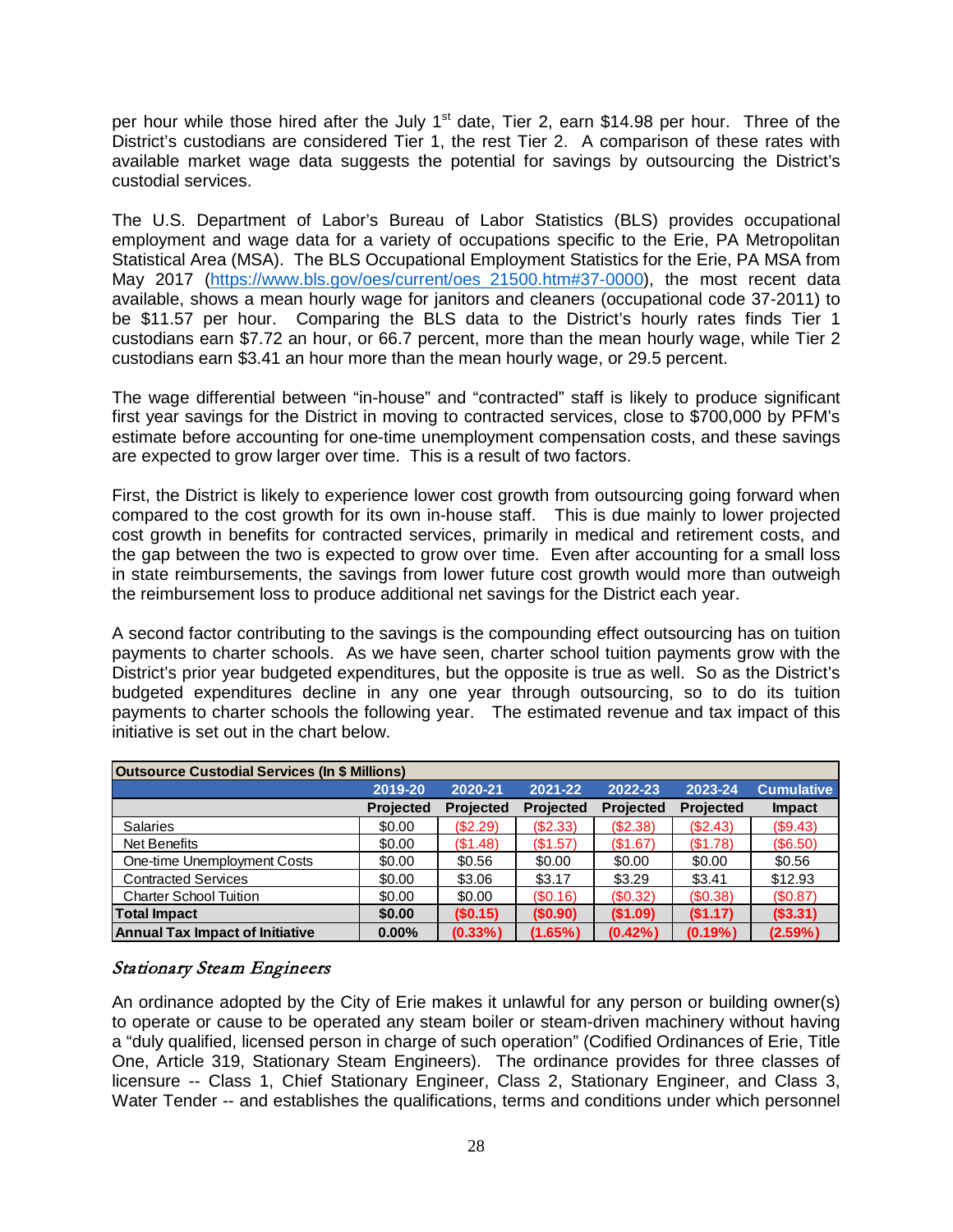per hour while those hired after the July 1<sup>st</sup> date, Tier 2, earn \$14.98 per hour. Three of the District's custodians are considered Tier 1, the rest Tier 2. A comparison of these rates with available market wage data suggests the potential for savings by outsourcing the District's custodial services.

The U.S. Department of Labor's Bureau of Labor Statistics (BLS) provides occupational employment and wage data for a variety of occupations specific to the Erie, PA Metropolitan Statistical Area (MSA). The BLS Occupational Employment Statistics for the Erie, PA MSA from May 2017 [\(https://www.bls.gov/oes/current/oes\\_21500.htm#37-0000\)](https://www.bls.gov/oes/current/oes_21500.htm#37-0000), the most recent data available, shows a mean hourly wage for janitors and cleaners (occupational code 37-2011) to be \$11.57 per hour. Comparing the BLS data to the District's hourly rates finds Tier 1 custodians earn \$7.72 an hour, or 66.7 percent, more than the mean hourly wage, while Tier 2 custodians earn \$3.41 an hour more than the mean hourly wage, or 29.5 percent.

The wage differential between "in-house" and "contracted" staff is likely to produce significant first year savings for the District in moving to contracted services, close to \$700,000 by PFM's estimate before accounting for one-time unemployment compensation costs, and these savings are expected to grow larger over time. This is a result of two factors.

First, the District is likely to experience lower cost growth from outsourcing going forward when compared to the cost growth for its own in-house staff. This is due mainly to lower projected cost growth in benefits for contracted services, primarily in medical and retirement costs, and the gap between the two is expected to grow over time. Even after accounting for a small loss in state reimbursements, the savings from lower future cost growth would more than outweigh the reimbursement loss to produce additional net savings for the District each year.

A second factor contributing to the savings is the compounding effect outsourcing has on tuition payments to charter schools. As we have seen, charter school tuition payments grow with the District's prior year budgeted expenditures, but the opposite is true as well. So as the District's budgeted expenditures decline in any one year through outsourcing, so to do its tuition payments to charter schools the following year. The estimated revenue and tax impact of this initiative is set out in the chart below.

| <b>Outsource Custodial Services (In \$ Millions)</b> |                  |                  |                  |                  |                  |                   |  |  |  |  |  |
|------------------------------------------------------|------------------|------------------|------------------|------------------|------------------|-------------------|--|--|--|--|--|
|                                                      | 2019-20          | 2020-21          | 2021-22          | 2022-23          | 2023-24          | <b>Cumulative</b> |  |  |  |  |  |
|                                                      | <b>Projected</b> | <b>Projected</b> | <b>Projected</b> | <b>Projected</b> | <b>Projected</b> | <b>Impact</b>     |  |  |  |  |  |
| <b>Salaries</b>                                      | \$0.00           | (\$2.29)         | (\$2.33)         | (S2.38)          | (S2.43)          | (S9.43)           |  |  |  |  |  |
| Net Benefits                                         | \$0.00           | (\$1.48)         | (\$1.57)         | (S1.67)          | (\$1.78)         | (S6.50)           |  |  |  |  |  |
| One-time Unemployment Costs                          | \$0.00           | \$0.56           | \$0.00           | \$0.00           | \$0.00           | \$0.56            |  |  |  |  |  |
| <b>Contracted Services</b>                           | \$0.00           | \$3.06           | \$3.17           | \$3.29           | \$3.41           | \$12.93           |  |  |  |  |  |
| <b>Charter School Tuition</b>                        | \$0.00           | \$0.00           | (\$0.16)         | (\$0.32)         | (\$0.38)         | (S0.87)           |  |  |  |  |  |
| <b>Total Impact</b>                                  | \$0.00           | (\$0.15)         | (S0.90)          | (\$1.09)         | (S1.17)          | (\$3.31)          |  |  |  |  |  |
| <b>Annual Tax Impact of Initiative</b>               | 0.00%            | $(0.33\%)$       | (1.65%)          | (0.42%           | $(0.19\%)$       | $(2.59\%)$        |  |  |  |  |  |

#### <span id="page-27-0"></span>Stationary Steam Engineers

An ordinance adopted by the City of Erie makes it unlawful for any person or building owner(s) to operate or cause to be operated any steam boiler or steam-driven machinery without having a "duly qualified, licensed person in charge of such operation" (Codified Ordinances of Erie, Title One, Article 319, Stationary Steam Engineers). The ordinance provides for three classes of licensure -- Class 1, Chief Stationary Engineer, Class 2, Stationary Engineer, and Class 3, Water Tender -- and establishes the qualifications, terms and conditions under which personnel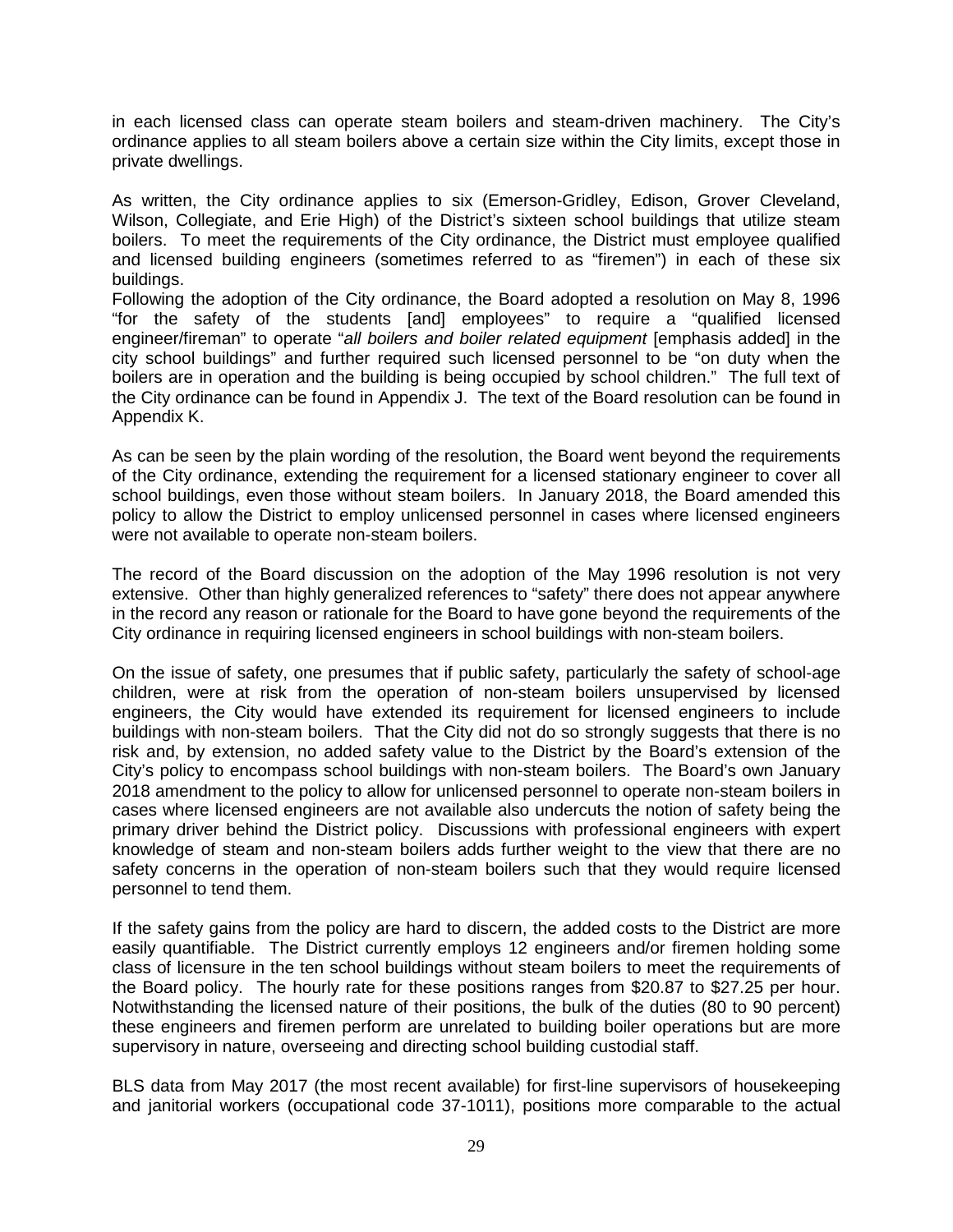in each licensed class can operate steam boilers and steam-driven machinery. The City's ordinance applies to all steam boilers above a certain size within the City limits, except those in private dwellings.

As written, the City ordinance applies to six (Emerson-Gridley, Edison, Grover Cleveland, Wilson, Collegiate, and Erie High) of the District's sixteen school buildings that utilize steam boilers. To meet the requirements of the City ordinance, the District must employee qualified and licensed building engineers (sometimes referred to as "firemen") in each of these six buildings.

Following the adoption of the City ordinance, the Board adopted a resolution on May 8, 1996 "for the safety of the students [and] employees" to require a "qualified licensed engineer/fireman" to operate "*all boilers and boiler related equipment* [emphasis added] in the city school buildings" and further required such licensed personnel to be "on duty when the boilers are in operation and the building is being occupied by school children." The full text of the City ordinance can be found in Appendix J. The text of the Board resolution can be found in Appendix K.

As can be seen by the plain wording of the resolution, the Board went beyond the requirements of the City ordinance, extending the requirement for a licensed stationary engineer to cover all school buildings, even those without steam boilers. In January 2018, the Board amended this policy to allow the District to employ unlicensed personnel in cases where licensed engineers were not available to operate non-steam boilers.

The record of the Board discussion on the adoption of the May 1996 resolution is not very extensive. Other than highly generalized references to "safety" there does not appear anywhere in the record any reason or rationale for the Board to have gone beyond the requirements of the City ordinance in requiring licensed engineers in school buildings with non-steam boilers.

On the issue of safety, one presumes that if public safety, particularly the safety of school-age children, were at risk from the operation of non-steam boilers unsupervised by licensed engineers, the City would have extended its requirement for licensed engineers to include buildings with non-steam boilers. That the City did not do so strongly suggests that there is no risk and, by extension, no added safety value to the District by the Board's extension of the City's policy to encompass school buildings with non-steam boilers. The Board's own January 2018 amendment to the policy to allow for unlicensed personnel to operate non-steam boilers in cases where licensed engineers are not available also undercuts the notion of safety being the primary driver behind the District policy. Discussions with professional engineers with expert knowledge of steam and non-steam boilers adds further weight to the view that there are no safety concerns in the operation of non-steam boilers such that they would require licensed personnel to tend them.

If the safety gains from the policy are hard to discern, the added costs to the District are more easily quantifiable. The District currently employs 12 engineers and/or firemen holding some class of licensure in the ten school buildings without steam boilers to meet the requirements of the Board policy. The hourly rate for these positions ranges from \$20.87 to \$27.25 per hour. Notwithstanding the licensed nature of their positions, the bulk of the duties (80 to 90 percent) these engineers and firemen perform are unrelated to building boiler operations but are more supervisory in nature, overseeing and directing school building custodial staff.

BLS data from May 2017 (the most recent available) for first-line supervisors of housekeeping and janitorial workers (occupational code 37-1011), positions more comparable to the actual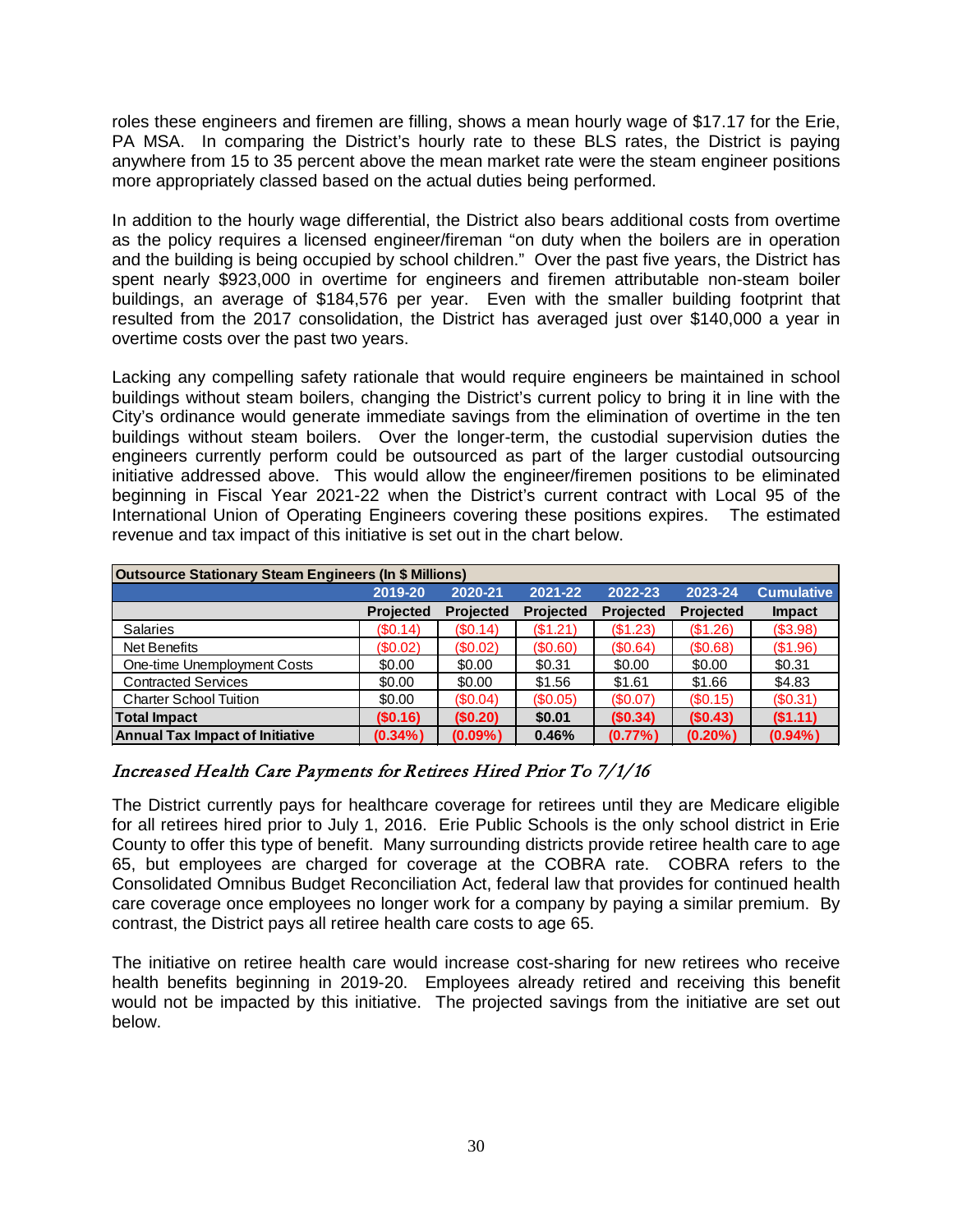roles these engineers and firemen are filling, shows a mean hourly wage of \$17.17 for the Erie, PA MSA. In comparing the District's hourly rate to these BLS rates, the District is paying anywhere from 15 to 35 percent above the mean market rate were the steam engineer positions more appropriately classed based on the actual duties being performed.

In addition to the hourly wage differential, the District also bears additional costs from overtime as the policy requires a licensed engineer/fireman "on duty when the boilers are in operation and the building is being occupied by school children." Over the past five years, the District has spent nearly \$923,000 in overtime for engineers and firemen attributable non-steam boiler buildings, an average of \$184,576 per year. Even with the smaller building footprint that resulted from the 2017 consolidation, the District has averaged just over \$140,000 a year in overtime costs over the past two years.

Lacking any compelling safety rationale that would require engineers be maintained in school buildings without steam boilers, changing the District's current policy to bring it in line with the City's ordinance would generate immediate savings from the elimination of overtime in the ten buildings without steam boilers. Over the longer-term, the custodial supervision duties the engineers currently perform could be outsourced as part of the larger custodial outsourcing initiative addressed above. This would allow the engineer/firemen positions to be eliminated beginning in Fiscal Year 2021-22 when the District's current contract with Local 95 of the International Union of Operating Engineers covering these positions expires. The estimated revenue and tax impact of this initiative is set out in the chart below.

| <b>Outsource Stationary Steam Engineers (In \$ Millions)</b> |                  |                  |                  |                  |                  |                   |  |  |  |  |  |
|--------------------------------------------------------------|------------------|------------------|------------------|------------------|------------------|-------------------|--|--|--|--|--|
|                                                              | 2019-20          | 2020-21          | 2021-22          | 2022-23          | 2023-24          | <b>Cumulative</b> |  |  |  |  |  |
|                                                              | <b>Projected</b> | <b>Projected</b> | <b>Projected</b> | <b>Projected</b> | <b>Projected</b> | <b>Impact</b>     |  |  |  |  |  |
| <b>Salaries</b>                                              | (S0.14)          | (S0.14)          | (\$1.21)         | (\$1.23)         | (\$1.26)         | (\$3.98)          |  |  |  |  |  |
| Net Benefits                                                 | (\$0.02)         | (\$0.02)         | (S0.60)          | (S0.64)          | (S0.68)          | (\$1.96)          |  |  |  |  |  |
| One-time Unemployment Costs                                  | \$0.00           | \$0.00           | \$0.31           | \$0.00           | \$0.00           | \$0.31            |  |  |  |  |  |
| <b>Contracted Services</b>                                   | \$0.00           | \$0.00           | \$1.56           | \$1.61           | \$1.66           | \$4.83            |  |  |  |  |  |
| <b>Charter School Tuition</b>                                | \$0.00           | (S0.04)          | (S0.05)          | (S0.07)          | (S0.15)          | (S0.31)           |  |  |  |  |  |
| <b>Total Impact</b>                                          | (S0.16)          | (\$0.20)         | \$0.01           | (S0.34)          | (S0.43)          | (\$1.11)          |  |  |  |  |  |
| <b>Annual Tax Impact of Initiative</b>                       | $(0.34\%)$       | $(0.09\%)$       | 0.46%            | (0.77%           | $(0.20\%)$       | $(0.94\%)$        |  |  |  |  |  |

# <span id="page-29-0"></span>Increased Health Care Payments for Retirees Hired Prior To 7/1/16

The District currently pays for healthcare coverage for retirees until they are Medicare eligible for all retirees hired prior to July 1, 2016. Erie Public Schools is the only school district in Erie County to offer this type of benefit. Many surrounding districts provide retiree health care to age 65, but employees are charged for coverage at the COBRA rate. COBRA refers to the Consolidated Omnibus Budget Reconciliation Act, federal law that provides for continued health care coverage once employees no longer work for a company by paying a similar premium. By contrast, the District pays all retiree health care costs to age 65.

The initiative on retiree health care would increase cost-sharing for new retirees who receive health benefits beginning in 2019-20. Employees already retired and receiving this benefit would not be impacted by this initiative. The projected savings from the initiative are set out below.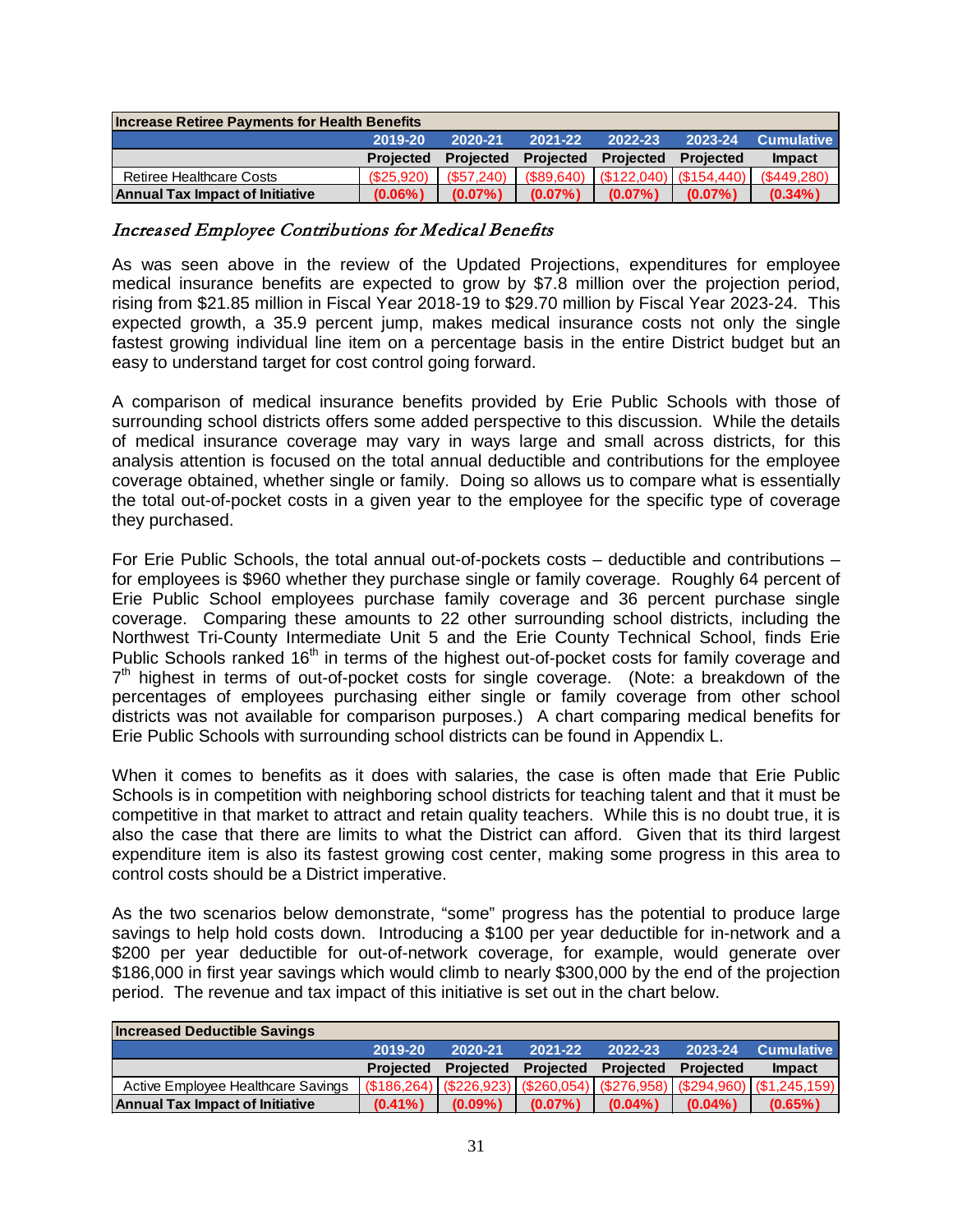| <b>Increase Retiree Payments for Health Benefits</b> |                  |                  |                                                |            |            |                   |  |  |  |  |
|------------------------------------------------------|------------------|------------------|------------------------------------------------|------------|------------|-------------------|--|--|--|--|
|                                                      | 2019-20          | $2020 - 21$      | 2021-22                                        | 2022-23    | 2023-24    | <b>Cumulative</b> |  |  |  |  |
|                                                      | <b>Projected</b> | <b>Projected</b> | <b>Projected Projected</b>                     |            | Projected  | <b>Impact</b>     |  |  |  |  |
| Retiree Healthcare Costs                             | (S25.920)        |                  | $(S57,240)$ (\$89,640) (\$122,040) (\$154,440) |            |            | (S449.280)        |  |  |  |  |
| <b>Annual Tax Impact of Initiative</b>               | $(0.06\%)$       | $(0.07\%)$       | $(0.07\%)$                                     | $(0.07\%)$ | $(0.07\%)$ | $(0.34\%)$        |  |  |  |  |

#### <span id="page-30-0"></span>Increased Employee Contributions for Medical Benefits

As was seen above in the review of the Updated Projections, expenditures for employee medical insurance benefits are expected to grow by \$7.8 million over the projection period, rising from \$21.85 million in Fiscal Year 2018-19 to \$29.70 million by Fiscal Year 2023-24. This expected growth, a 35.9 percent jump, makes medical insurance costs not only the single fastest growing individual line item on a percentage basis in the entire District budget but an easy to understand target for cost control going forward.

A comparison of medical insurance benefits provided by Erie Public Schools with those of surrounding school districts offers some added perspective to this discussion. While the details of medical insurance coverage may vary in ways large and small across districts, for this analysis attention is focused on the total annual deductible and contributions for the employee coverage obtained, whether single or family. Doing so allows us to compare what is essentially the total out-of-pocket costs in a given year to the employee for the specific type of coverage they purchased.

For Erie Public Schools, the total annual out-of-pockets costs – deductible and contributions – for employees is \$960 whether they purchase single or family coverage. Roughly 64 percent of Erie Public School employees purchase family coverage and 36 percent purchase single coverage. Comparing these amounts to 22 other surrounding school districts, including the Northwest Tri-County Intermediate Unit 5 and the Erie County Technical School, finds Erie Public Schools ranked 16<sup>th</sup> in terms of the highest out-of-pocket costs for family coverage and  $7<sup>th</sup>$  highest in terms of out-of-pocket costs for single coverage. (Note: a breakdown of the percentages of employees purchasing either single or family coverage from other school districts was not available for comparison purposes.) A chart comparing medical benefits for Erie Public Schools with surrounding school districts can be found in Appendix L.

When it comes to benefits as it does with salaries, the case is often made that Erie Public Schools is in competition with neighboring school districts for teaching talent and that it must be competitive in that market to attract and retain quality teachers. While this is no doubt true, it is also the case that there are limits to what the District can afford. Given that its third largest expenditure item is also its fastest growing cost center, making some progress in this area to control costs should be a District imperative.

As the two scenarios below demonstrate, "some" progress has the potential to produce large savings to help hold costs down. Introducing a \$100 per year deductible for in-network and a \$200 per year deductible for out-of-network coverage, for example, would generate over \$186,000 in first year savings which would climb to nearly \$300,000 by the end of the projection period. The revenue and tax impact of this initiative is set out in the chart below.

| <b>Increased Deductible Savings</b>    |                  |            |                                      |            |             |                                                                                                      |
|----------------------------------------|------------------|------------|--------------------------------------|------------|-------------|------------------------------------------------------------------------------------------------------|
|                                        | 2019-20          | 2020-21    | 2021-22                              | 2022-23    | $2023 - 24$ | <b>Cumulative</b>                                                                                    |
|                                        | <b>Projected</b> |            | <b>Projected Projected Projected</b> |            | Projected   | <b>Impact</b>                                                                                        |
| Active Employee Healthcare Savings     |                  |            |                                      |            |             | $($ \$186,264) $ $ (\$226,923) $ $ (\$260,054) $ $ (\$276,958) $ $ (\$294,960) $ $ (\$1,245,159) $ $ |
| <b>Annual Tax Impact of Initiative</b> | $(0.41\%)$       | $(0.09\%)$ | $(0.07\%)$                           | $(0.04\%)$ | $(0.04\%)$  | $(0.65\%)$                                                                                           |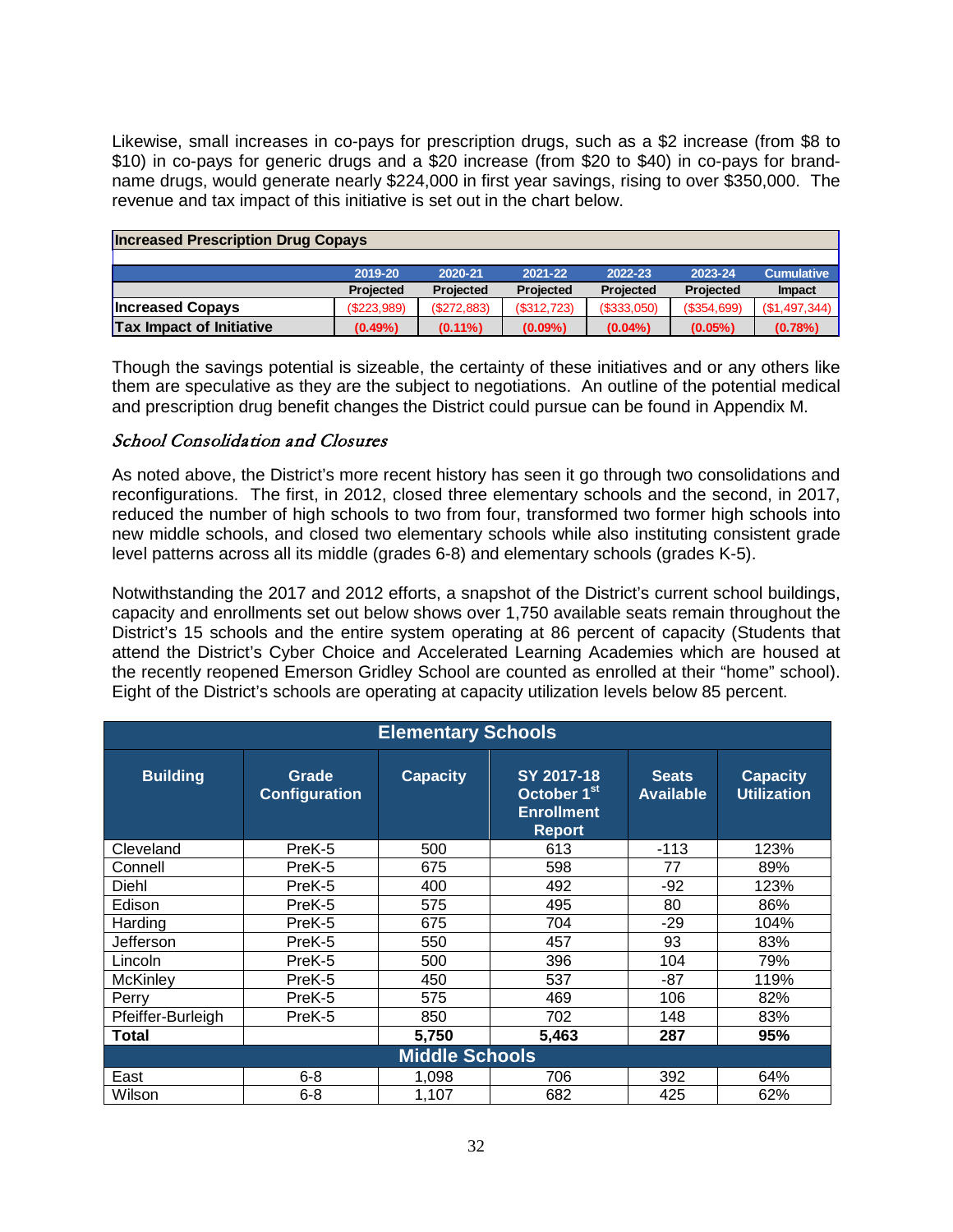Likewise, small increases in co-pays for prescription drugs, such as a \$2 increase (from \$8 to \$10) in co-pays for generic drugs and a \$20 increase (from \$20 to \$40) in co-pays for brandname drugs, would generate nearly \$224,000 in first year savings, rising to over \$350,000. The revenue and tax impact of this initiative is set out in the chart below.

| <b>Increased Prescription Drug Copays</b> |             |             |             |             |             |                   |  |  |  |  |
|-------------------------------------------|-------------|-------------|-------------|-------------|-------------|-------------------|--|--|--|--|
|                                           |             |             |             |             |             |                   |  |  |  |  |
|                                           | 2019-20     | 2020-21     | 2021-22     | 2022-23     | 2023-24     | <b>Cumulative</b> |  |  |  |  |
|                                           | Projected   | Projected   | Projected   | Projected   | Projected   | <b>Impact</b>     |  |  |  |  |
| <b>Increased Copays</b>                   | (\$223,989) | (S272, 883) | (\$312,723) | (\$333,050) | (\$354,699) | (\$1,497,344)     |  |  |  |  |
| <b>Tax Impact of Initiative</b>           | $(0.49\%)$  | $(0.11\%)$  | $(0.09\%)$  | $(0.04\%)$  | $(0.05\%)$  | (0.78%)           |  |  |  |  |

Though the savings potential is sizeable, the certainty of these initiatives and or any others like them are speculative as they are the subject to negotiations. An outline of the potential medical and prescription drug benefit changes the District could pursue can be found in Appendix M.

#### <span id="page-31-0"></span>School Consolidation and Closures

As noted above, the District's more recent history has seen it go through two consolidations and reconfigurations. The first, in 2012, closed three elementary schools and the second, in 2017, reduced the number of high schools to two from four, transformed two former high schools into new middle schools, and closed two elementary schools while also instituting consistent grade level patterns across all its middle (grades 6-8) and elementary schools (grades K-5).

Notwithstanding the 2017 and 2012 efforts, a snapshot of the District's current school buildings, capacity and enrollments set out below shows over 1,750 available seats remain throughout the District's 15 schools and the entire system operating at 86 percent of capacity (Students that attend the District's Cyber Choice and Accelerated Learning Academies which are housed at the recently reopened Emerson Gridley School are counted as enrolled at their "home" school). Eight of the District's schools are operating at capacity utilization levels below 85 percent.

|                   | <b>Elementary Schools</b>     |                       |                                                                             |                                  |                                       |  |  |  |  |  |  |  |
|-------------------|-------------------------------|-----------------------|-----------------------------------------------------------------------------|----------------------------------|---------------------------------------|--|--|--|--|--|--|--|
| <b>Building</b>   | Grade<br><b>Configuration</b> | <b>Capacity</b>       | SY 2017-18<br>October 1 <sup>st</sup><br><b>Enrollment</b><br><b>Report</b> | <b>Seats</b><br><b>Available</b> | <b>Capacity</b><br><b>Utilization</b> |  |  |  |  |  |  |  |
| Cleveland         | PreK-5                        | 500                   | 613                                                                         | $-113$                           | 123%                                  |  |  |  |  |  |  |  |
| Connell           | PreK-5                        | 675                   | 598                                                                         | 77                               | 89%                                   |  |  |  |  |  |  |  |
| Diehl             | PreK-5                        | 400                   | 492                                                                         | $-92$                            | 123%                                  |  |  |  |  |  |  |  |
| Edison            | PreK-5                        | 575                   | 495                                                                         | 80                               | 86%                                   |  |  |  |  |  |  |  |
| Harding           | PreK-5                        | 675                   | 704                                                                         | $-29$                            | 104%                                  |  |  |  |  |  |  |  |
| Jefferson         | PreK-5                        | 550                   | 457                                                                         | 93                               | 83%                                   |  |  |  |  |  |  |  |
| Lincoln           | PreK-5                        | 500                   | 396                                                                         | 104                              | 79%                                   |  |  |  |  |  |  |  |
| <b>McKinley</b>   | PreK-5                        | 450                   | 537                                                                         | $-87$                            | 119%                                  |  |  |  |  |  |  |  |
| Perry             | PreK-5                        | 575                   | 469                                                                         | 106                              | 82%                                   |  |  |  |  |  |  |  |
| Pfeiffer-Burleigh | PreK-5                        | 850                   | 702                                                                         | 148                              | 83%                                   |  |  |  |  |  |  |  |
| <b>Total</b>      |                               | 5,750                 | 5,463                                                                       | 287                              | 95%                                   |  |  |  |  |  |  |  |
|                   |                               | <b>Middle Schools</b> |                                                                             |                                  |                                       |  |  |  |  |  |  |  |
| East              | $6 - 8$                       | 1,098                 | 706                                                                         | 392                              | 64%                                   |  |  |  |  |  |  |  |
| Wilson            | $6 - 8$                       | 1,107                 | 682                                                                         | 425                              | 62%                                   |  |  |  |  |  |  |  |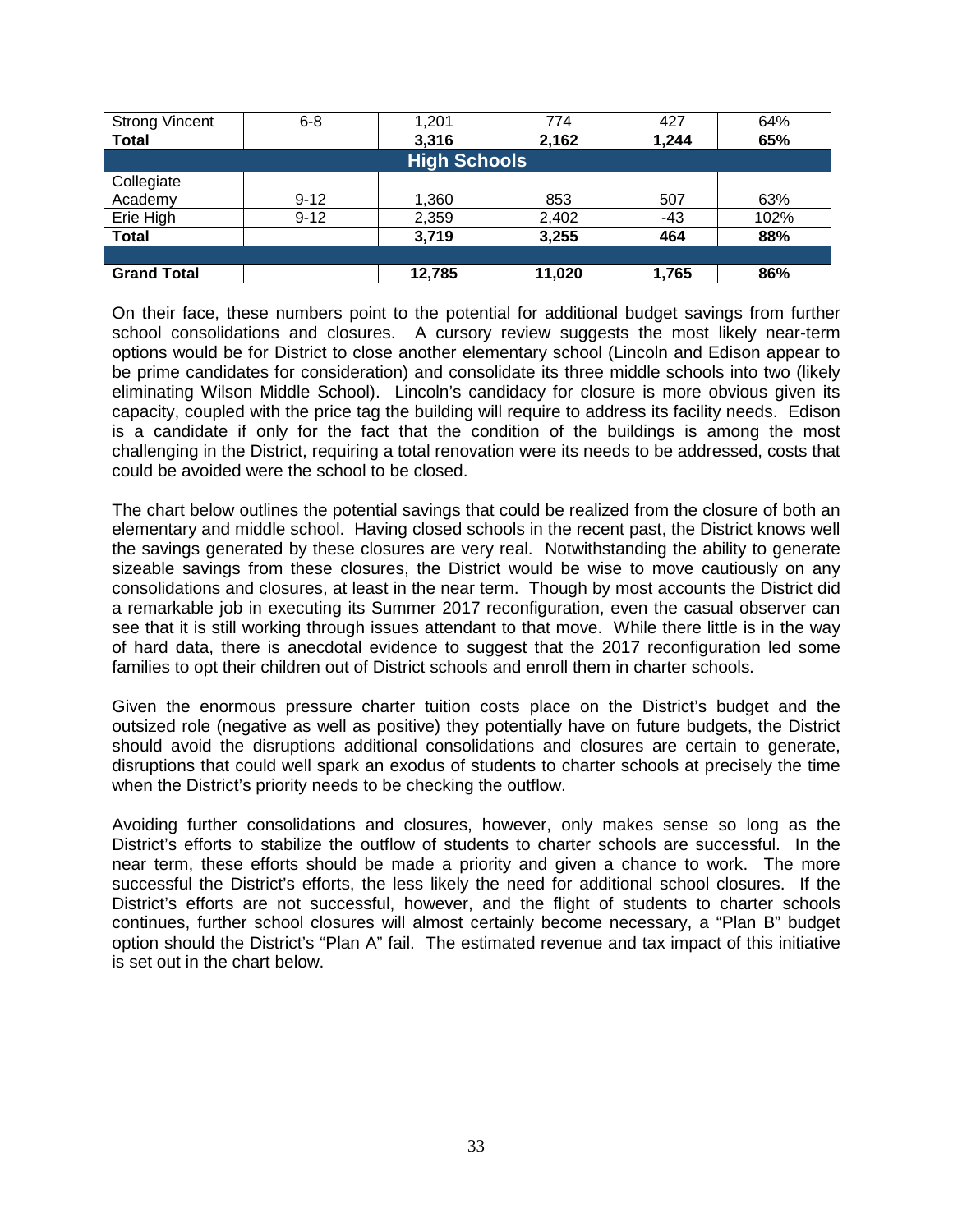| <b>Strong Vincent</b> | $6 - 8$  | 1,201  | 774    | 427   | 64%  |  |  |  |  |  |  |
|-----------------------|----------|--------|--------|-------|------|--|--|--|--|--|--|
| <b>Total</b>          |          | 3,316  | 2,162  | 1,244 | 65%  |  |  |  |  |  |  |
| <b>High Schools</b>   |          |        |        |       |      |  |  |  |  |  |  |
| Collegiate            |          |        |        |       |      |  |  |  |  |  |  |
| Academy               | $9 - 12$ | 1,360  | 853    | 507   | 63%  |  |  |  |  |  |  |
| Erie High             | $9 - 12$ | 2,359  | 2,402  | $-43$ | 102% |  |  |  |  |  |  |
| <b>Total</b>          |          | 3,719  | 3,255  | 464   | 88%  |  |  |  |  |  |  |
|                       |          |        |        |       |      |  |  |  |  |  |  |
| <b>Grand Total</b>    |          | 12,785 | 11,020 | 1,765 | 86%  |  |  |  |  |  |  |

On their face, these numbers point to the potential for additional budget savings from further school consolidations and closures. A cursory review suggests the most likely near-term options would be for District to close another elementary school (Lincoln and Edison appear to be prime candidates for consideration) and consolidate its three middle schools into two (likely eliminating Wilson Middle School). Lincoln's candidacy for closure is more obvious given its capacity, coupled with the price tag the building will require to address its facility needs. Edison is a candidate if only for the fact that the condition of the buildings is among the most challenging in the District, requiring a total renovation were its needs to be addressed, costs that could be avoided were the school to be closed.

The chart below outlines the potential savings that could be realized from the closure of both an elementary and middle school. Having closed schools in the recent past, the District knows well the savings generated by these closures are very real. Notwithstanding the ability to generate sizeable savings from these closures, the District would be wise to move cautiously on any consolidations and closures, at least in the near term. Though by most accounts the District did a remarkable job in executing its Summer 2017 reconfiguration, even the casual observer can see that it is still working through issues attendant to that move. While there little is in the way of hard data, there is anecdotal evidence to suggest that the 2017 reconfiguration led some families to opt their children out of District schools and enroll them in charter schools.

Given the enormous pressure charter tuition costs place on the District's budget and the outsized role (negative as well as positive) they potentially have on future budgets, the District should avoid the disruptions additional consolidations and closures are certain to generate, disruptions that could well spark an exodus of students to charter schools at precisely the time when the District's priority needs to be checking the outflow.

Avoiding further consolidations and closures, however, only makes sense so long as the District's efforts to stabilize the outflow of students to charter schools are successful. In the near term, these efforts should be made a priority and given a chance to work. The more successful the District's efforts, the less likely the need for additional school closures. If the District's efforts are not successful, however, and the flight of students to charter schools continues, further school closures will almost certainly become necessary, a "Plan B" budget option should the District's "Plan A" fail. The estimated revenue and tax impact of this initiative is set out in the chart below.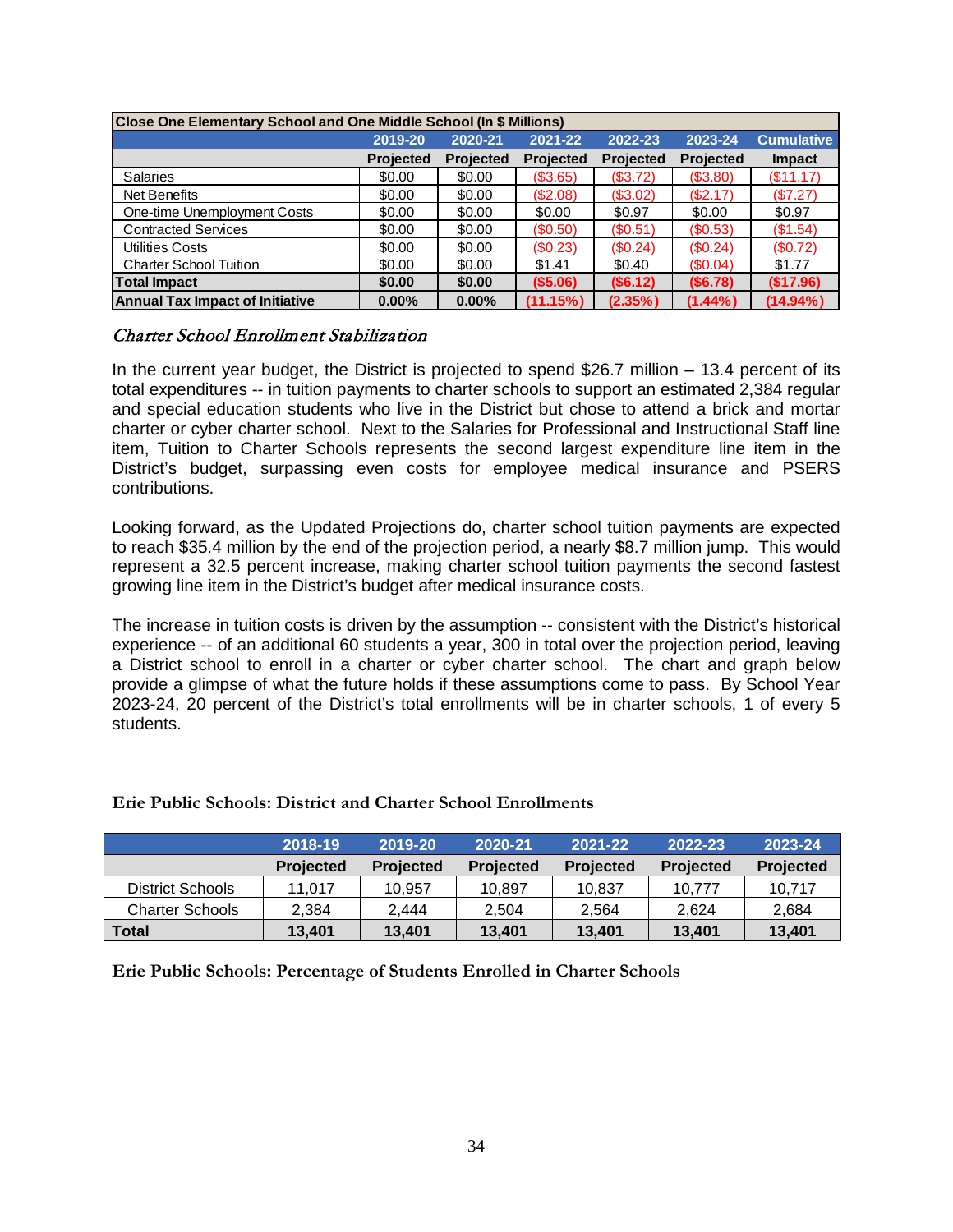| Close One Elementary School and One Middle School (In \$ Millions) |                  |                  |                  |                  |                  |                   |  |  |  |  |  |
|--------------------------------------------------------------------|------------------|------------------|------------------|------------------|------------------|-------------------|--|--|--|--|--|
|                                                                    | 2019-20          | 2020-21          | 2021-22          | 2022-23          | 2023-24          | <b>Cumulative</b> |  |  |  |  |  |
|                                                                    | <b>Projected</b> | <b>Projected</b> | <b>Projected</b> | <b>Projected</b> | <b>Projected</b> | <b>Impact</b>     |  |  |  |  |  |
| <b>Salaries</b>                                                    | \$0.00           | \$0.00           | (S3.65)          | (\$3.72)         | (\$3.80)         | (\$11.17)         |  |  |  |  |  |
| Net Benefits                                                       | \$0.00           | \$0.00           | (\$2.08)         | (\$3.02)         | (\$2.17)         | (S7.27)           |  |  |  |  |  |
| One-time Unemployment Costs                                        | \$0.00           | \$0.00           | \$0.00           | \$0.97           | \$0.00           | \$0.97            |  |  |  |  |  |
| <b>Contracted Services</b>                                         | \$0.00           | \$0.00           | (S0.50)          | (S0.51)          | (S0.53)          | (\$1.54)          |  |  |  |  |  |
| Utilities Costs                                                    | \$0.00           | \$0.00           | (\$0.23)         | (\$0.24)         | (S0.24)          | (S0.72)           |  |  |  |  |  |
| <b>Charter School Tuition</b>                                      | \$0.00           | \$0.00           | \$1.41           | \$0.40           | (S0.04)          | \$1.77            |  |  |  |  |  |
| <b>Total Impact</b>                                                | \$0.00           | \$0.00           | $($ \$5.06)      | (\$6.12)         | (S6.78)          | (\$17.96)         |  |  |  |  |  |
| <b>Annual Tax Impact of Initiative</b>                             | 0.00%            | $0.00\%$         | (11.15%)         | (2.35%)          | $(1.44\%)$       | $(14.94\%)$       |  |  |  |  |  |

#### <span id="page-33-0"></span>Charter School Enrollment Stabilization

In the current year budget, the District is projected to spend \$26.7 million  $-$  13.4 percent of its total expenditures -- in tuition payments to charter schools to support an estimated 2,384 regular and special education students who live in the District but chose to attend a brick and mortar charter or cyber charter school. Next to the Salaries for Professional and Instructional Staff line item, Tuition to Charter Schools represents the second largest expenditure line item in the District's budget, surpassing even costs for employee medical insurance and PSERS contributions.

Looking forward, as the Updated Projections do, charter school tuition payments are expected to reach \$35.4 million by the end of the projection period, a nearly \$8.7 million jump. This would represent a 32.5 percent increase, making charter school tuition payments the second fastest growing line item in the District's budget after medical insurance costs.

The increase in tuition costs is driven by the assumption -- consistent with the District's historical experience -- of an additional 60 students a year, 300 in total over the projection period, leaving a District school to enroll in a charter or cyber charter school. The chart and graph below provide a glimpse of what the future holds if these assumptions come to pass. By School Year 2023-24, 20 percent of the District's total enrollments will be in charter schools, 1 of every 5 students.

|                        | \2018-19         | 2019-20          | 2020-21          | 2021-22          | 2022-23          | 2023-24          |
|------------------------|------------------|------------------|------------------|------------------|------------------|------------------|
|                        | <b>Projected</b> | <b>Projected</b> | <b>Projected</b> | <b>Projected</b> | <b>Projected</b> | <b>Projected</b> |
| District Schools       | 11.017           | 10.957           | 10.897           | 10.837           | 10.777           | 10.717           |
| <b>Charter Schools</b> | 2.384            | 2.444            | 2.504            | 2,564            | 2.624            | 2.684            |
| Total                  | 13.401           | 13,401           | 13.401           | 13.401           | 13.401           | 13,401           |

#### **Erie Public Schools: District and Charter School Enrollments**

**Erie Public Schools: Percentage of Students Enrolled in Charter Schools**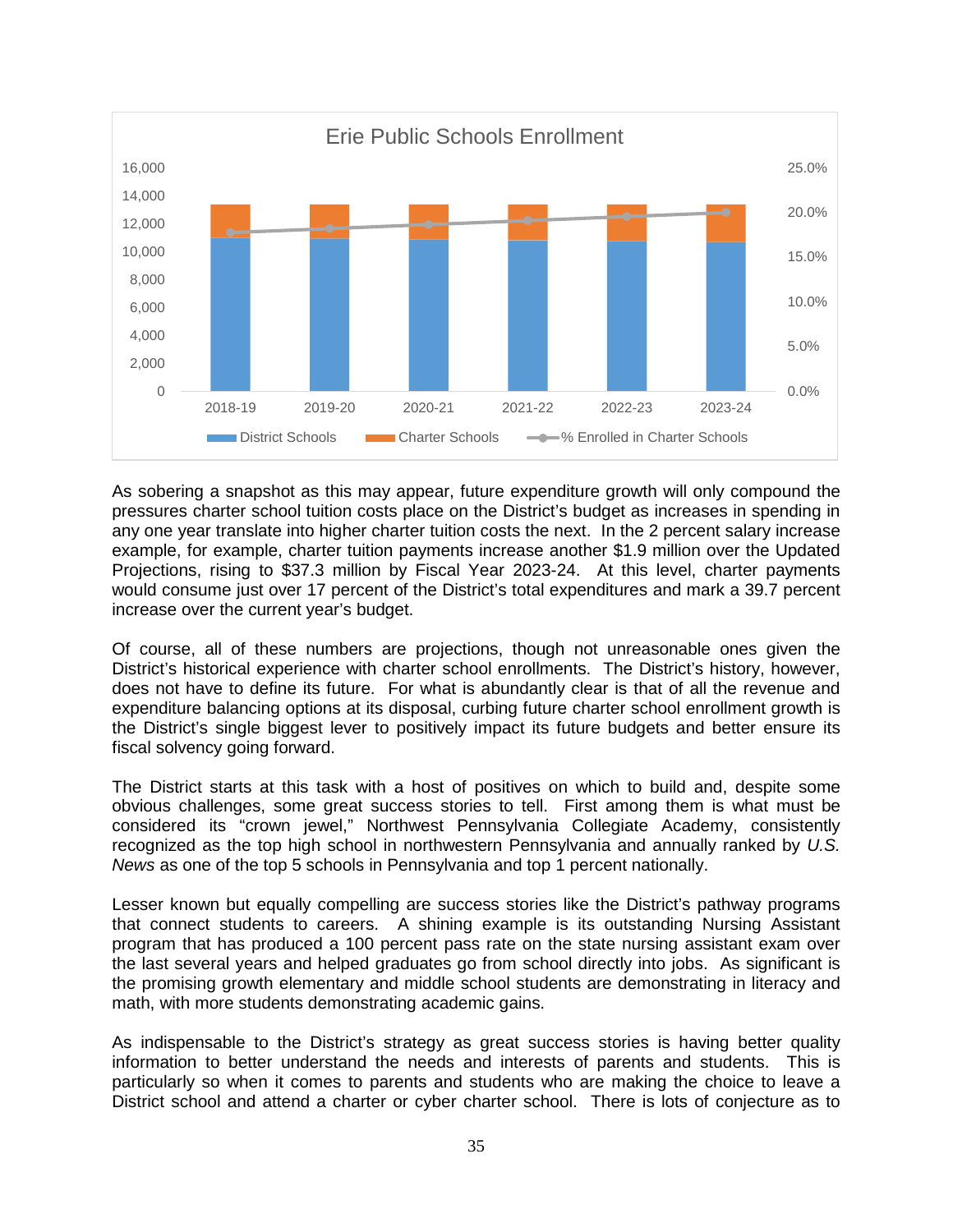

As sobering a snapshot as this may appear, future expenditure growth will only compound the pressures charter school tuition costs place on the District's budget as increases in spending in any one year translate into higher charter tuition costs the next. In the 2 percent salary increase example, for example, charter tuition payments increase another \$1.9 million over the Updated Projections, rising to \$37.3 million by Fiscal Year 2023-24. At this level, charter payments would consume just over 17 percent of the District's total expenditures and mark a 39.7 percent increase over the current year's budget.

Of course, all of these numbers are projections, though not unreasonable ones given the District's historical experience with charter school enrollments. The District's history, however, does not have to define its future. For what is abundantly clear is that of all the revenue and expenditure balancing options at its disposal, curbing future charter school enrollment growth is the District's single biggest lever to positively impact its future budgets and better ensure its fiscal solvency going forward.

The District starts at this task with a host of positives on which to build and, despite some obvious challenges, some great success stories to tell. First among them is what must be considered its "crown jewel," Northwest Pennsylvania Collegiate Academy, consistently recognized as the top high school in northwestern Pennsylvania and annually ranked by *U.S. News* as one of the top 5 schools in Pennsylvania and top 1 percent nationally.

Lesser known but equally compelling are success stories like the District's pathway programs that connect students to careers. A shining example is its outstanding Nursing Assistant program that has produced a 100 percent pass rate on the state nursing assistant exam over the last several years and helped graduates go from school directly into jobs. As significant is the promising growth elementary and middle school students are demonstrating in literacy and math, with more students demonstrating academic gains.

As indispensable to the District's strategy as great success stories is having better quality information to better understand the needs and interests of parents and students. This is particularly so when it comes to parents and students who are making the choice to leave a District school and attend a charter or cyber charter school. There is lots of conjecture as to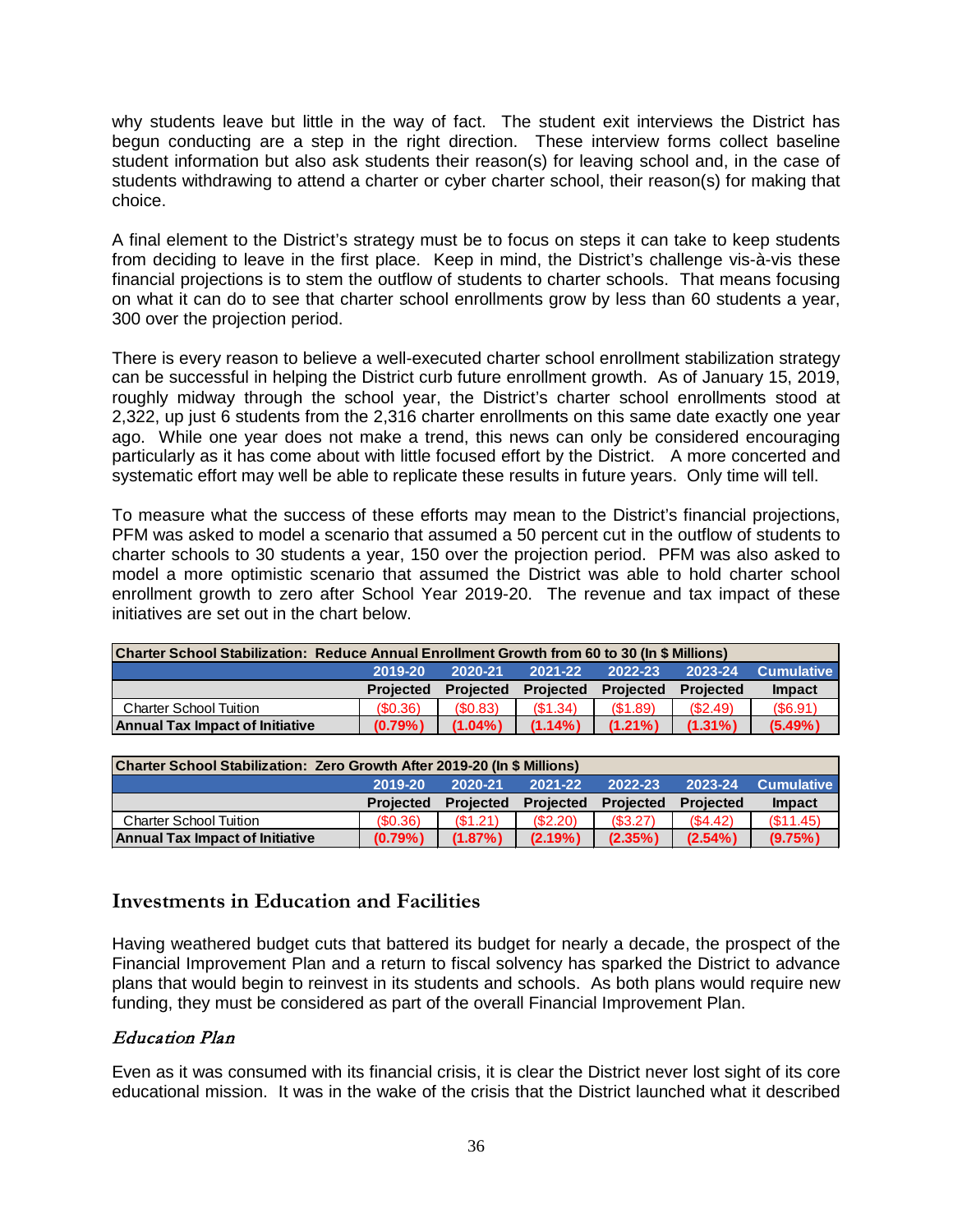why students leave but little in the way of fact. The student exit interviews the District has begun conducting are a step in the right direction. These interview forms collect baseline student information but also ask students their reason(s) for leaving school and, in the case of students withdrawing to attend a charter or cyber charter school, their reason(s) for making that choice.

A final element to the District's strategy must be to focus on steps it can take to keep students from deciding to leave in the first place. Keep in mind, the District's challenge vis-à-vis these financial projections is to stem the outflow of students to charter schools. That means focusing on what it can do to see that charter school enrollments grow by less than 60 students a year, 300 over the projection period.

There is every reason to believe a well-executed charter school enrollment stabilization strategy can be successful in helping the District curb future enrollment growth. As of January 15, 2019, roughly midway through the school year, the District's charter school enrollments stood at 2,322, up just 6 students from the 2,316 charter enrollments on this same date exactly one year ago. While one year does not make a trend, this news can only be considered encouraging particularly as it has come about with little focused effort by the District. A more concerted and systematic effort may well be able to replicate these results in future years. Only time will tell.

To measure what the success of these efforts may mean to the District's financial projections, PFM was asked to model a scenario that assumed a 50 percent cut in the outflow of students to charter schools to 30 students a year, 150 over the projection period. PFM was also asked to model a more optimistic scenario that assumed the District was able to hold charter school enrollment growth to zero after School Year 2019-20. The revenue and tax impact of these initiatives are set out in the chart below.

| Charter School Stabilization: Reduce Annual Enrollment Growth from 60 to 30 (In \$ Millions) |                  |                  |                  |                  |                  |               |
|----------------------------------------------------------------------------------------------|------------------|------------------|------------------|------------------|------------------|---------------|
|                                                                                              | 2019-20          | 2020-21          | 2021-22          | 2022-23          | 2023-24          | Cumulative    |
|                                                                                              | <b>Projected</b> | <b>Projected</b> | <b>Projected</b> | <b>Projected</b> | <b>Projected</b> | <b>Impact</b> |
| <b>Charter School Tuition</b>                                                                | (S0.36)          | (S0.83)          | (S1.34)          | (S1.89)          | (S2.49)          | (S6.91)       |
| <b>Annual Tax Impact of Initiative</b>                                                       | $(0.79\%)$       | $(1.04\%)$       | $(1.14\%)$       | $(1.21\%)$       | $(1.31\%)$       | $(5.49\%)$    |

| Charter School Stabilization: Zero Growth After 2019-20 (In \$ Millions) |                  |                  |                  |                  |                  |                   |
|--------------------------------------------------------------------------|------------------|------------------|------------------|------------------|------------------|-------------------|
|                                                                          | 2019-20          | 2020-21          | 2021-22          | 2022-23          | 2023-24          | <b>Cumulative</b> |
|                                                                          | <b>Projected</b> | <b>Projected</b> | <b>Projected</b> | <b>Projected</b> | <b>Projected</b> | <b>Impact</b>     |
| <b>Charter School Tuition</b>                                            | (S0.36)          | (S1.21)          | (S2.20)          | (S3.27)          | (S4.42)          | (S11.45)          |
| <b>Annual Tax Impact of Initiative</b>                                   | $(0.79\%)$       | $(1.87\%)$       | $(2.19\%)$       | $(2.35\%)$       | $(2.54\%)$       | (9.75%)           |

# <span id="page-35-0"></span>**Investments in Education and Facilities**

Having weathered budget cuts that battered its budget for nearly a decade, the prospect of the Financial Improvement Plan and a return to fiscal solvency has sparked the District to advance plans that would begin to reinvest in its students and schools. As both plans would require new funding, they must be considered as part of the overall Financial Improvement Plan.

# <span id="page-35-1"></span>Education Plan

Even as it was consumed with its financial crisis, it is clear the District never lost sight of its core educational mission. It was in the wake of the crisis that the District launched what it described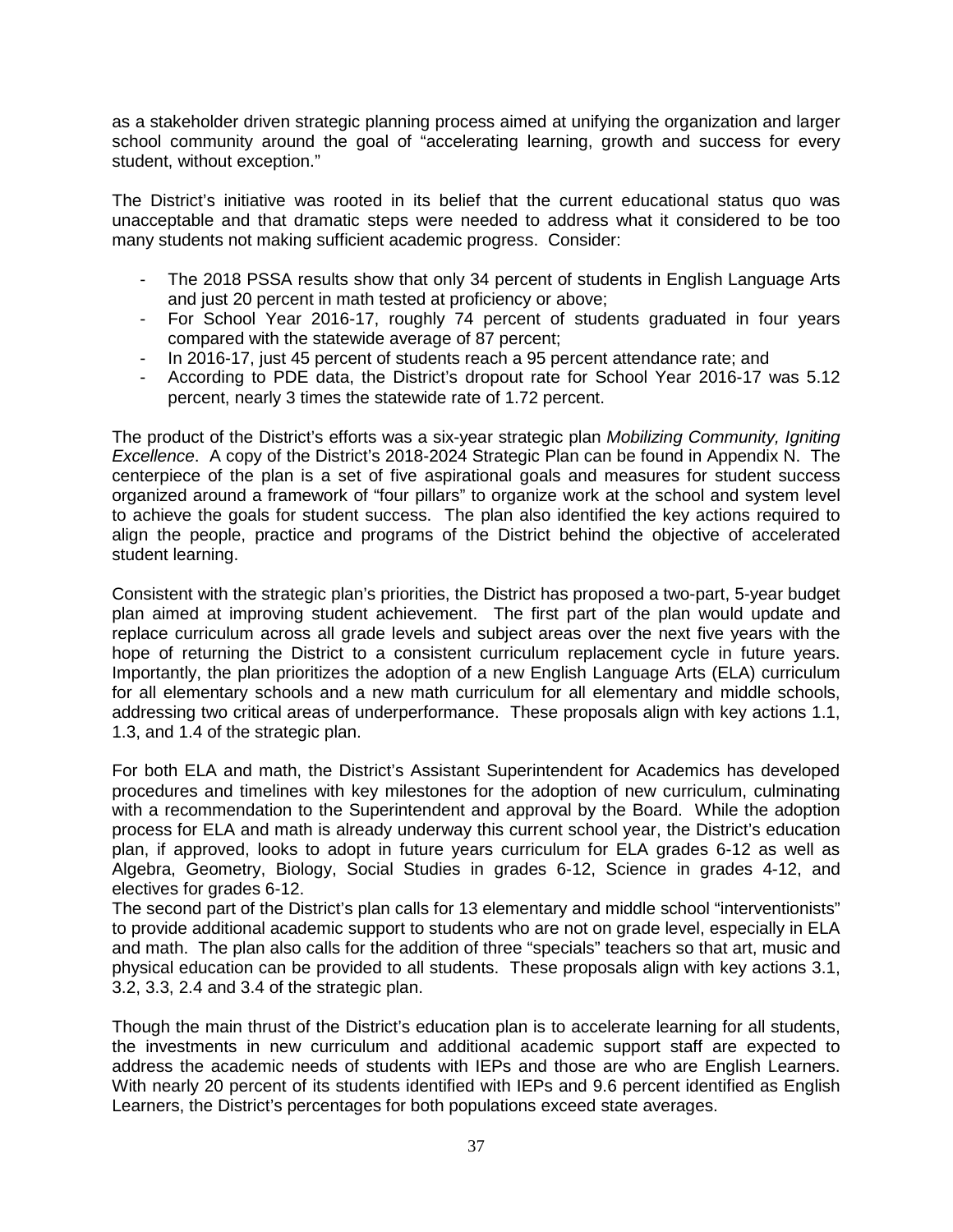as a stakeholder driven strategic planning process aimed at unifying the organization and larger school community around the goal of "accelerating learning, growth and success for every student, without exception."

The District's initiative was rooted in its belief that the current educational status quo was unacceptable and that dramatic steps were needed to address what it considered to be too many students not making sufficient academic progress. Consider:

- The 2018 PSSA results show that only 34 percent of students in English Language Arts and just 20 percent in math tested at proficiency or above;
- For School Year 2016-17, roughly 74 percent of students graduated in four years compared with the statewide average of 87 percent;
- In 2016-17, just 45 percent of students reach a 95 percent attendance rate; and
- According to PDE data, the District's dropout rate for School Year 2016-17 was 5.12 percent, nearly 3 times the statewide rate of 1.72 percent.

The product of the District's efforts was a six-year strategic plan *Mobilizing Community, Igniting Excellence*. A copy of the District's 2018-2024 Strategic Plan can be found in Appendix N. The centerpiece of the plan is a set of five aspirational goals and measures for student success organized around a framework of "four pillars" to organize work at the school and system level to achieve the goals for student success. The plan also identified the key actions required to align the people, practice and programs of the District behind the objective of accelerated student learning.

Consistent with the strategic plan's priorities, the District has proposed a two-part, 5-year budget plan aimed at improving student achievement. The first part of the plan would update and replace curriculum across all grade levels and subject areas over the next five years with the hope of returning the District to a consistent curriculum replacement cycle in future years. Importantly, the plan prioritizes the adoption of a new English Language Arts (ELA) curriculum for all elementary schools and a new math curriculum for all elementary and middle schools, addressing two critical areas of underperformance. These proposals align with key actions 1.1, 1.3, and 1.4 of the strategic plan.

For both ELA and math, the District's Assistant Superintendent for Academics has developed procedures and timelines with key milestones for the adoption of new curriculum, culminating with a recommendation to the Superintendent and approval by the Board. While the adoption process for ELA and math is already underway this current school year, the District's education plan, if approved, looks to adopt in future years curriculum for ELA grades 6-12 as well as Algebra, Geometry, Biology, Social Studies in grades 6-12, Science in grades 4-12, and electives for grades 6-12.

The second part of the District's plan calls for 13 elementary and middle school "interventionists" to provide additional academic support to students who are not on grade level, especially in ELA and math. The plan also calls for the addition of three "specials" teachers so that art, music and physical education can be provided to all students. These proposals align with key actions 3.1, 3.2, 3.3, 2.4 and 3.4 of the strategic plan.

Though the main thrust of the District's education plan is to accelerate learning for all students, the investments in new curriculum and additional academic support staff are expected to address the academic needs of students with IEPs and those are who are English Learners. With nearly 20 percent of its students identified with IEPs and 9.6 percent identified as English Learners, the District's percentages for both populations exceed state averages.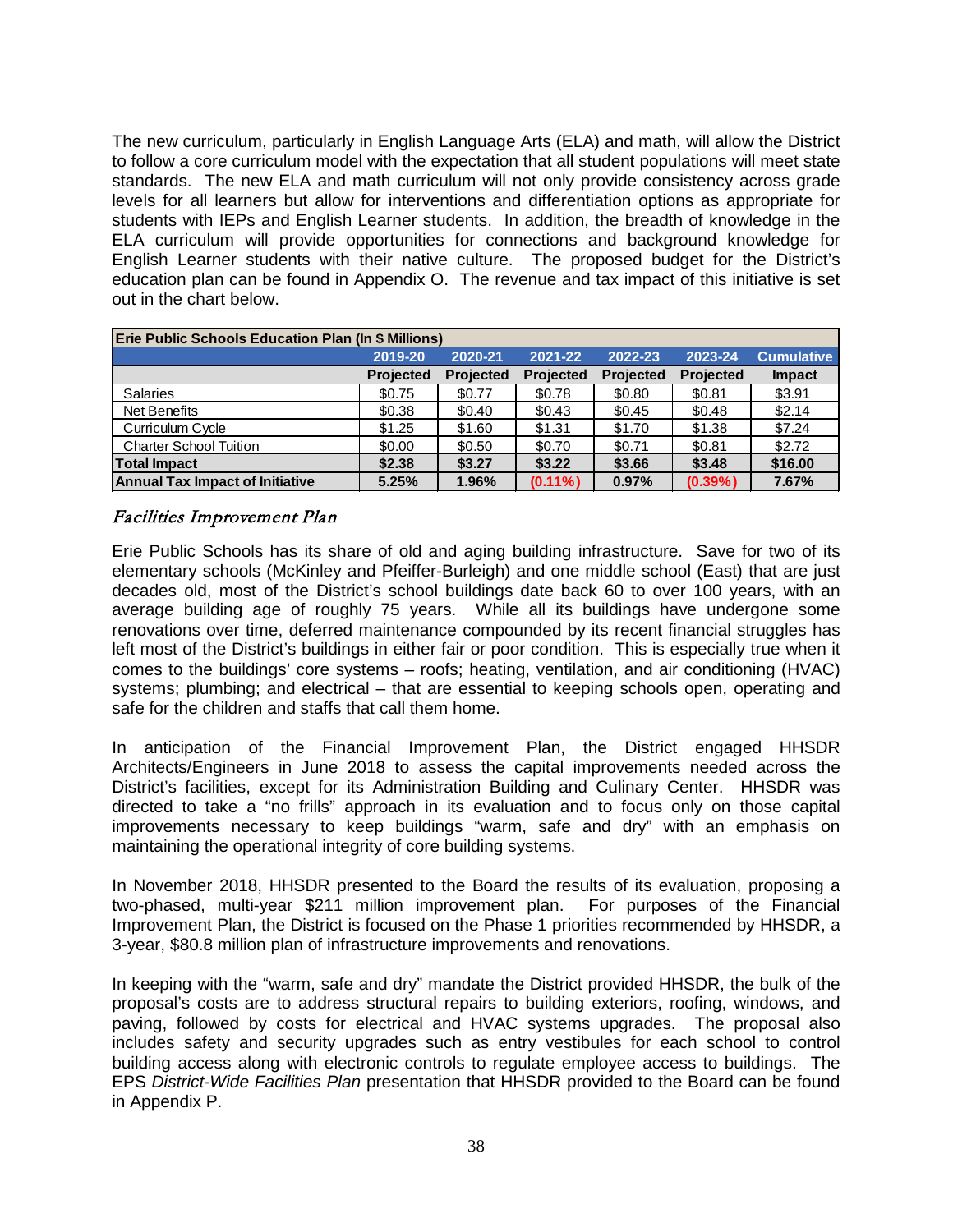The new curriculum, particularly in English Language Arts (ELA) and math, will allow the District to follow a core curriculum model with the expectation that all student populations will meet state standards. The new ELA and math curriculum will not only provide consistency across grade levels for all learners but allow for interventions and differentiation options as appropriate for students with IEPs and English Learner students. In addition, the breadth of knowledge in the ELA curriculum will provide opportunities for connections and background knowledge for English Learner students with their native culture. The proposed budget for the District's education plan can be found in Appendix O. The revenue and tax impact of this initiative is set out in the chart below.

| <b>Erie Public Schools Education Plan (In \$ Millions)</b> |                  |                  |                  |                  |                  |                   |
|------------------------------------------------------------|------------------|------------------|------------------|------------------|------------------|-------------------|
|                                                            | 2019-20          | 2020-21          | 2021-22          | 2022-23          | 2023-24          | <b>Cumulative</b> |
|                                                            | <b>Projected</b> | <b>Projected</b> | <b>Projected</b> | <b>Projected</b> | <b>Projected</b> | <b>Impact</b>     |
| <b>Salaries</b>                                            | \$0.75           | \$0.77           | \$0.78           | \$0.80           | \$0.81           | \$3.91            |
| Net Benefits                                               | \$0.38           | \$0.40           | \$0.43           | \$0.45           | \$0.48           | \$2.14            |
| Curriculum Cycle                                           | \$1.25           | \$1.60           | \$1.31           | \$1.70           | \$1.38           | \$7.24            |
| <b>Charter School Tuition</b>                              | \$0.00           | \$0.50           | \$0.70           | \$0.71           | \$0.81           | \$2.72            |
| Total Impact                                               | \$2.38           | \$3.27           | \$3.22           | \$3.66           | \$3.48           | \$16.00           |
| <b>Annual Tax Impact of Initiative</b>                     | 5.25%            | 1.96%            | $(0.11\%)$       | 0.97%            | $(0.39\%)$       | 7.67%             |

<span id="page-37-0"></span>Facilities Improvement Plan

Erie Public Schools has its share of old and aging building infrastructure. Save for two of its elementary schools (McKinley and Pfeiffer-Burleigh) and one middle school (East) that are just decades old, most of the District's school buildings date back 60 to over 100 years, with an average building age of roughly 75 years. While all its buildings have undergone some renovations over time, deferred maintenance compounded by its recent financial struggles has left most of the District's buildings in either fair or poor condition. This is especially true when it comes to the buildings' core systems – roofs; heating, ventilation, and air conditioning (HVAC) systems; plumbing; and electrical – that are essential to keeping schools open, operating and safe for the children and staffs that call them home.

In anticipation of the Financial Improvement Plan, the District engaged HHSDR Architects/Engineers in June 2018 to assess the capital improvements needed across the District's facilities, except for its Administration Building and Culinary Center. HHSDR was directed to take a "no frills" approach in its evaluation and to focus only on those capital improvements necessary to keep buildings "warm, safe and dry" with an emphasis on maintaining the operational integrity of core building systems.

In November 2018, HHSDR presented to the Board the results of its evaluation, proposing a two-phased, multi-year \$211 million improvement plan. For purposes of the Financial Improvement Plan, the District is focused on the Phase 1 priorities recommended by HHSDR, a 3-year, \$80.8 million plan of infrastructure improvements and renovations.

In keeping with the "warm, safe and dry" mandate the District provided HHSDR, the bulk of the proposal's costs are to address structural repairs to building exteriors, roofing, windows, and paving, followed by costs for electrical and HVAC systems upgrades. The proposal also includes safety and security upgrades such as entry vestibules for each school to control building access along with electronic controls to regulate employee access to buildings. The EPS *District-Wide Facilities Plan* presentation that HHSDR provided to the Board can be found in Appendix P.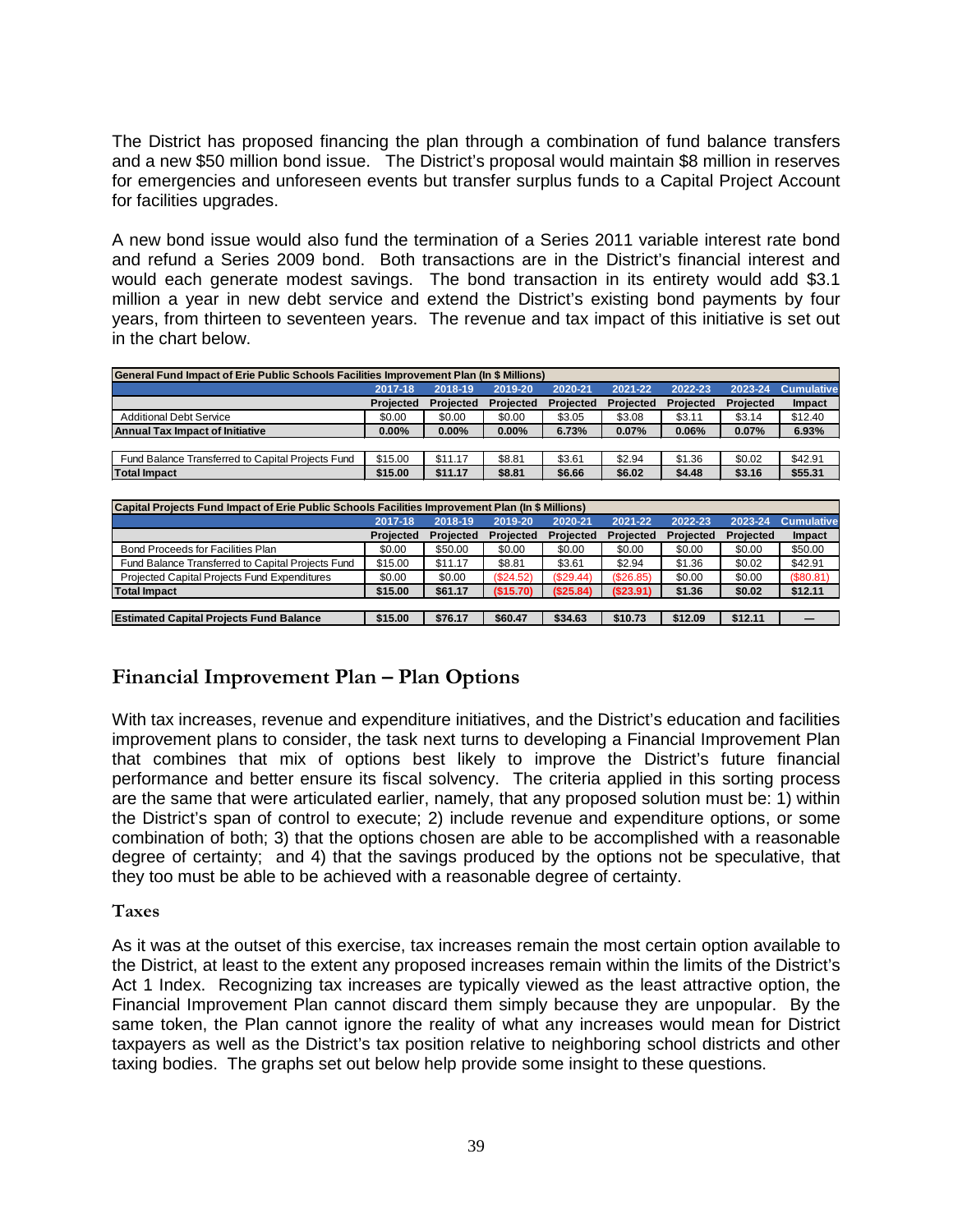The District has proposed financing the plan through a combination of fund balance transfers and a new \$50 million bond issue. The District's proposal would maintain \$8 million in reserves for emergencies and unforeseen events but transfer surplus funds to a Capital Project Account for facilities upgrades.

A new bond issue would also fund the termination of a Series 2011 variable interest rate bond and refund a Series 2009 bond. Both transactions are in the District's financial interest and would each generate modest savings. The bond transaction in its entirety would add \$3.1 million a year in new debt service and extend the District's existing bond payments by four years, from thirteen to seventeen years. The revenue and tax impact of this initiative is set out in the chart below.

| General Fund Impact of Erie Public Schools Facilities Improvement Plan (In \$ Millions) |           |           |           |           |           |           |           |                   |
|-----------------------------------------------------------------------------------------|-----------|-----------|-----------|-----------|-----------|-----------|-----------|-------------------|
|                                                                                         | 2017-18   | 2018-19   | 2019-20   | 2020-21   | 2021-22   | 2022-23   | 2023-24   | <b>Cumulative</b> |
|                                                                                         | Projected | Projected | Projected | Projected | Projected | Projected | Projected | <b>Impact</b>     |
| <b>Additional Debt Service</b>                                                          | \$0.00    | \$0.00    | \$0.00    | \$3.05    | \$3.08    | \$3.11    | \$3.14    | \$12.40           |
| <b>Annual Tax Impact of Initiative</b>                                                  | $0.00\%$  | $0.00\%$  | $0.00\%$  | 6.73%     | 0.07%     | 0.06%     | 0.07%     | 6.93%             |
|                                                                                         |           |           |           |           |           |           |           |                   |
| Fund Balance Transferred to Capital Projects Fund                                       | \$15.00   | \$11.17   | \$8.81    | \$3.61    | \$2.94    | \$1.36    | \$0.02    | \$42.91           |
| <b>Total Impact</b>                                                                     | \$15.00   | \$11.17   | \$8.81    | \$6.66    | \$6.02    | \$4.48    | \$3.16    | \$55.31           |

| Capital Projects Fund Impact of Erie Public Schools Facilities Improvement Plan (In \$ Millions) |           |           |           |           |           |           |           |                   |
|--------------------------------------------------------------------------------------------------|-----------|-----------|-----------|-----------|-----------|-----------|-----------|-------------------|
|                                                                                                  | 2017-18   | 2018-19   | 2019-20   | 2020-21   | 2021-22   | 2022-23   | 2023-24   | <b>Cumulative</b> |
|                                                                                                  | Projected | Projected | Projected | Projected | Projected | Projected | Projected | <b>Impact</b>     |
| Bond Proceeds for Facilities Plan                                                                | \$0.00    | \$50.00   | \$0.00    | \$0.00    | \$0.00    | \$0.00    | \$0.00    | \$50.00           |
| Fund Balance Transferred to Capital Projects Fund                                                | \$15.00   | \$11.17   | \$8.81    | \$3.61    | \$2.94    | \$1.36    | \$0.02    | \$42.91           |
| Projected Capital Projects Fund Expenditures                                                     | \$0.00    | \$0.00    | (S24.52)  | (S29.44)  | (S26.85)  | \$0.00    | \$0.00    | (\$80.81)         |
| <b>Total Impact</b>                                                                              | \$15.00   | \$61.17   | (S15.70)  | (S25.84)  | (S23.91)  | \$1.36    | \$0.02    | \$12.11           |
|                                                                                                  |           |           |           |           |           |           |           |                   |
| <b>Estimated Capital Projects Fund Balance</b>                                                   | \$15.00   | \$76.17   | \$60.47   | \$34.63   | \$10.73   | \$12.09   | \$12.11   |                   |

# <span id="page-38-0"></span>**Financial Improvement Plan – Plan Options**

With tax increases, revenue and expenditure initiatives, and the District's education and facilities improvement plans to consider, the task next turns to developing a Financial Improvement Plan that combines that mix of options best likely to improve the District's future financial performance and better ensure its fiscal solvency. The criteria applied in this sorting process are the same that were articulated earlier, namely, that any proposed solution must be: 1) within the District's span of control to execute; 2) include revenue and expenditure options, or some combination of both; 3) that the options chosen are able to be accomplished with a reasonable degree of certainty; and 4) that the savings produced by the options not be speculative, that they too must be able to be achieved with a reasonable degree of certainty.

#### <span id="page-38-1"></span>**Taxes**

As it was at the outset of this exercise, tax increases remain the most certain option available to the District, at least to the extent any proposed increases remain within the limits of the District's Act 1 Index. Recognizing tax increases are typically viewed as the least attractive option, the Financial Improvement Plan cannot discard them simply because they are unpopular. By the same token, the Plan cannot ignore the reality of what any increases would mean for District taxpayers as well as the District's tax position relative to neighboring school districts and other taxing bodies. The graphs set out below help provide some insight to these questions.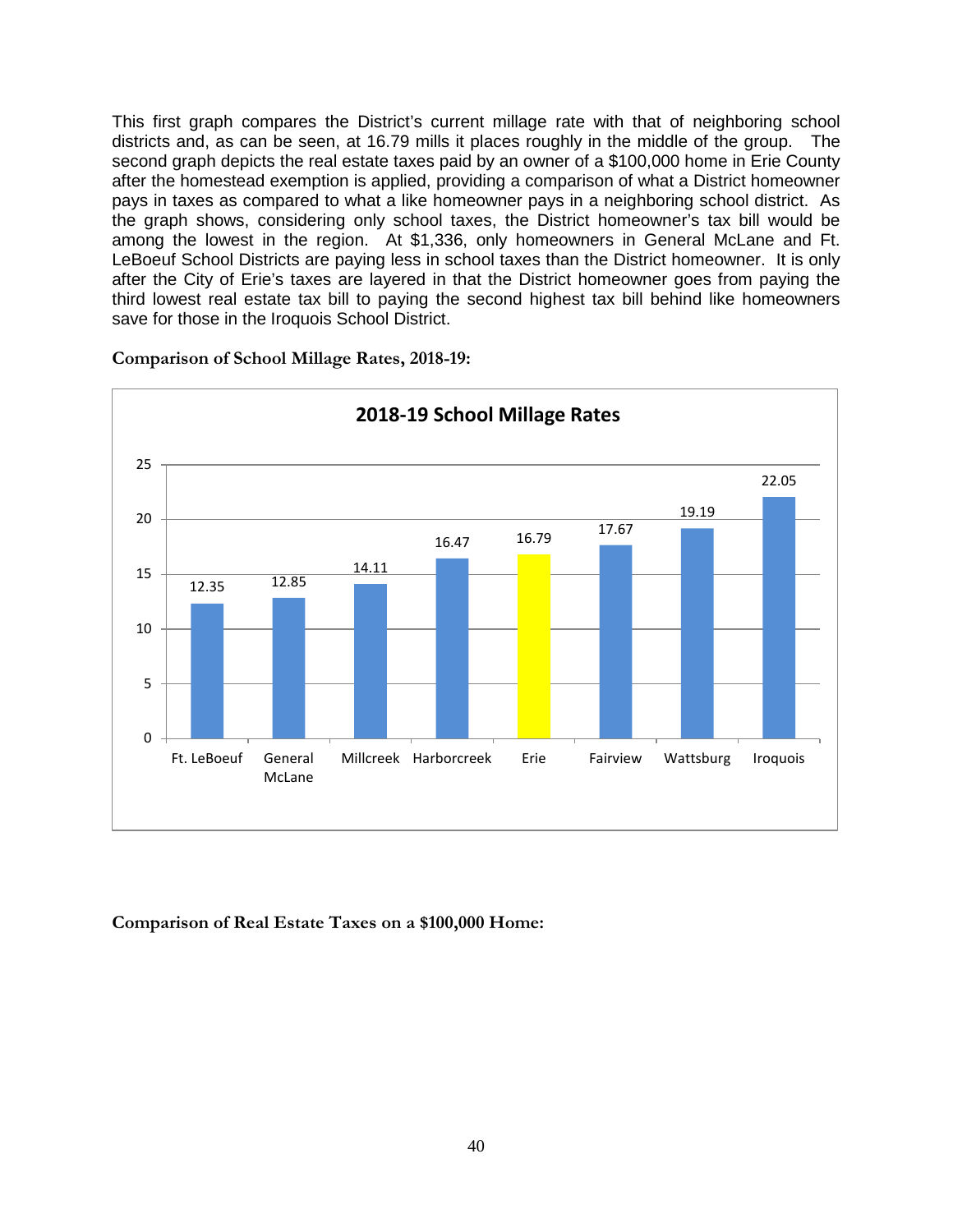This first graph compares the District's current millage rate with that of neighboring school districts and, as can be seen, at 16.79 mills it places roughly in the middle of the group. The second graph depicts the real estate taxes paid by an owner of a \$100,000 home in Erie County after the homestead exemption is applied, providing a comparison of what a District homeowner pays in taxes as compared to what a like homeowner pays in a neighboring school district. As the graph shows, considering only school taxes, the District homeowner's tax bill would be among the lowest in the region. At \$1,336, only homeowners in General McLane and Ft. LeBoeuf School Districts are paying less in school taxes than the District homeowner. It is only after the City of Erie's taxes are layered in that the District homeowner goes from paying the third lowest real estate tax bill to paying the second highest tax bill behind like homeowners save for those in the Iroquois School District.



**Comparison of School Millage Rates, 2018-19:**

**Comparison of Real Estate Taxes on a \$100,000 Home:**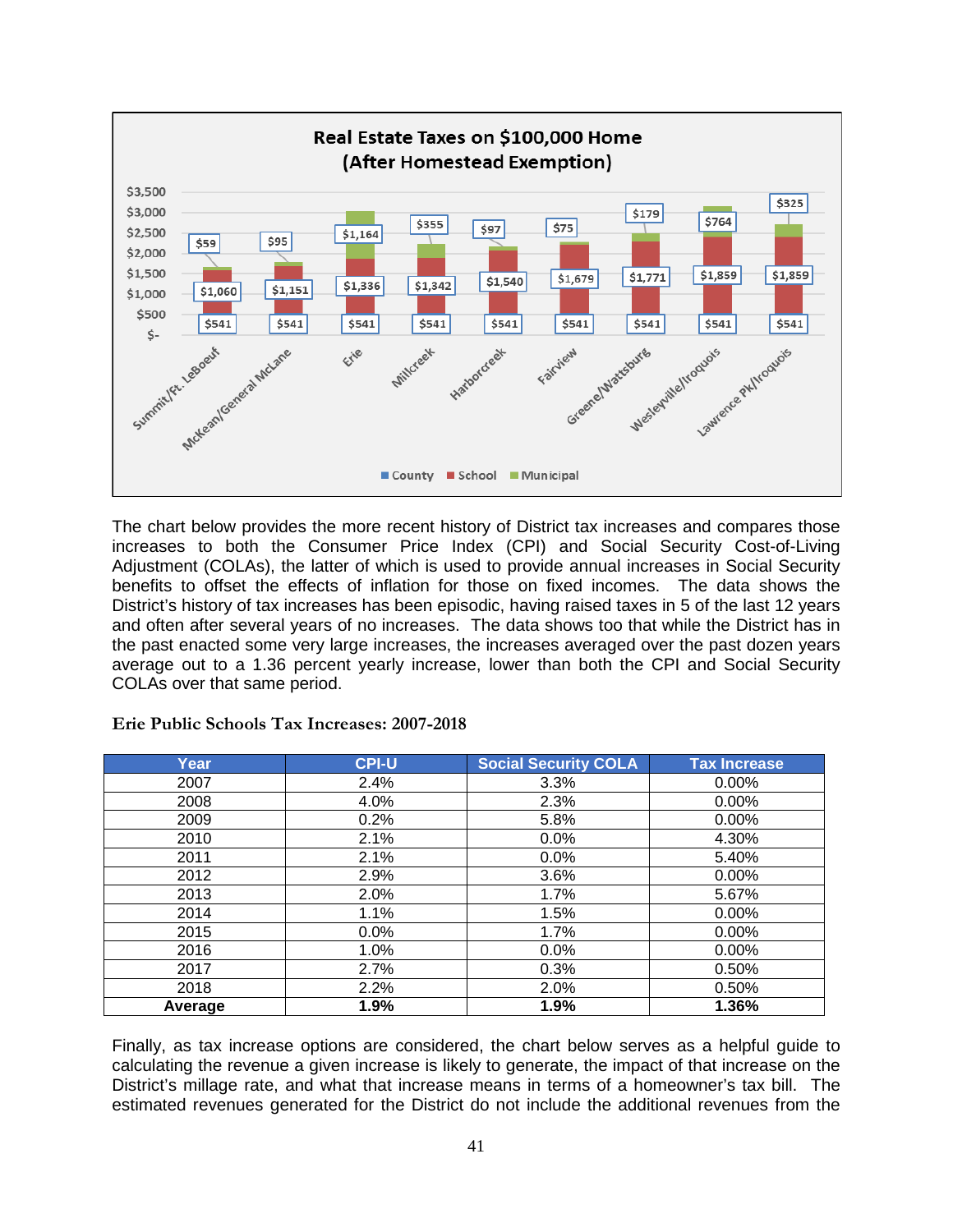

The chart below provides the more recent history of District tax increases and compares those increases to both the Consumer Price Index (CPI) and Social Security Cost-of-Living Adjustment (COLAs), the latter of which is used to provide annual increases in Social Security benefits to offset the effects of inflation for those on fixed incomes. The data shows the District's history of tax increases has been episodic, having raised taxes in 5 of the last 12 years and often after several years of no increases. The data shows too that while the District has in the past enacted some very large increases, the increases averaged over the past dozen years average out to a 1.36 percent yearly increase, lower than both the CPI and Social Security COLAs over that same period.

| Year    | <b>CPI-U</b> | <b>Social Security COLA</b> | <b>Tax Increase</b> |
|---------|--------------|-----------------------------|---------------------|
| 2007    | 2.4%         | 3.3%                        | $0.00\%$            |
| 2008    | 4.0%         | 2.3%                        | $0.00\%$            |
| 2009    | 0.2%         | 5.8%                        | $0.00\%$            |
| 2010    | 2.1%         | 0.0%                        | 4.30%               |
| 2011    | 2.1%         | 0.0%                        | 5.40%               |
| 2012    | 2.9%         | 3.6%                        | $0.00\%$            |
| 2013    | 2.0%         | 1.7%                        | 5.67%               |
| 2014    | 1.1%         | 1.5%                        | $0.00\%$            |
| 2015    | 0.0%         | 1.7%                        | $0.00\%$            |
| 2016    | 1.0%         | $0.0\%$                     | $0.00\%$            |
| 2017    | 2.7%         | 0.3%                        | 0.50%               |
| 2018    | 2.2%         | 2.0%                        | 0.50%               |
| Average | 1.9%         | 1.9%                        | 1.36%               |

**Erie Public Schools Tax Increases: 2007-2018**

Finally, as tax increase options are considered, the chart below serves as a helpful guide to calculating the revenue a given increase is likely to generate, the impact of that increase on the District's millage rate, and what that increase means in terms of a homeowner's tax bill. The estimated revenues generated for the District do not include the additional revenues from the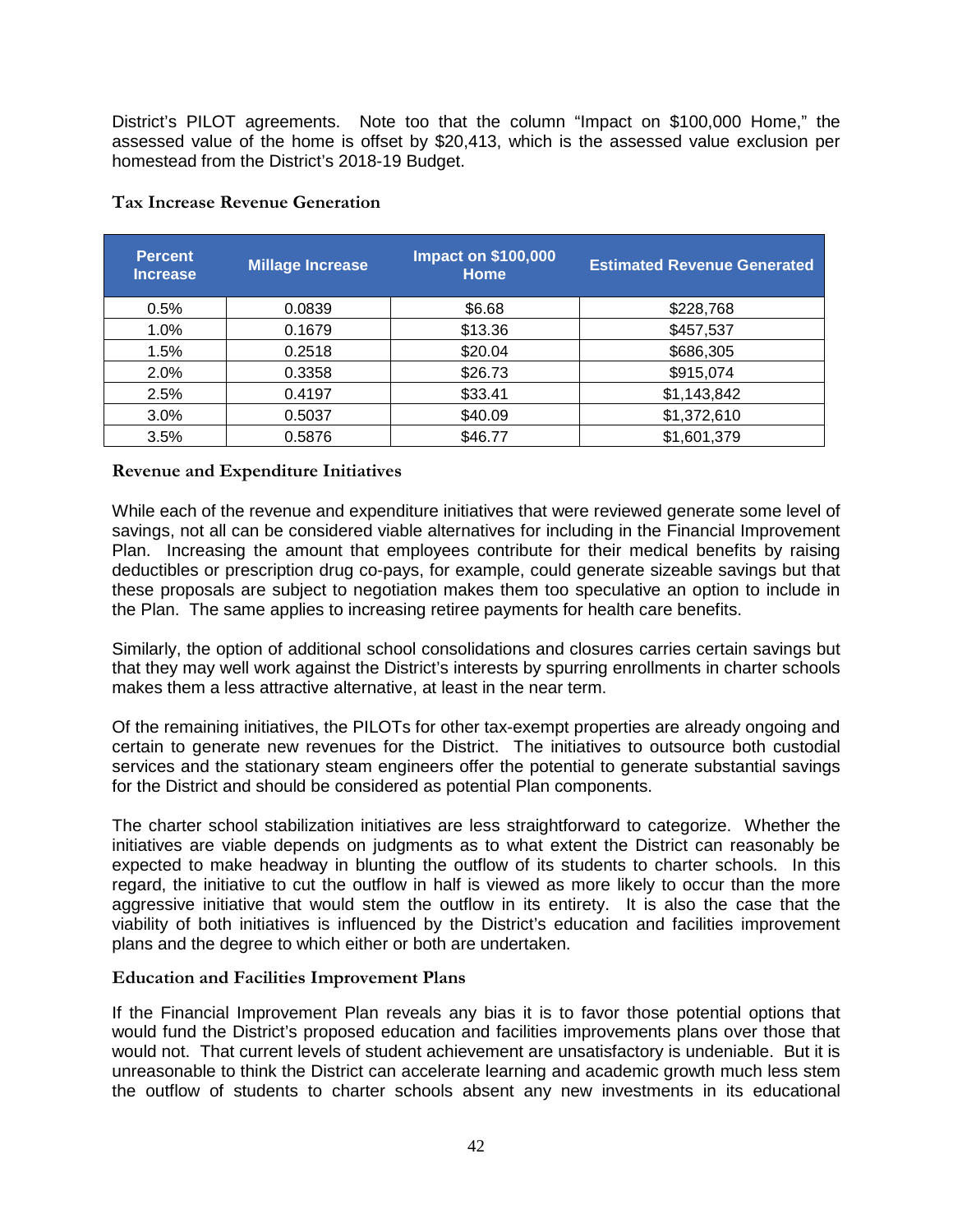District's PILOT agreements. Note too that the column "Impact on \$100,000 Home," the assessed value of the home is offset by \$20,413, which is the assessed value exclusion per homestead from the District's 2018-19 Budget.

| <b>Percent</b><br><b>Increase</b> | <b>Millage Increase</b> | <b>Impact on \$100,000</b><br><b>Home</b> | <b>Estimated Revenue Generated</b> |
|-----------------------------------|-------------------------|-------------------------------------------|------------------------------------|
| 0.5%                              | 0.0839                  | \$6.68                                    | \$228,768                          |
| $1.0\%$                           | 0.1679                  | \$13.36                                   | \$457,537                          |
| 1.5%                              | 0.2518                  | \$20.04                                   | \$686,305                          |
| 2.0%                              | 0.3358                  | \$26.73                                   | \$915,074                          |
| 2.5%                              | 0.4197                  | \$33.41                                   | \$1,143,842                        |
| 3.0%                              | 0.5037                  | \$40.09                                   | \$1,372,610                        |
| 3.5%                              | 0.5876                  | \$46.77                                   | \$1,601,379                        |

#### **Tax Increase Revenue Generation**

#### <span id="page-41-0"></span>**Revenue and Expenditure Initiatives**

While each of the revenue and expenditure initiatives that were reviewed generate some level of savings, not all can be considered viable alternatives for including in the Financial Improvement Plan. Increasing the amount that employees contribute for their medical benefits by raising deductibles or prescription drug co-pays, for example, could generate sizeable savings but that these proposals are subject to negotiation makes them too speculative an option to include in the Plan. The same applies to increasing retiree payments for health care benefits.

Similarly, the option of additional school consolidations and closures carries certain savings but that they may well work against the District's interests by spurring enrollments in charter schools makes them a less attractive alternative, at least in the near term.

Of the remaining initiatives, the PILOTs for other tax-exempt properties are already ongoing and certain to generate new revenues for the District. The initiatives to outsource both custodial services and the stationary steam engineers offer the potential to generate substantial savings for the District and should be considered as potential Plan components.

The charter school stabilization initiatives are less straightforward to categorize. Whether the initiatives are viable depends on judgments as to what extent the District can reasonably be expected to make headway in blunting the outflow of its students to charter schools. In this regard, the initiative to cut the outflow in half is viewed as more likely to occur than the more aggressive initiative that would stem the outflow in its entirety. It is also the case that the viability of both initiatives is influenced by the District's education and facilities improvement plans and the degree to which either or both are undertaken.

#### <span id="page-41-1"></span>**Education and Facilities Improvement Plans**

If the Financial Improvement Plan reveals any bias it is to favor those potential options that would fund the District's proposed education and facilities improvements plans over those that would not. That current levels of student achievement are unsatisfactory is undeniable. But it is unreasonable to think the District can accelerate learning and academic growth much less stem the outflow of students to charter schools absent any new investments in its educational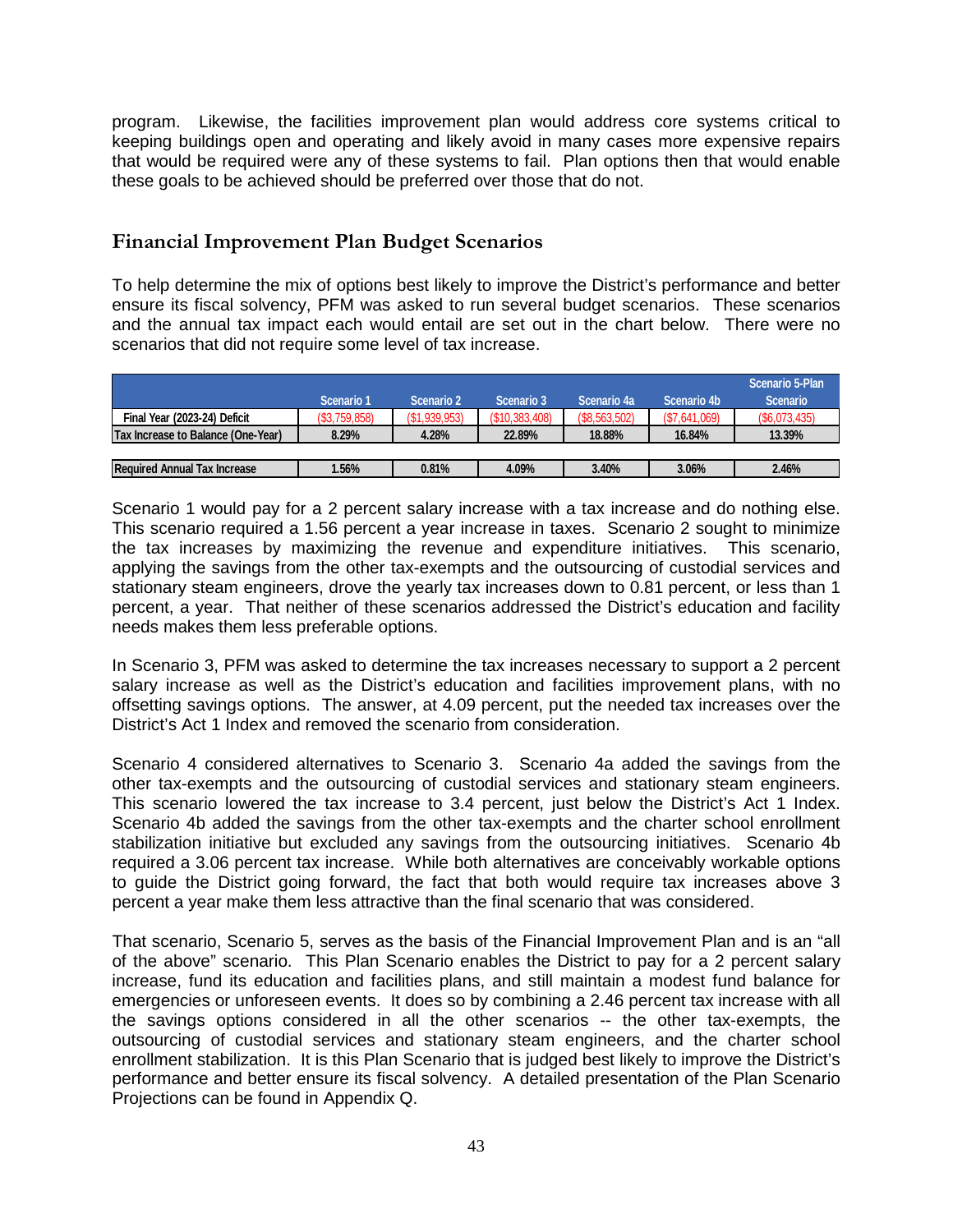program. Likewise, the facilities improvement plan would address core systems critical to keeping buildings open and operating and likely avoid in many cases more expensive repairs that would be required were any of these systems to fail. Plan options then that would enable these goals to be achieved should be preferred over those that do not.

# <span id="page-42-0"></span>**Financial Improvement Plan Budget Scenarios**

To help determine the mix of options best likely to improve the District's performance and better ensure its fiscal solvency, PFM was asked to run several budget scenarios. These scenarios and the annual tax impact each would entail are set out in the chart below. There were no scenarios that did not require some level of tax increase.

|                                           |              |               |                 |                |              | Scenario 5-Plan |
|-------------------------------------------|--------------|---------------|-----------------|----------------|--------------|-----------------|
|                                           | Scenario 1   | Scenario 2    | Scenario 3      | Scenario 4a    | Scenario 4b  | <b>Scenario</b> |
| Final Year (2023-24) Deficit              | (S3,759,858) | (\$1,939,953) | (S10, 383, 408) | (S8, 563, 502) | (S7,641,069) | (S6,073,435)    |
| <b>Tax Increase to Balance (One-Year)</b> | 8.29%        | 4.28%         | 22.89%          | 18.88%         | 16.84%       | 13.39%          |
|                                           |              |               |                 |                |              |                 |
| <b>Required Annual Tax Increase</b>       | .56%         | 0.81%         | 4.09%           | 3.40%          | 3.06%        | 2.46%           |

Scenario 1 would pay for a 2 percent salary increase with a tax increase and do nothing else. This scenario required a 1.56 percent a year increase in taxes. Scenario 2 sought to minimize the tax increases by maximizing the revenue and expenditure initiatives. This scenario, applying the savings from the other tax-exempts and the outsourcing of custodial services and stationary steam engineers, drove the yearly tax increases down to 0.81 percent, or less than 1 percent, a year. That neither of these scenarios addressed the District's education and facility needs makes them less preferable options.

In Scenario 3, PFM was asked to determine the tax increases necessary to support a 2 percent salary increase as well as the District's education and facilities improvement plans, with no offsetting savings options. The answer, at 4.09 percent, put the needed tax increases over the District's Act 1 Index and removed the scenario from consideration.

Scenario 4 considered alternatives to Scenario 3. Scenario 4a added the savings from the other tax-exempts and the outsourcing of custodial services and stationary steam engineers. This scenario lowered the tax increase to 3.4 percent, just below the District's Act 1 Index. Scenario 4b added the savings from the other tax-exempts and the charter school enrollment stabilization initiative but excluded any savings from the outsourcing initiatives. Scenario 4b required a 3.06 percent tax increase. While both alternatives are conceivably workable options to guide the District going forward, the fact that both would require tax increases above 3 percent a year make them less attractive than the final scenario that was considered.

That scenario, Scenario 5, serves as the basis of the Financial Improvement Plan and is an "all of the above" scenario. This Plan Scenario enables the District to pay for a 2 percent salary increase, fund its education and facilities plans, and still maintain a modest fund balance for emergencies or unforeseen events. It does so by combining a 2.46 percent tax increase with all the savings options considered in all the other scenarios -- the other tax-exempts, the outsourcing of custodial services and stationary steam engineers, and the charter school enrollment stabilization. It is this Plan Scenario that is judged best likely to improve the District's performance and better ensure its fiscal solvency. A detailed presentation of the Plan Scenario Projections can be found in Appendix Q.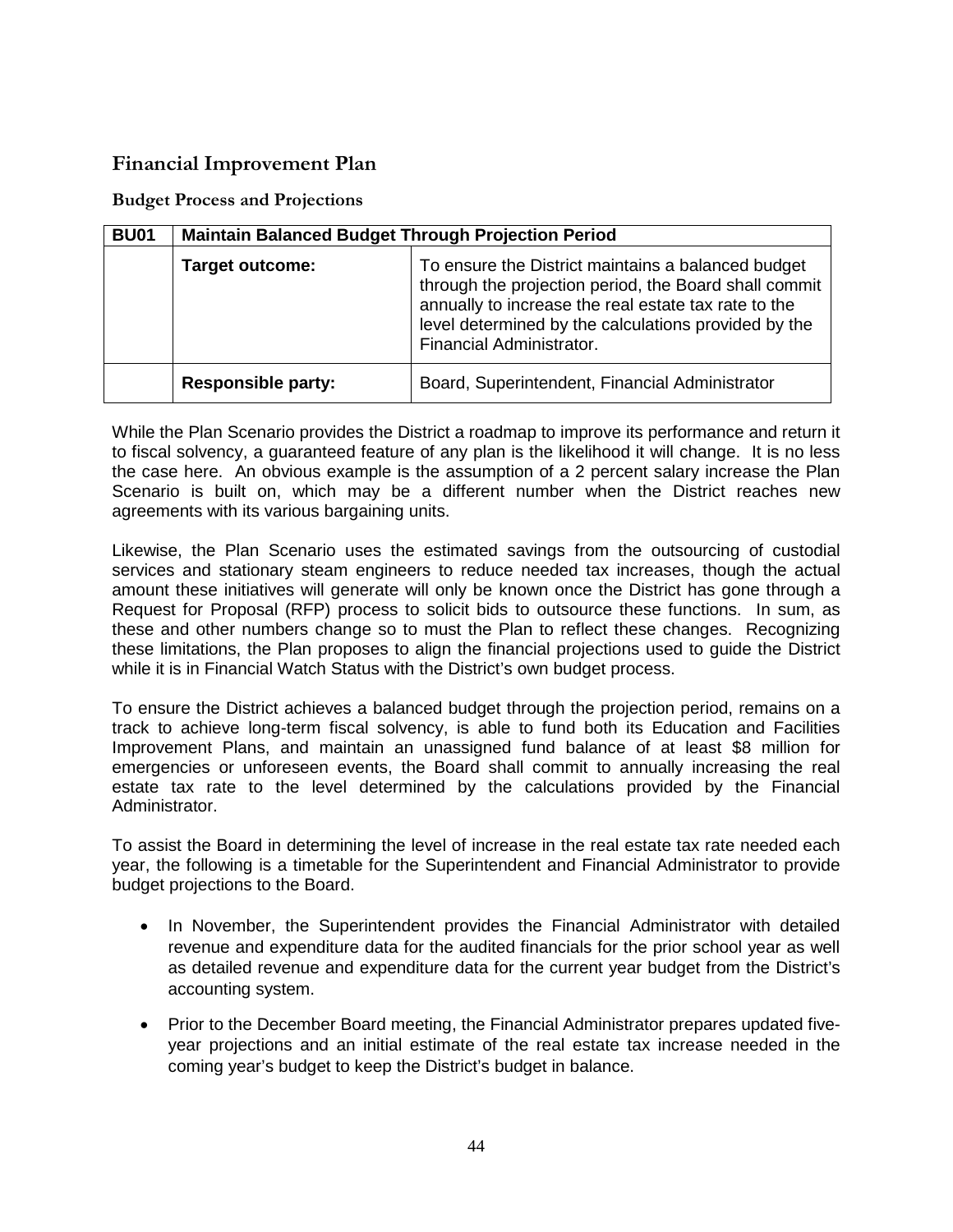# <span id="page-43-0"></span>**Financial Improvement Plan**

<span id="page-43-1"></span>**Budget Process and Projections**

| <b>BU01</b> | <b>Maintain Balanced Budget Through Projection Period</b> |                                                                                                                                                                                                                                                         |  |  |  |
|-------------|-----------------------------------------------------------|---------------------------------------------------------------------------------------------------------------------------------------------------------------------------------------------------------------------------------------------------------|--|--|--|
|             | <b>Target outcome:</b>                                    | To ensure the District maintains a balanced budget<br>through the projection period, the Board shall commit<br>annually to increase the real estate tax rate to the<br>level determined by the calculations provided by the<br>Financial Administrator. |  |  |  |
|             | <b>Responsible party:</b>                                 | Board, Superintendent, Financial Administrator                                                                                                                                                                                                          |  |  |  |

While the Plan Scenario provides the District a roadmap to improve its performance and return it to fiscal solvency, a guaranteed feature of any plan is the likelihood it will change. It is no less the case here. An obvious example is the assumption of a 2 percent salary increase the Plan Scenario is built on, which may be a different number when the District reaches new agreements with its various bargaining units.

Likewise, the Plan Scenario uses the estimated savings from the outsourcing of custodial services and stationary steam engineers to reduce needed tax increases, though the actual amount these initiatives will generate will only be known once the District has gone through a Request for Proposal (RFP) process to solicit bids to outsource these functions. In sum, as these and other numbers change so to must the Plan to reflect these changes. Recognizing these limitations, the Plan proposes to align the financial projections used to guide the District while it is in Financial Watch Status with the District's own budget process.

To ensure the District achieves a balanced budget through the projection period, remains on a track to achieve long-term fiscal solvency, is able to fund both its Education and Facilities Improvement Plans, and maintain an unassigned fund balance of at least \$8 million for emergencies or unforeseen events, the Board shall commit to annually increasing the real estate tax rate to the level determined by the calculations provided by the Financial Administrator.

To assist the Board in determining the level of increase in the real estate tax rate needed each year, the following is a timetable for the Superintendent and Financial Administrator to provide budget projections to the Board.

- In November, the Superintendent provides the Financial Administrator with detailed revenue and expenditure data for the audited financials for the prior school year as well as detailed revenue and expenditure data for the current year budget from the District's accounting system.
- Prior to the December Board meeting, the Financial Administrator prepares updated fiveyear projections and an initial estimate of the real estate tax increase needed in the coming year's budget to keep the District's budget in balance.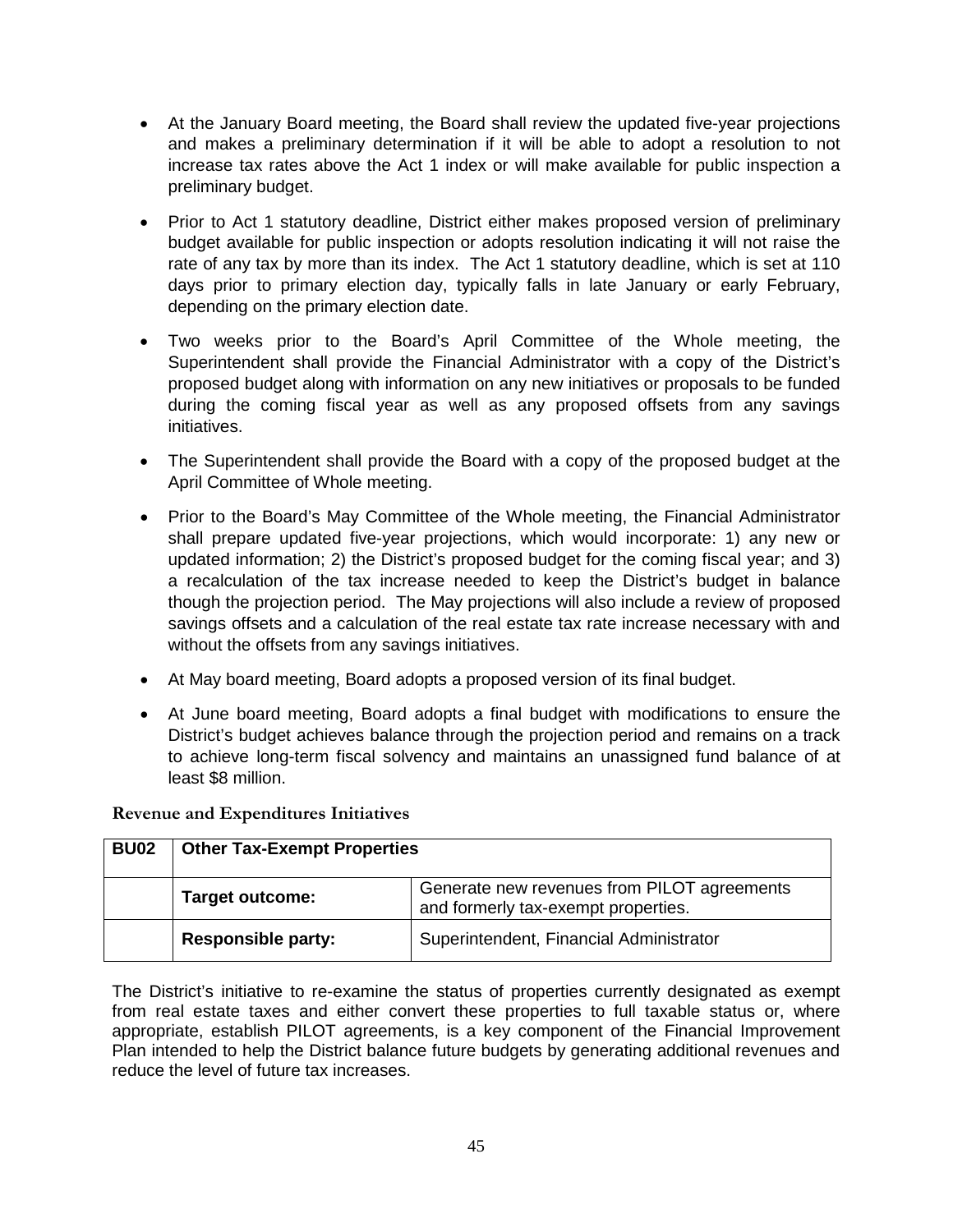- At the January Board meeting, the Board shall review the updated five-year projections and makes a preliminary determination if it will be able to adopt a resolution to not increase tax rates above the Act 1 index or will make available for public inspection a preliminary budget.
- Prior to Act 1 statutory deadline, District either makes proposed version of preliminary budget available for public inspection or adopts resolution indicating it will not raise the rate of any tax by more than its index. The Act 1 statutory deadline, which is set at 110 days prior to primary election day, typically falls in late January or early February, depending on the primary election date.
- Two weeks prior to the Board's April Committee of the Whole meeting, the Superintendent shall provide the Financial Administrator with a copy of the District's proposed budget along with information on any new initiatives or proposals to be funded during the coming fiscal year as well as any proposed offsets from any savings initiatives.
- The Superintendent shall provide the Board with a copy of the proposed budget at the April Committee of Whole meeting.
- Prior to the Board's May Committee of the Whole meeting, the Financial Administrator shall prepare updated five-year projections, which would incorporate: 1) any new or updated information; 2) the District's proposed budget for the coming fiscal year; and 3) a recalculation of the tax increase needed to keep the District's budget in balance though the projection period. The May projections will also include a review of proposed savings offsets and a calculation of the real estate tax rate increase necessary with and without the offsets from any savings initiatives.
- At May board meeting, Board adopts a proposed version of its final budget.
- At June board meeting, Board adopts a final budget with modifications to ensure the District's budget achieves balance through the projection period and remains on a track to achieve long-term fiscal solvency and maintains an unassigned fund balance of at least \$8 million.

| <b>BU02</b> | <b>Other Tax-Exempt Properties</b> |                                                                                    |  |  |
|-------------|------------------------------------|------------------------------------------------------------------------------------|--|--|
|             | <b>Target outcome:</b>             | Generate new revenues from PILOT agreements<br>and formerly tax-exempt properties. |  |  |
|             | <b>Responsible party:</b>          | Superintendent, Financial Administrator                                            |  |  |

<span id="page-44-0"></span>**Revenue and Expenditures Initiatives**

The District's initiative to re-examine the status of properties currently designated as exempt from real estate taxes and either convert these properties to full taxable status or, where appropriate, establish PILOT agreements, is a key component of the Financial Improvement Plan intended to help the District balance future budgets by generating additional revenues and reduce the level of future tax increases.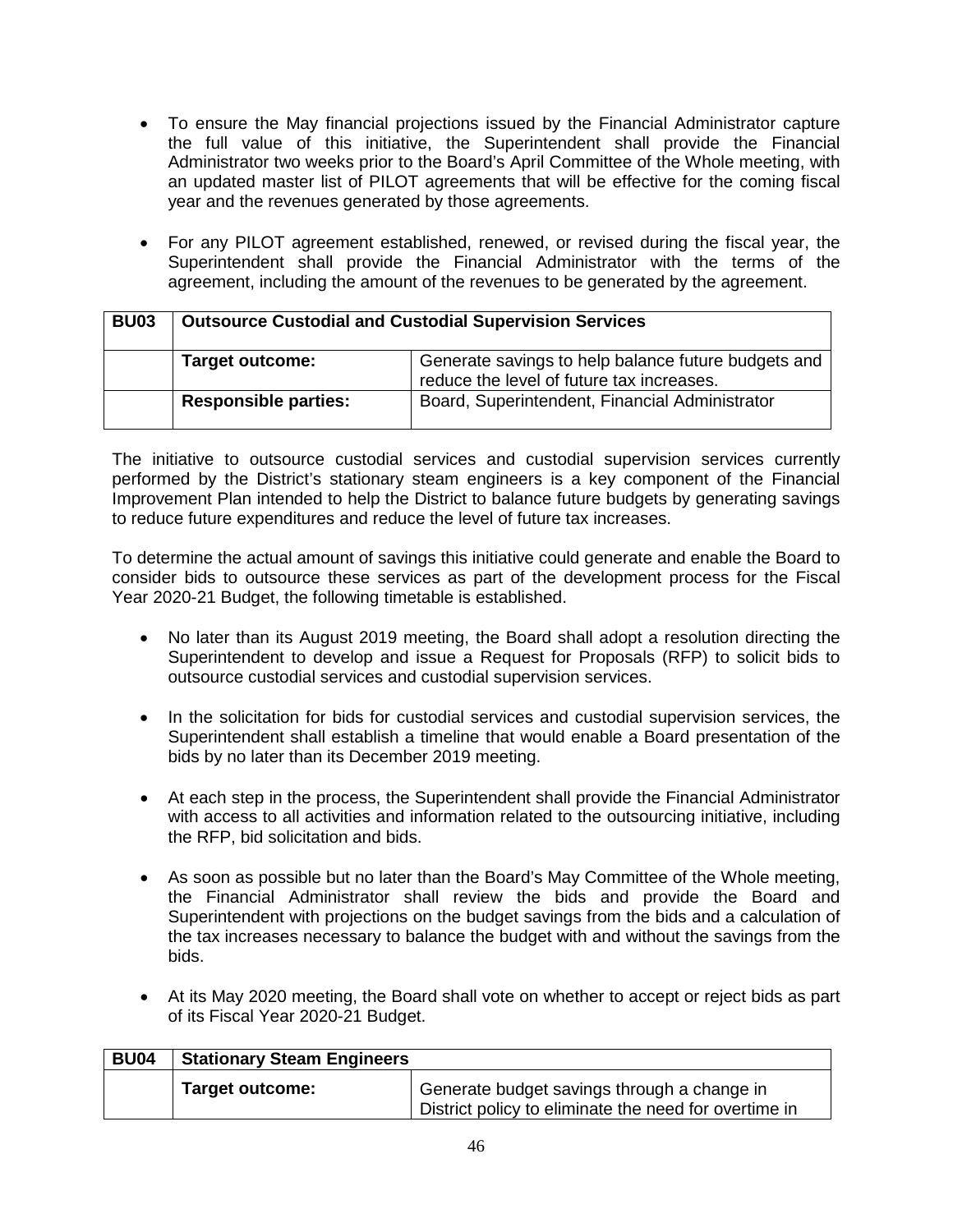- To ensure the May financial projections issued by the Financial Administrator capture the full value of this initiative, the Superintendent shall provide the Financial Administrator two weeks prior to the Board's April Committee of the Whole meeting, with an updated master list of PILOT agreements that will be effective for the coming fiscal year and the revenues generated by those agreements.
- For any PILOT agreement established, renewed, or revised during the fiscal year, the Superintendent shall provide the Financial Administrator with the terms of the agreement, including the amount of the revenues to be generated by the agreement.

| <b>BU03</b> | <b>Outsource Custodial and Custodial Supervision Services</b> |                                                                                                  |  |  |
|-------------|---------------------------------------------------------------|--------------------------------------------------------------------------------------------------|--|--|
|             | <b>Target outcome:</b>                                        | Generate savings to help balance future budgets and<br>reduce the level of future tax increases. |  |  |
|             | <b>Responsible parties:</b>                                   | Board, Superintendent, Financial Administrator                                                   |  |  |

The initiative to outsource custodial services and custodial supervision services currently performed by the District's stationary steam engineers is a key component of the Financial Improvement Plan intended to help the District to balance future budgets by generating savings to reduce future expenditures and reduce the level of future tax increases.

To determine the actual amount of savings this initiative could generate and enable the Board to consider bids to outsource these services as part of the development process for the Fiscal Year 2020-21 Budget, the following timetable is established.

- No later than its August 2019 meeting, the Board shall adopt a resolution directing the Superintendent to develop and issue a Request for Proposals (RFP) to solicit bids to outsource custodial services and custodial supervision services.
- In the solicitation for bids for custodial services and custodial supervision services, the Superintendent shall establish a timeline that would enable a Board presentation of the bids by no later than its December 2019 meeting.
- At each step in the process, the Superintendent shall provide the Financial Administrator with access to all activities and information related to the outsourcing initiative, including the RFP, bid solicitation and bids.
- As soon as possible but no later than the Board's May Committee of the Whole meeting, the Financial Administrator shall review the bids and provide the Board and Superintendent with projections on the budget savings from the bids and a calculation of the tax increases necessary to balance the budget with and without the savings from the bids.
- At its May 2020 meeting, the Board shall vote on whether to accept or reject bids as part of its Fiscal Year 2020-21 Budget.

| <b>BU04</b> | <b>Stationary Steam Engineers</b> |                                                                                                      |
|-------------|-----------------------------------|------------------------------------------------------------------------------------------------------|
|             | Target outcome:                   | Generate budget savings through a change in<br>District policy to eliminate the need for overtime in |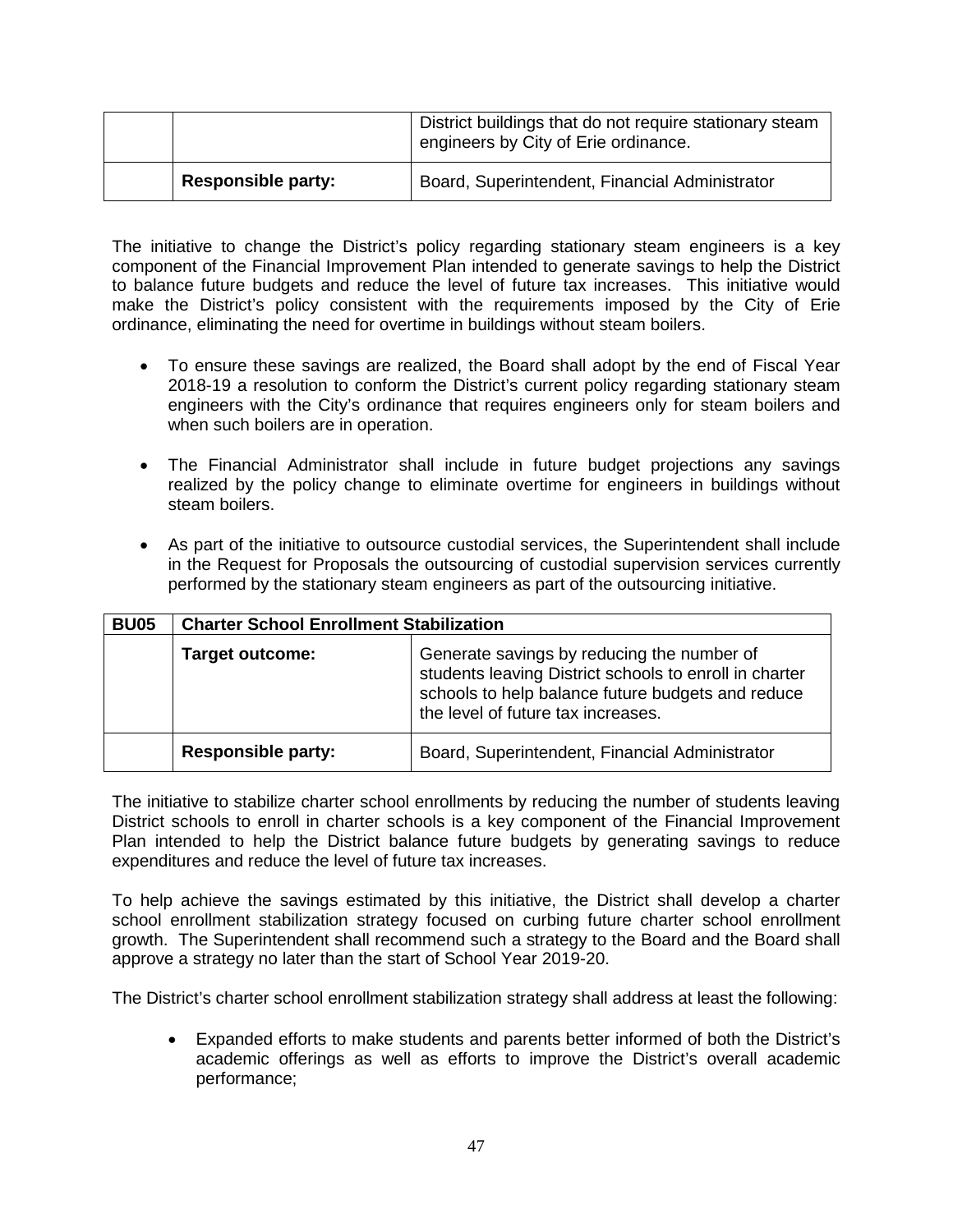|                           | District buildings that do not require stationary steam<br>engineers by City of Erie ordinance. |
|---------------------------|-------------------------------------------------------------------------------------------------|
| <b>Responsible party:</b> | Board, Superintendent, Financial Administrator                                                  |

The initiative to change the District's policy regarding stationary steam engineers is a key component of the Financial Improvement Plan intended to generate savings to help the District to balance future budgets and reduce the level of future tax increases. This initiative would make the District's policy consistent with the requirements imposed by the City of Erie ordinance, eliminating the need for overtime in buildings without steam boilers.

- To ensure these savings are realized, the Board shall adopt by the end of Fiscal Year 2018-19 a resolution to conform the District's current policy regarding stationary steam engineers with the City's ordinance that requires engineers only for steam boilers and when such boilers are in operation.
- The Financial Administrator shall include in future budget projections any savings realized by the policy change to eliminate overtime for engineers in buildings without steam boilers.
- As part of the initiative to outsource custodial services, the Superintendent shall include in the Request for Proposals the outsourcing of custodial supervision services currently performed by the stationary steam engineers as part of the outsourcing initiative.

| <b>BU05</b> | <b>Charter School Enrollment Stabilization</b> |                                                                                                                                                                                                 |
|-------------|------------------------------------------------|-------------------------------------------------------------------------------------------------------------------------------------------------------------------------------------------------|
|             | <b>Target outcome:</b>                         | Generate savings by reducing the number of<br>students leaving District schools to enroll in charter<br>schools to help balance future budgets and reduce<br>the level of future tax increases. |
|             | <b>Responsible party:</b>                      | Board, Superintendent, Financial Administrator                                                                                                                                                  |

The initiative to stabilize charter school enrollments by reducing the number of students leaving District schools to enroll in charter schools is a key component of the Financial Improvement Plan intended to help the District balance future budgets by generating savings to reduce expenditures and reduce the level of future tax increases.

To help achieve the savings estimated by this initiative, the District shall develop a charter school enrollment stabilization strategy focused on curbing future charter school enrollment growth. The Superintendent shall recommend such a strategy to the Board and the Board shall approve a strategy no later than the start of School Year 2019-20.

The District's charter school enrollment stabilization strategy shall address at least the following:

• Expanded efforts to make students and parents better informed of both the District's academic offerings as well as efforts to improve the District's overall academic performance;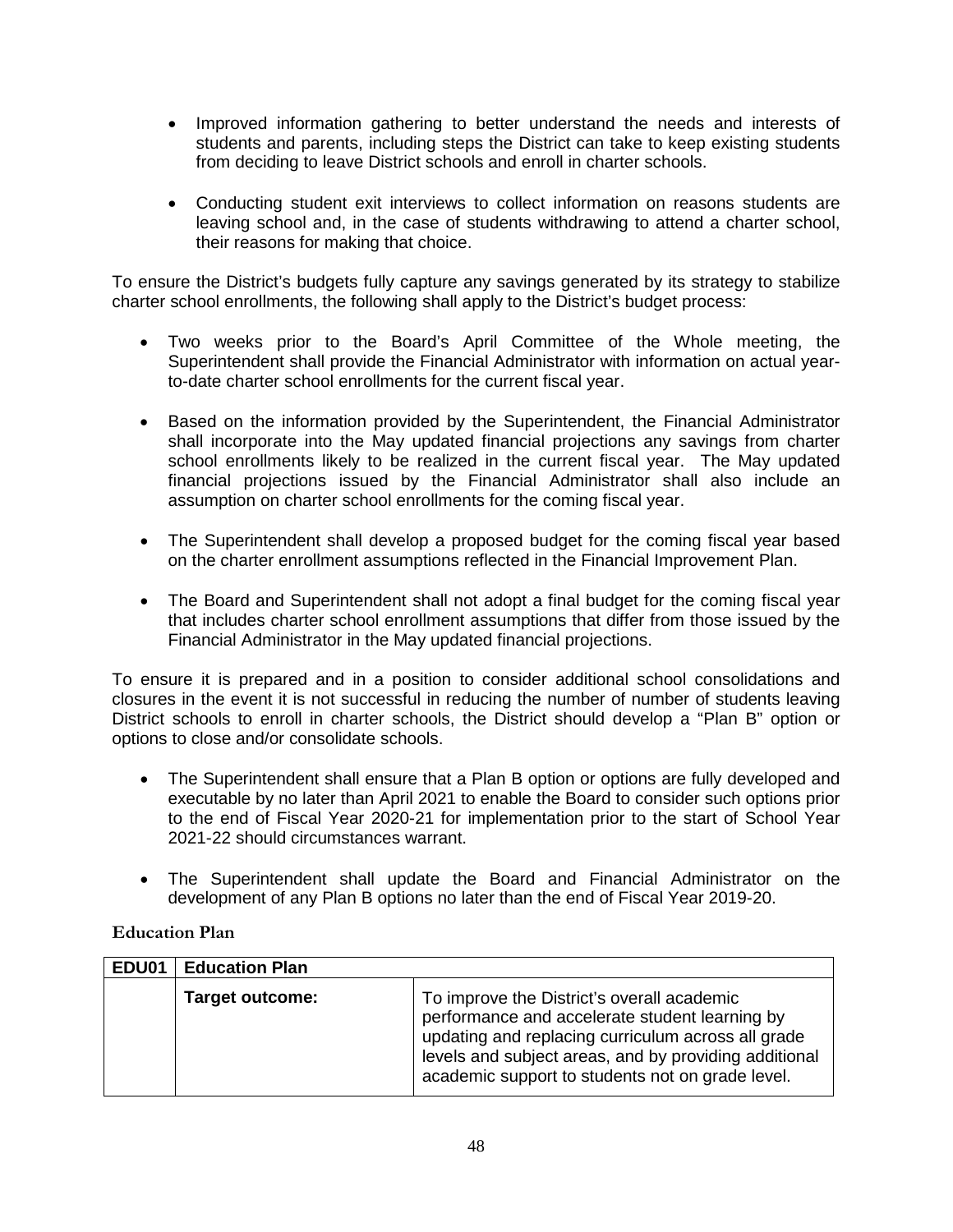- Improved information gathering to better understand the needs and interests of students and parents, including steps the District can take to keep existing students from deciding to leave District schools and enroll in charter schools.
- Conducting student exit interviews to collect information on reasons students are leaving school and, in the case of students withdrawing to attend a charter school, their reasons for making that choice.

To ensure the District's budgets fully capture any savings generated by its strategy to stabilize charter school enrollments, the following shall apply to the District's budget process:

- Two weeks prior to the Board's April Committee of the Whole meeting, the Superintendent shall provide the Financial Administrator with information on actual yearto-date charter school enrollments for the current fiscal year.
- Based on the information provided by the Superintendent, the Financial Administrator shall incorporate into the May updated financial projections any savings from charter school enrollments likely to be realized in the current fiscal year. The May updated financial projections issued by the Financial Administrator shall also include an assumption on charter school enrollments for the coming fiscal year.
- The Superintendent shall develop a proposed budget for the coming fiscal year based on the charter enrollment assumptions reflected in the Financial Improvement Plan.
- The Board and Superintendent shall not adopt a final budget for the coming fiscal year that includes charter school enrollment assumptions that differ from those issued by the Financial Administrator in the May updated financial projections.

To ensure it is prepared and in a position to consider additional school consolidations and closures in the event it is not successful in reducing the number of number of students leaving District schools to enroll in charter schools, the District should develop a "Plan B" option or options to close and/or consolidate schools.

- The Superintendent shall ensure that a Plan B option or options are fully developed and executable by no later than April 2021 to enable the Board to consider such options prior to the end of Fiscal Year 2020-21 for implementation prior to the start of School Year 2021-22 should circumstances warrant.
- The Superintendent shall update the Board and Financial Administrator on the development of any Plan B options no later than the end of Fiscal Year 2019-20.

#### <span id="page-47-0"></span>**Education Plan**

| EDU01 | <b>Education Plan</b>  |                                                                                                                                                                                                                                                                 |
|-------|------------------------|-----------------------------------------------------------------------------------------------------------------------------------------------------------------------------------------------------------------------------------------------------------------|
|       | <b>Target outcome:</b> | To improve the District's overall academic<br>performance and accelerate student learning by<br>updating and replacing curriculum across all grade<br>levels and subject areas, and by providing additional<br>academic support to students not on grade level. |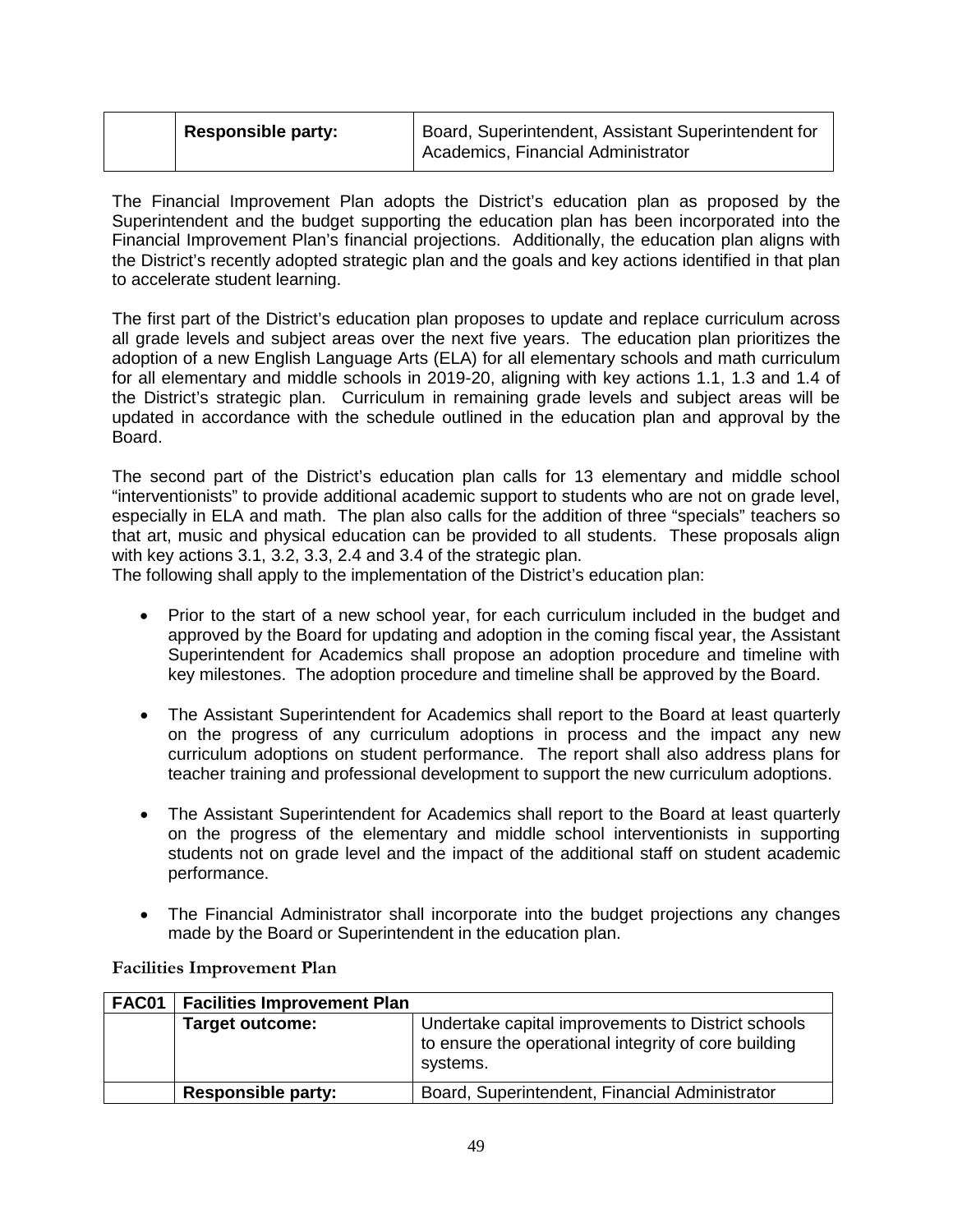| Responsible party: | Board, Superintendent, Assistant Superintendent for<br>Academics, Financial Administrator |
|--------------------|-------------------------------------------------------------------------------------------|
|--------------------|-------------------------------------------------------------------------------------------|

The Financial Improvement Plan adopts the District's education plan as proposed by the Superintendent and the budget supporting the education plan has been incorporated into the Financial Improvement Plan's financial projections. Additionally, the education plan aligns with the District's recently adopted strategic plan and the goals and key actions identified in that plan to accelerate student learning.

The first part of the District's education plan proposes to update and replace curriculum across all grade levels and subject areas over the next five years. The education plan prioritizes the adoption of a new English Language Arts (ELA) for all elementary schools and math curriculum for all elementary and middle schools in 2019-20, aligning with key actions 1.1, 1.3 and 1.4 of the District's strategic plan. Curriculum in remaining grade levels and subject areas will be updated in accordance with the schedule outlined in the education plan and approval by the Board.

The second part of the District's education plan calls for 13 elementary and middle school "interventionists" to provide additional academic support to students who are not on grade level, especially in ELA and math. The plan also calls for the addition of three "specials" teachers so that art, music and physical education can be provided to all students. These proposals align with key actions 3.1, 3.2, 3.3, 2.4 and 3.4 of the strategic plan.

The following shall apply to the implementation of the District's education plan:

- Prior to the start of a new school year, for each curriculum included in the budget and approved by the Board for updating and adoption in the coming fiscal year, the Assistant Superintendent for Academics shall propose an adoption procedure and timeline with key milestones. The adoption procedure and timeline shall be approved by the Board.
- The Assistant Superintendent for Academics shall report to the Board at least quarterly on the progress of any curriculum adoptions in process and the impact any new curriculum adoptions on student performance. The report shall also address plans for teacher training and professional development to support the new curriculum adoptions.
- The Assistant Superintendent for Academics shall report to the Board at least quarterly on the progress of the elementary and middle school interventionists in supporting students not on grade level and the impact of the additional staff on student academic performance.
- The Financial Administrator shall incorporate into the budget projections any changes made by the Board or Superintendent in the education plan.

| FAC01 | <b>Facilities Improvement Plan</b> |                                                                                                                        |
|-------|------------------------------------|------------------------------------------------------------------------------------------------------------------------|
|       | <b>Target outcome:</b>             | Undertake capital improvements to District schools<br>to ensure the operational integrity of core building<br>systems. |
|       | <b>Responsible party:</b>          | Board, Superintendent, Financial Administrator                                                                         |

#### <span id="page-48-0"></span>**Facilities Improvement Plan**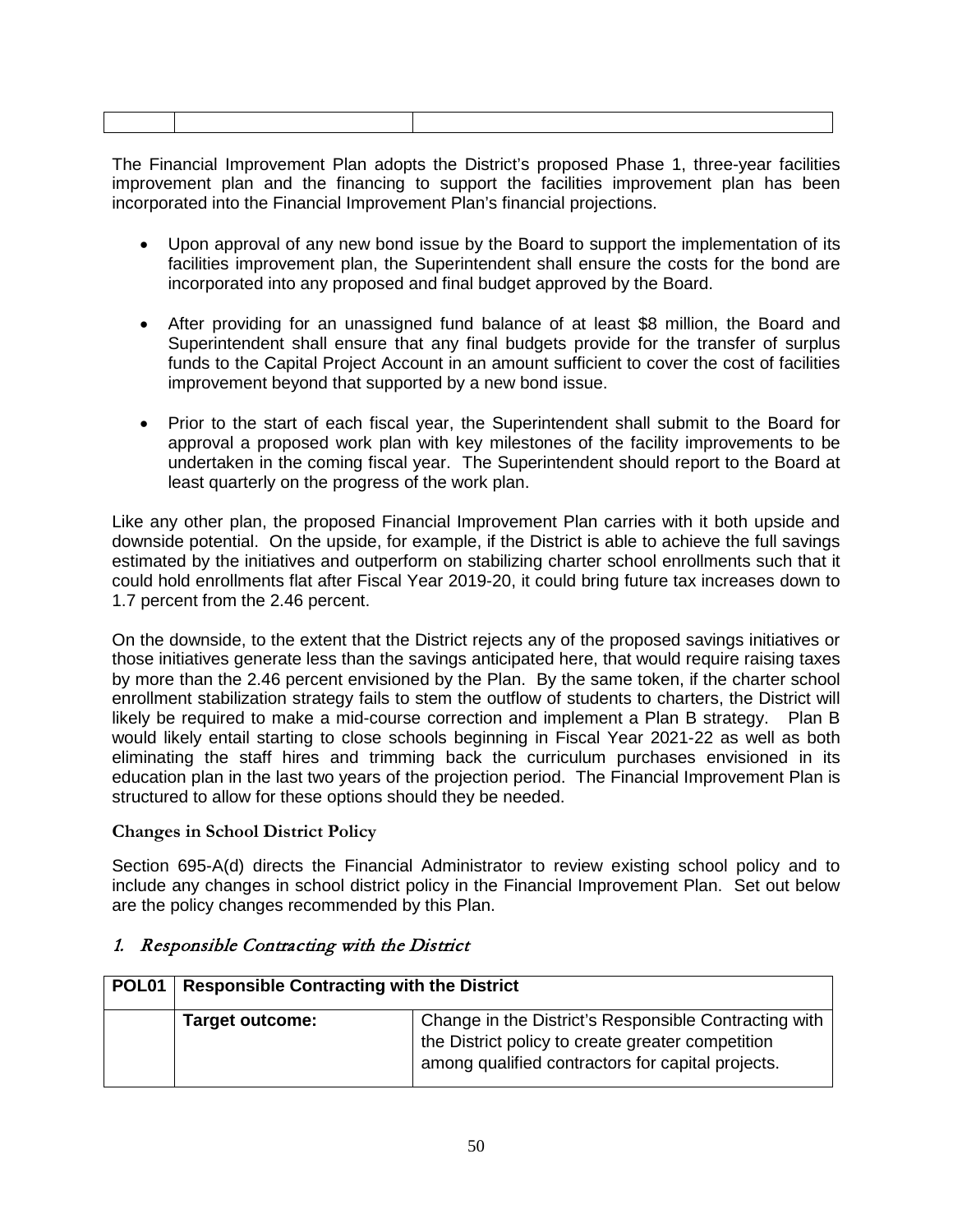The Financial Improvement Plan adopts the District's proposed Phase 1, three-year facilities improvement plan and the financing to support the facilities improvement plan has been incorporated into the Financial Improvement Plan's financial projections.

- Upon approval of any new bond issue by the Board to support the implementation of its facilities improvement plan, the Superintendent shall ensure the costs for the bond are incorporated into any proposed and final budget approved by the Board.
- After providing for an unassigned fund balance of at least \$8 million, the Board and Superintendent shall ensure that any final budgets provide for the transfer of surplus funds to the Capital Project Account in an amount sufficient to cover the cost of facilities improvement beyond that supported by a new bond issue.
- Prior to the start of each fiscal year, the Superintendent shall submit to the Board for approval a proposed work plan with key milestones of the facility improvements to be undertaken in the coming fiscal year. The Superintendent should report to the Board at least quarterly on the progress of the work plan.

Like any other plan, the proposed Financial Improvement Plan carries with it both upside and downside potential. On the upside, for example, if the District is able to achieve the full savings estimated by the initiatives and outperform on stabilizing charter school enrollments such that it could hold enrollments flat after Fiscal Year 2019-20, it could bring future tax increases down to 1.7 percent from the 2.46 percent.

On the downside, to the extent that the District rejects any of the proposed savings initiatives or those initiatives generate less than the savings anticipated here, that would require raising taxes by more than the 2.46 percent envisioned by the Plan. By the same token, if the charter school enrollment stabilization strategy fails to stem the outflow of students to charters, the District will likely be required to make a mid-course correction and implement a Plan B strategy. Plan B would likely entail starting to close schools beginning in Fiscal Year 2021-22 as well as both eliminating the staff hires and trimming back the curriculum purchases envisioned in its education plan in the last two years of the projection period. The Financial Improvement Plan is structured to allow for these options should they be needed.

#### <span id="page-49-0"></span>**Changes in School District Policy**

Section 695-A(d) directs the Financial Administrator to review existing school policy and to include any changes in school district policy in the Financial Improvement Plan. Set out below are the policy changes recommended by this Plan.

#### 1. Responsible Contracting with the District

| POL <sub>01</sub> | <b>Responsible Contracting with the District</b> |                                                                                                                                                                 |
|-------------------|--------------------------------------------------|-----------------------------------------------------------------------------------------------------------------------------------------------------------------|
|                   | <b>Target outcome:</b>                           | Change in the District's Responsible Contracting with<br>the District policy to create greater competition<br>among qualified contractors for capital projects. |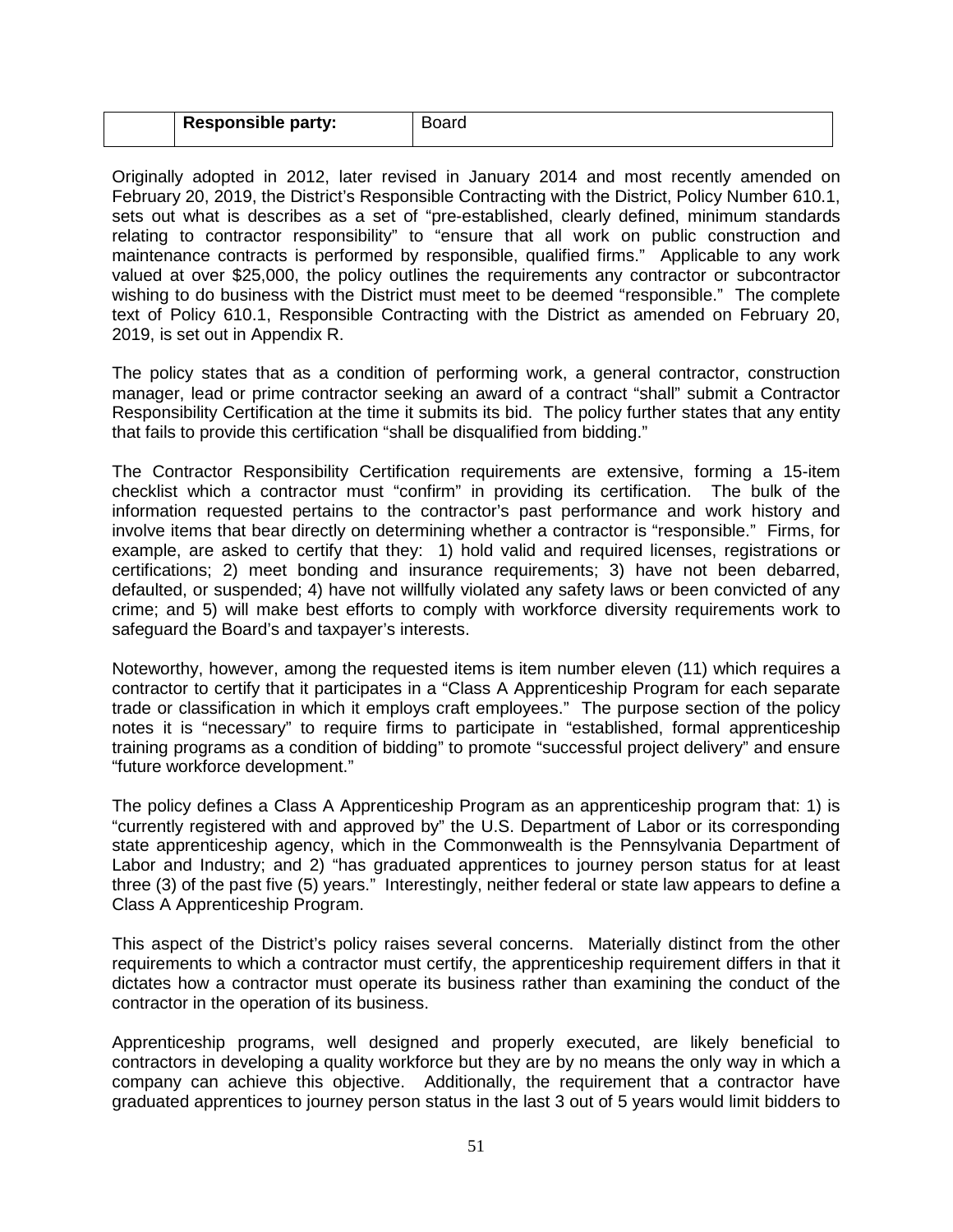| <b>Responsible party:</b> |  |
|---------------------------|--|
|                           |  |

Originally adopted in 2012, later revised in January 2014 and most recently amended on February 20, 2019, the District's Responsible Contracting with the District, Policy Number 610.1, sets out what is describes as a set of "pre-established, clearly defined, minimum standards relating to contractor responsibility" to "ensure that all work on public construction and maintenance contracts is performed by responsible, qualified firms." Applicable to any work valued at over \$25,000, the policy outlines the requirements any contractor or subcontractor wishing to do business with the District must meet to be deemed "responsible." The complete text of Policy 610.1, Responsible Contracting with the District as amended on February 20, 2019, is set out in Appendix R.

The policy states that as a condition of performing work, a general contractor, construction manager, lead or prime contractor seeking an award of a contract "shall" submit a Contractor Responsibility Certification at the time it submits its bid. The policy further states that any entity that fails to provide this certification "shall be disqualified from bidding."

The Contractor Responsibility Certification requirements are extensive, forming a 15-item checklist which a contractor must "confirm" in providing its certification. The bulk of the information requested pertains to the contractor's past performance and work history and involve items that bear directly on determining whether a contractor is "responsible." Firms, for example, are asked to certify that they: 1) hold valid and required licenses, registrations or certifications; 2) meet bonding and insurance requirements; 3) have not been debarred, defaulted, or suspended; 4) have not willfully violated any safety laws or been convicted of any crime; and 5) will make best efforts to comply with workforce diversity requirements work to safeguard the Board's and taxpayer's interests.

Noteworthy, however, among the requested items is item number eleven (11) which requires a contractor to certify that it participates in a "Class A Apprenticeship Program for each separate trade or classification in which it employs craft employees." The purpose section of the policy notes it is "necessary" to require firms to participate in "established, formal apprenticeship training programs as a condition of bidding" to promote "successful project delivery" and ensure "future workforce development."

The policy defines a Class A Apprenticeship Program as an apprenticeship program that: 1) is "currently registered with and approved by" the U.S. Department of Labor or its corresponding state apprenticeship agency, which in the Commonwealth is the Pennsylvania Department of Labor and Industry; and 2) "has graduated apprentices to journey person status for at least three (3) of the past five (5) years." Interestingly, neither federal or state law appears to define a Class A Apprenticeship Program.

This aspect of the District's policy raises several concerns. Materially distinct from the other requirements to which a contractor must certify, the apprenticeship requirement differs in that it dictates how a contractor must operate its business rather than examining the conduct of the contractor in the operation of its business.

Apprenticeship programs, well designed and properly executed, are likely beneficial to contractors in developing a quality workforce but they are by no means the only way in which a company can achieve this objective. Additionally, the requirement that a contractor have graduated apprentices to journey person status in the last 3 out of 5 years would limit bidders to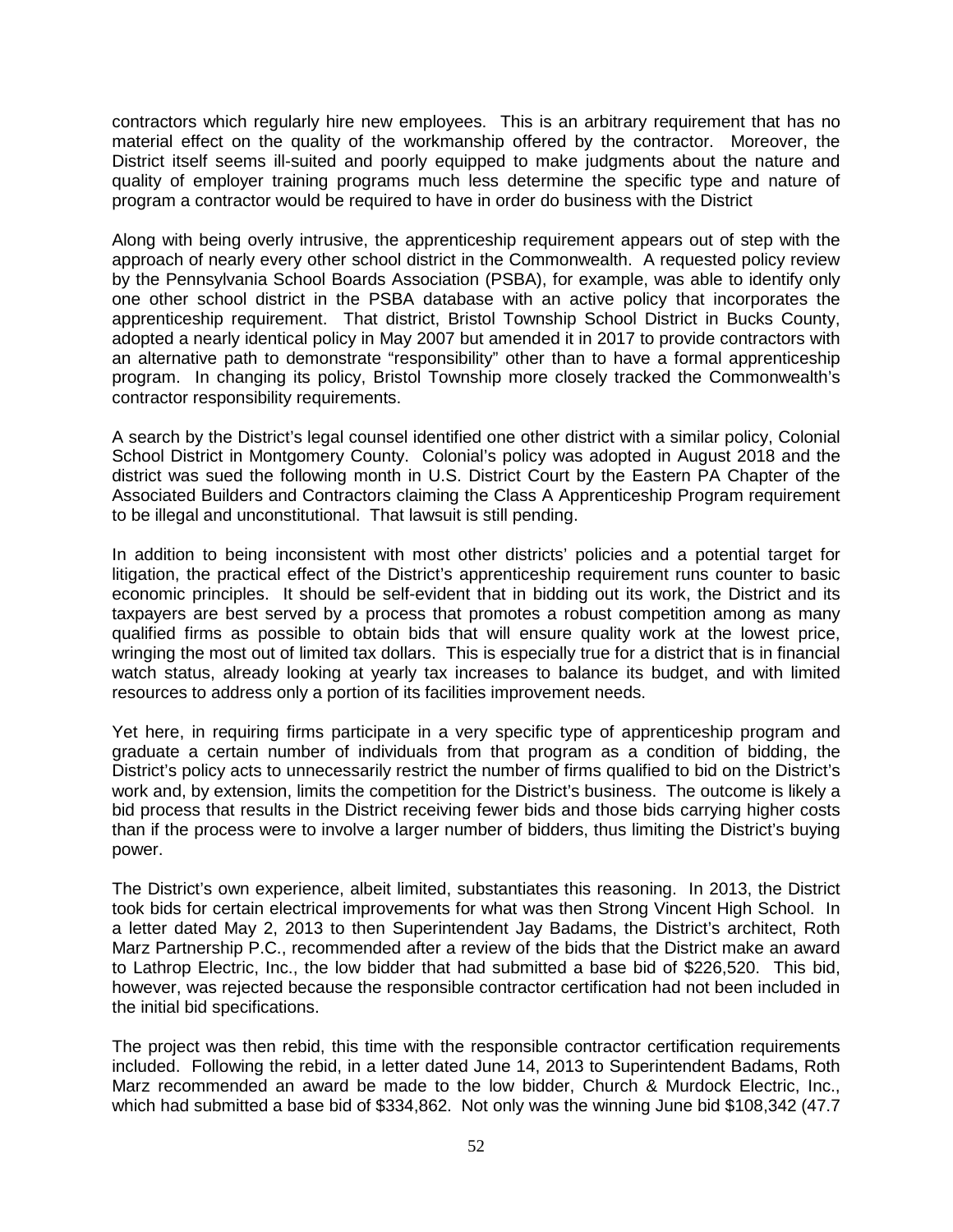contractors which regularly hire new employees. This is an arbitrary requirement that has no material effect on the quality of the workmanship offered by the contractor. Moreover, the District itself seems ill-suited and poorly equipped to make judgments about the nature and quality of employer training programs much less determine the specific type and nature of program a contractor would be required to have in order do business with the District

Along with being overly intrusive, the apprenticeship requirement appears out of step with the approach of nearly every other school district in the Commonwealth. A requested policy review by the Pennsylvania School Boards Association (PSBA), for example, was able to identify only one other school district in the PSBA database with an active policy that incorporates the apprenticeship requirement. That district, Bristol Township School District in Bucks County, adopted a nearly identical policy in May 2007 but amended it in 2017 to provide contractors with an alternative path to demonstrate "responsibility" other than to have a formal apprenticeship program. In changing its policy, Bristol Township more closely tracked the Commonwealth's contractor responsibility requirements.

A search by the District's legal counsel identified one other district with a similar policy, Colonial School District in Montgomery County. Colonial's policy was adopted in August 2018 and the district was sued the following month in U.S. District Court by the Eastern PA Chapter of the Associated Builders and Contractors claiming the Class A Apprenticeship Program requirement to be illegal and unconstitutional. That lawsuit is still pending.

In addition to being inconsistent with most other districts' policies and a potential target for litigation, the practical effect of the District's apprenticeship requirement runs counter to basic economic principles. It should be self-evident that in bidding out its work, the District and its taxpayers are best served by a process that promotes a robust competition among as many qualified firms as possible to obtain bids that will ensure quality work at the lowest price, wringing the most out of limited tax dollars. This is especially true for a district that is in financial watch status, already looking at yearly tax increases to balance its budget, and with limited resources to address only a portion of its facilities improvement needs.

Yet here, in requiring firms participate in a very specific type of apprenticeship program and graduate a certain number of individuals from that program as a condition of bidding, the District's policy acts to unnecessarily restrict the number of firms qualified to bid on the District's work and, by extension, limits the competition for the District's business. The outcome is likely a bid process that results in the District receiving fewer bids and those bids carrying higher costs than if the process were to involve a larger number of bidders, thus limiting the District's buying power.

The District's own experience, albeit limited, substantiates this reasoning. In 2013, the District took bids for certain electrical improvements for what was then Strong Vincent High School. In a letter dated May 2, 2013 to then Superintendent Jay Badams, the District's architect, Roth Marz Partnership P.C., recommended after a review of the bids that the District make an award to Lathrop Electric, Inc., the low bidder that had submitted a base bid of \$226,520. This bid, however, was rejected because the responsible contractor certification had not been included in the initial bid specifications.

The project was then rebid, this time with the responsible contractor certification requirements included. Following the rebid, in a letter dated June 14, 2013 to Superintendent Badams, Roth Marz recommended an award be made to the low bidder, Church & Murdock Electric, Inc., which had submitted a base bid of \$334,862. Not only was the winning June bid \$108,342 (47.7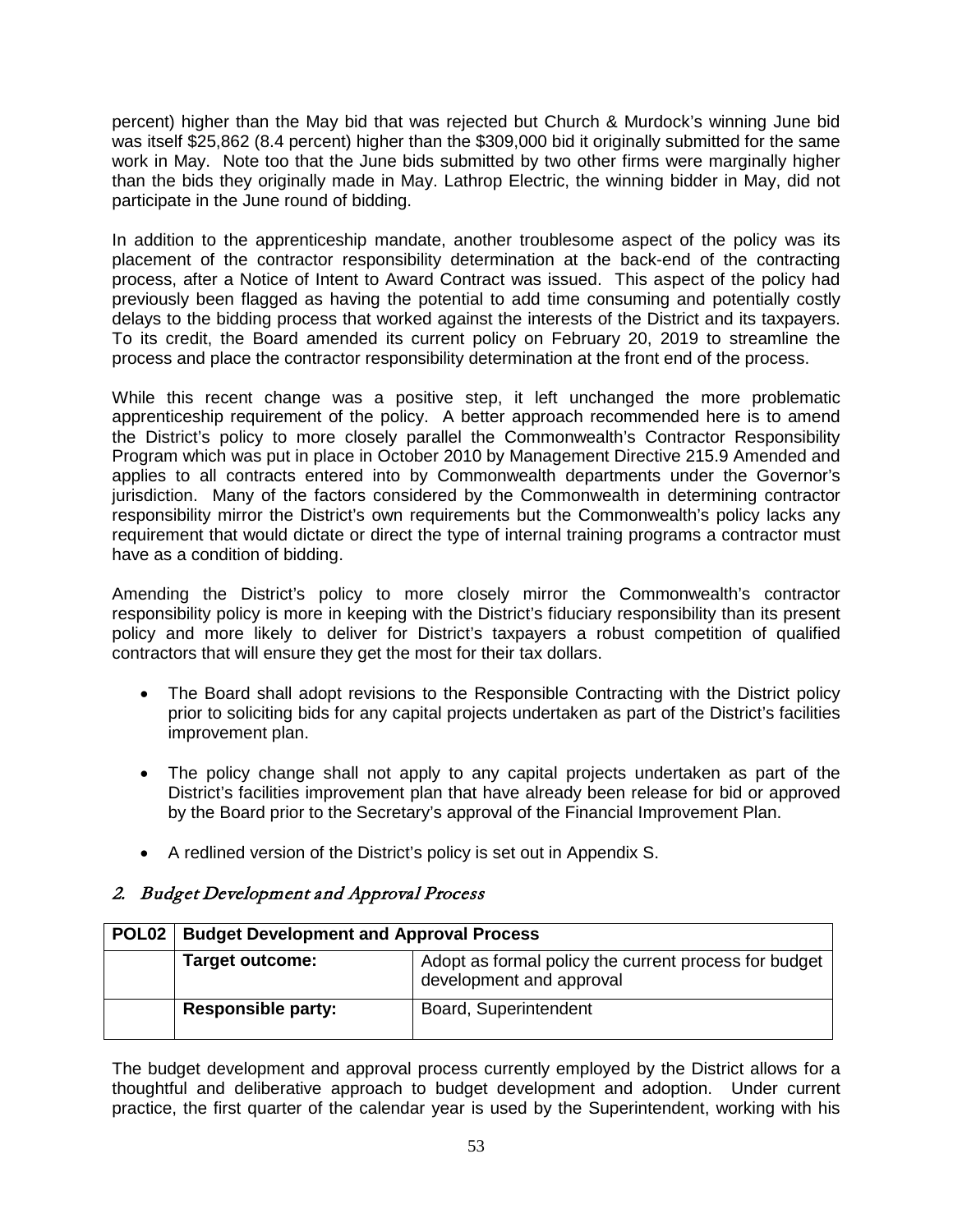percent) higher than the May bid that was rejected but Church & Murdock's winning June bid was itself \$25,862 (8.4 percent) higher than the \$309,000 bid it originally submitted for the same work in May. Note too that the June bids submitted by two other firms were marginally higher than the bids they originally made in May. Lathrop Electric, the winning bidder in May, did not participate in the June round of bidding.

In addition to the apprenticeship mandate, another troublesome aspect of the policy was its placement of the contractor responsibility determination at the back-end of the contracting process, after a Notice of Intent to Award Contract was issued. This aspect of the policy had previously been flagged as having the potential to add time consuming and potentially costly delays to the bidding process that worked against the interests of the District and its taxpayers. To its credit, the Board amended its current policy on February 20, 2019 to streamline the process and place the contractor responsibility determination at the front end of the process.

While this recent change was a positive step, it left unchanged the more problematic apprenticeship requirement of the policy. A better approach recommended here is to amend the District's policy to more closely parallel the Commonwealth's Contractor Responsibility Program which was put in place in October 2010 by Management Directive 215.9 Amended and applies to all contracts entered into by Commonwealth departments under the Governor's jurisdiction. Many of the factors considered by the Commonwealth in determining contractor responsibility mirror the District's own requirements but the Commonwealth's policy lacks any requirement that would dictate or direct the type of internal training programs a contractor must have as a condition of bidding.

Amending the District's policy to more closely mirror the Commonwealth's contractor responsibility policy is more in keeping with the District's fiduciary responsibility than its present policy and more likely to deliver for District's taxpayers a robust competition of qualified contractors that will ensure they get the most for their tax dollars.

- The Board shall adopt revisions to the Responsible Contracting with the District policy prior to soliciting bids for any capital projects undertaken as part of the District's facilities improvement plan.
- The policy change shall not apply to any capital projects undertaken as part of the District's facilities improvement plan that have already been release for bid or approved by the Board prior to the Secretary's approval of the Financial Improvement Plan.
- A redlined version of the District's policy is set out in Appendix S.

# 2. Budget Development and Approval Process

| <b>POL02</b> | <b>Budget Development and Approval Process</b> |                                                                                   |
|--------------|------------------------------------------------|-----------------------------------------------------------------------------------|
|              | <b>Target outcome:</b>                         | Adopt as formal policy the current process for budget<br>development and approval |
|              | <b>Responsible party:</b>                      | Board, Superintendent                                                             |

The budget development and approval process currently employed by the District allows for a thoughtful and deliberative approach to budget development and adoption. Under current practice, the first quarter of the calendar year is used by the Superintendent, working with his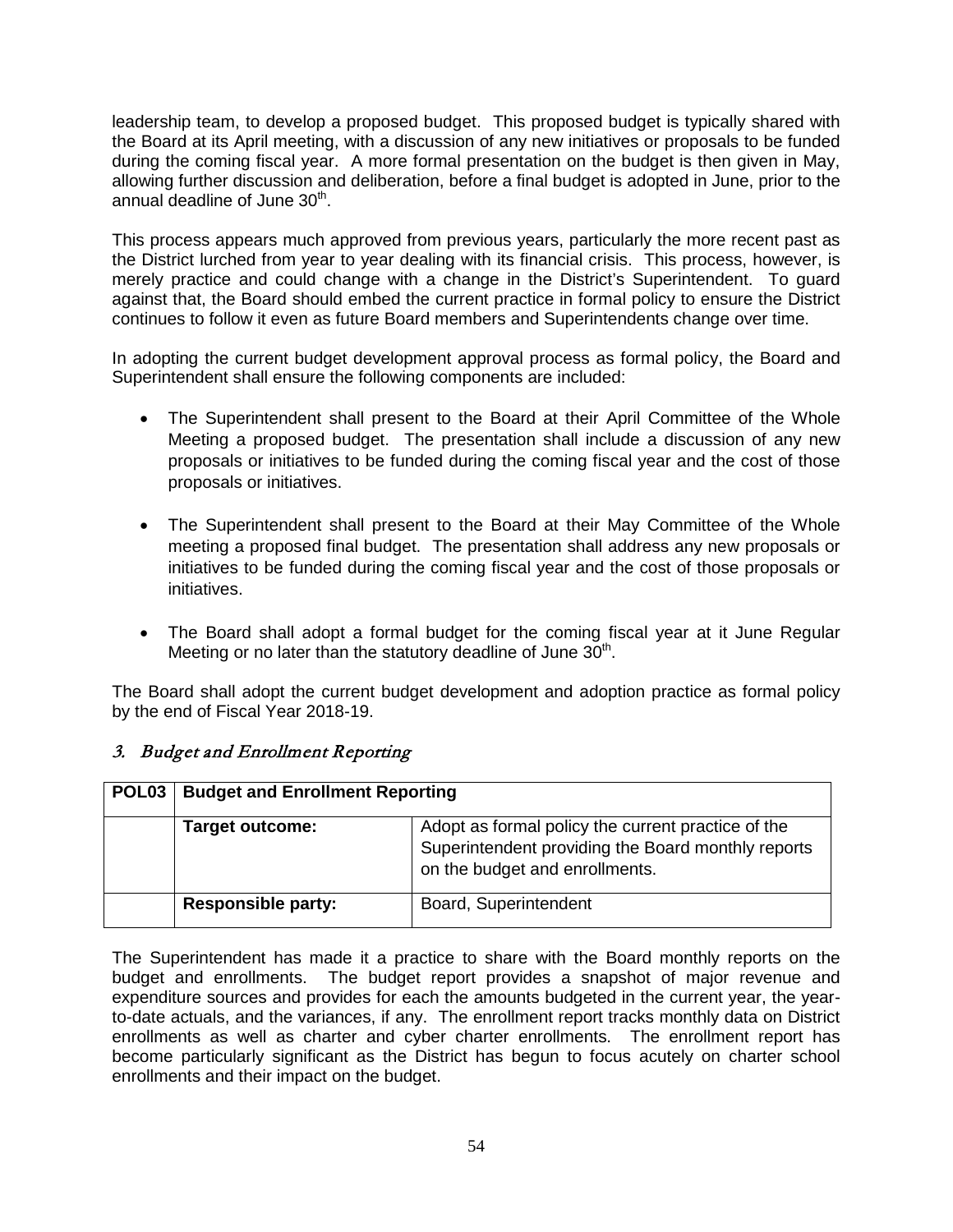leadership team, to develop a proposed budget. This proposed budget is typically shared with the Board at its April meeting, with a discussion of any new initiatives or proposals to be funded during the coming fiscal year. A more formal presentation on the budget is then given in May, allowing further discussion and deliberation, before a final budget is adopted in June, prior to the annual deadline of June 30<sup>th</sup>.

This process appears much approved from previous years, particularly the more recent past as the District lurched from year to year dealing with its financial crisis. This process, however, is merely practice and could change with a change in the District's Superintendent. To guard against that, the Board should embed the current practice in formal policy to ensure the District continues to follow it even as future Board members and Superintendents change over time.

In adopting the current budget development approval process as formal policy, the Board and Superintendent shall ensure the following components are included:

- The Superintendent shall present to the Board at their April Committee of the Whole Meeting a proposed budget. The presentation shall include a discussion of any new proposals or initiatives to be funded during the coming fiscal year and the cost of those proposals or initiatives.
- The Superintendent shall present to the Board at their May Committee of the Whole meeting a proposed final budget. The presentation shall address any new proposals or initiatives to be funded during the coming fiscal year and the cost of those proposals or initiatives.
- The Board shall adopt a formal budget for the coming fiscal year at it June Regular Meeting or no later than the statutory deadline of June  $30<sup>th</sup>$ .

The Board shall adopt the current budget development and adoption practice as formal policy by the end of Fiscal Year 2018-19.

#### 3. Budget and Enrollment Reporting

| POL <sub>03</sub> | <b>Budget and Enrollment Reporting</b> |                                                                                                                                            |
|-------------------|----------------------------------------|--------------------------------------------------------------------------------------------------------------------------------------------|
|                   | <b>Target outcome:</b>                 | Adopt as formal policy the current practice of the<br>Superintendent providing the Board monthly reports<br>on the budget and enrollments. |
|                   | <b>Responsible party:</b>              | Board, Superintendent                                                                                                                      |

The Superintendent has made it a practice to share with the Board monthly reports on the budget and enrollments. The budget report provides a snapshot of major revenue and expenditure sources and provides for each the amounts budgeted in the current year, the yearto-date actuals, and the variances, if any. The enrollment report tracks monthly data on District enrollments as well as charter and cyber charter enrollments. The enrollment report has become particularly significant as the District has begun to focus acutely on charter school enrollments and their impact on the budget.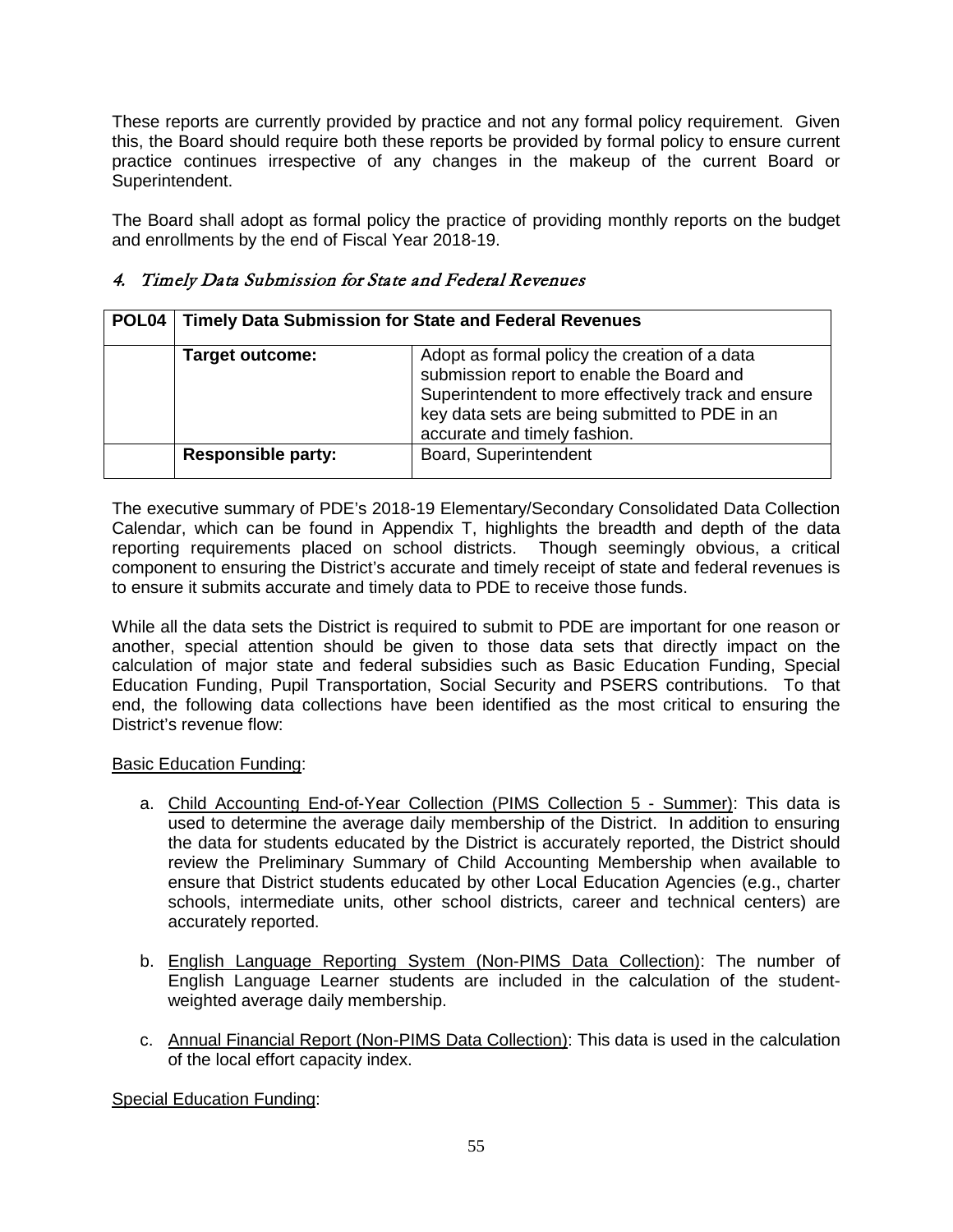These reports are currently provided by practice and not any formal policy requirement. Given this, the Board should require both these reports be provided by formal policy to ensure current practice continues irrespective of any changes in the makeup of the current Board or Superintendent.

The Board shall adopt as formal policy the practice of providing monthly reports on the budget and enrollments by the end of Fiscal Year 2018-19.

## 4. Timely Data Submission for State and Federal Revenues

| POL04 | <b>Timely Data Submission for State and Federal Revenues</b> |                                                                                                                                                                                                                                     |
|-------|--------------------------------------------------------------|-------------------------------------------------------------------------------------------------------------------------------------------------------------------------------------------------------------------------------------|
|       | Target outcome:                                              | Adopt as formal policy the creation of a data<br>submission report to enable the Board and<br>Superintendent to more effectively track and ensure<br>key data sets are being submitted to PDE in an<br>accurate and timely fashion. |
|       | <b>Responsible party:</b>                                    | Board, Superintendent                                                                                                                                                                                                               |

The executive summary of PDE's 2018-19 Elementary/Secondary Consolidated Data Collection Calendar, which can be found in Appendix T, highlights the breadth and depth of the data reporting requirements placed on school districts. Though seemingly obvious, a critical component to ensuring the District's accurate and timely receipt of state and federal revenues is to ensure it submits accurate and timely data to PDE to receive those funds.

While all the data sets the District is required to submit to PDE are important for one reason or another, special attention should be given to those data sets that directly impact on the calculation of major state and federal subsidies such as Basic Education Funding, Special Education Funding, Pupil Transportation, Social Security and PSERS contributions. To that end, the following data collections have been identified as the most critical to ensuring the District's revenue flow:

#### Basic Education Funding:

- a. Child Accounting End-of-Year Collection (PIMS Collection 5 Summer): This data is used to determine the average daily membership of the District. In addition to ensuring the data for students educated by the District is accurately reported, the District should review the Preliminary Summary of Child Accounting Membership when available to ensure that District students educated by other Local Education Agencies (e.g., charter schools, intermediate units, other school districts, career and technical centers) are accurately reported.
- b. English Language Reporting System (Non-PIMS Data Collection): The number of English Language Learner students are included in the calculation of the studentweighted average daily membership.
- c. Annual Financial Report (Non-PIMS Data Collection): This data is used in the calculation of the local effort capacity index.

Special Education Funding: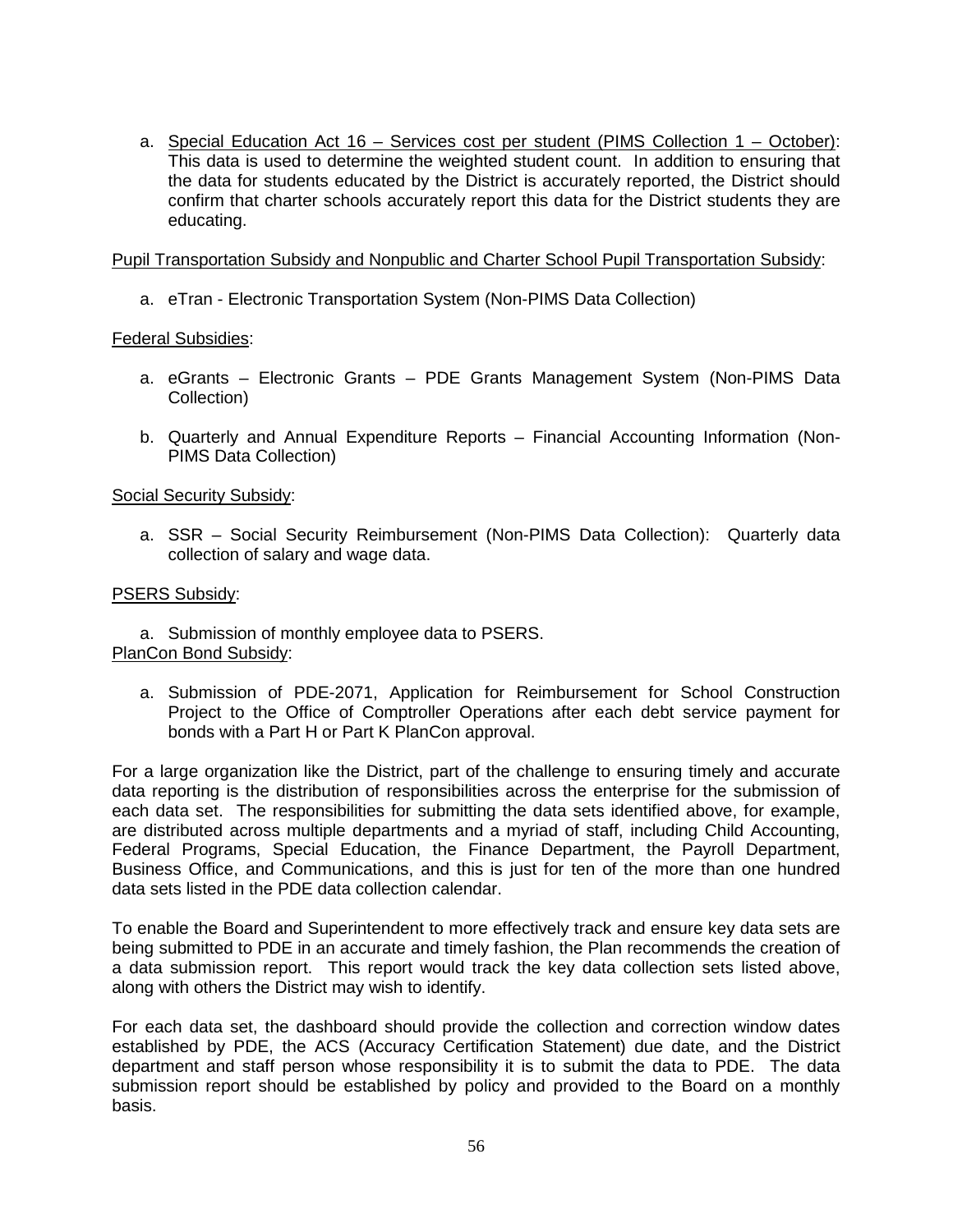a. Special Education Act 16 – Services cost per student (PIMS Collection 1 – October): This data is used to determine the weighted student count. In addition to ensuring that the data for students educated by the District is accurately reported, the District should confirm that charter schools accurately report this data for the District students they are educating.

Pupil Transportation Subsidy and Nonpublic and Charter School Pupil Transportation Subsidy:

a. eTran - Electronic Transportation System (Non-PIMS Data Collection)

#### Federal Subsidies:

- a. eGrants Electronic Grants PDE Grants Management System (Non-PIMS Data Collection)
- b. Quarterly and Annual Expenditure Reports Financial Accounting Information (Non-PIMS Data Collection)

#### Social Security Subsidy:

a. SSR – Social Security Reimbursement (Non-PIMS Data Collection): Quarterly data collection of salary and wage data.

#### PSERS Subsidy:

a. Submission of monthly employee data to PSERS. PlanCon Bond Subsidy:

a. Submission of PDE-2071, Application for Reimbursement for School Construction Project to the Office of Comptroller Operations after each debt service payment for bonds with a Part H or Part K PlanCon approval.

For a large organization like the District, part of the challenge to ensuring timely and accurate data reporting is the distribution of responsibilities across the enterprise for the submission of each data set. The responsibilities for submitting the data sets identified above, for example, are distributed across multiple departments and a myriad of staff, including Child Accounting, Federal Programs, Special Education, the Finance Department, the Payroll Department, Business Office, and Communications, and this is just for ten of the more than one hundred data sets listed in the PDE data collection calendar.

To enable the Board and Superintendent to more effectively track and ensure key data sets are being submitted to PDE in an accurate and timely fashion, the Plan recommends the creation of a data submission report. This report would track the key data collection sets listed above, along with others the District may wish to identify.

For each data set, the dashboard should provide the collection and correction window dates established by PDE, the ACS (Accuracy Certification Statement) due date, and the District department and staff person whose responsibility it is to submit the data to PDE. The data submission report should be established by policy and provided to the Board on a monthly basis.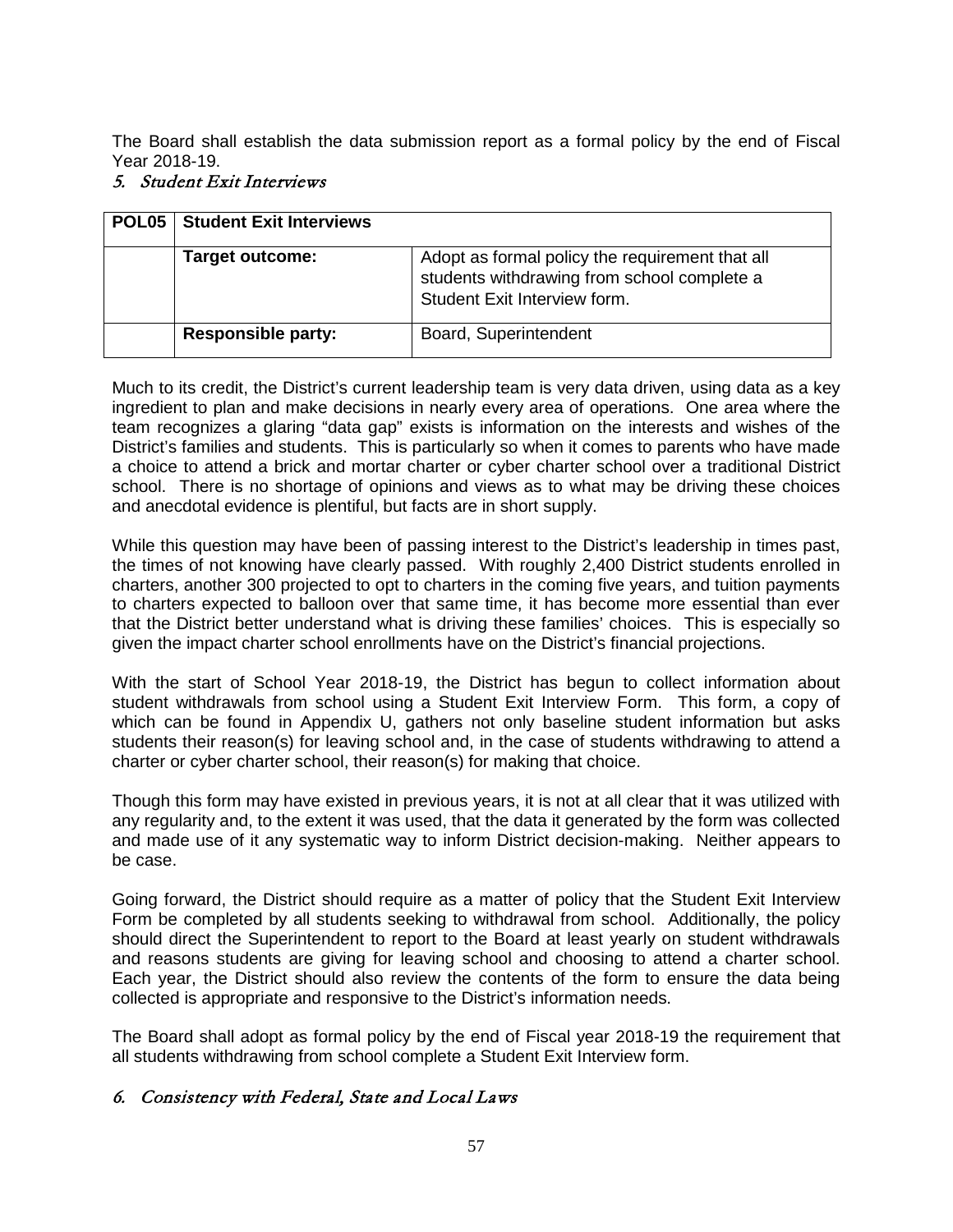The Board shall establish the data submission report as a formal policy by the end of Fiscal Year 2018-19.

# 5. Student Exit Interviews

| POL05 | <b>Student Exit Interviews</b> |                                                                                                                                |
|-------|--------------------------------|--------------------------------------------------------------------------------------------------------------------------------|
|       | <b>Target outcome:</b>         | Adopt as formal policy the requirement that all<br>students withdrawing from school complete a<br>Student Exit Interview form. |
|       | <b>Responsible party:</b>      | Board, Superintendent                                                                                                          |

Much to its credit, the District's current leadership team is very data driven, using data as a key ingredient to plan and make decisions in nearly every area of operations. One area where the team recognizes a glaring "data gap" exists is information on the interests and wishes of the District's families and students. This is particularly so when it comes to parents who have made a choice to attend a brick and mortar charter or cyber charter school over a traditional District school. There is no shortage of opinions and views as to what may be driving these choices and anecdotal evidence is plentiful, but facts are in short supply.

While this question may have been of passing interest to the District's leadership in times past, the times of not knowing have clearly passed. With roughly 2,400 District students enrolled in charters, another 300 projected to opt to charters in the coming five years, and tuition payments to charters expected to balloon over that same time, it has become more essential than ever that the District better understand what is driving these families' choices. This is especially so given the impact charter school enrollments have on the District's financial projections.

With the start of School Year 2018-19, the District has begun to collect information about student withdrawals from school using a Student Exit Interview Form. This form, a copy of which can be found in Appendix U, gathers not only baseline student information but asks students their reason(s) for leaving school and, in the case of students withdrawing to attend a charter or cyber charter school, their reason(s) for making that choice.

Though this form may have existed in previous years, it is not at all clear that it was utilized with any regularity and, to the extent it was used, that the data it generated by the form was collected and made use of it any systematic way to inform District decision-making. Neither appears to be case.

Going forward, the District should require as a matter of policy that the Student Exit Interview Form be completed by all students seeking to withdrawal from school. Additionally, the policy should direct the Superintendent to report to the Board at least yearly on student withdrawals and reasons students are giving for leaving school and choosing to attend a charter school. Each year, the District should also review the contents of the form to ensure the data being collected is appropriate and responsive to the District's information needs.

The Board shall adopt as formal policy by the end of Fiscal year 2018-19 the requirement that all students withdrawing from school complete a Student Exit Interview form.

# 6. Consistency with Federal, State and Local Laws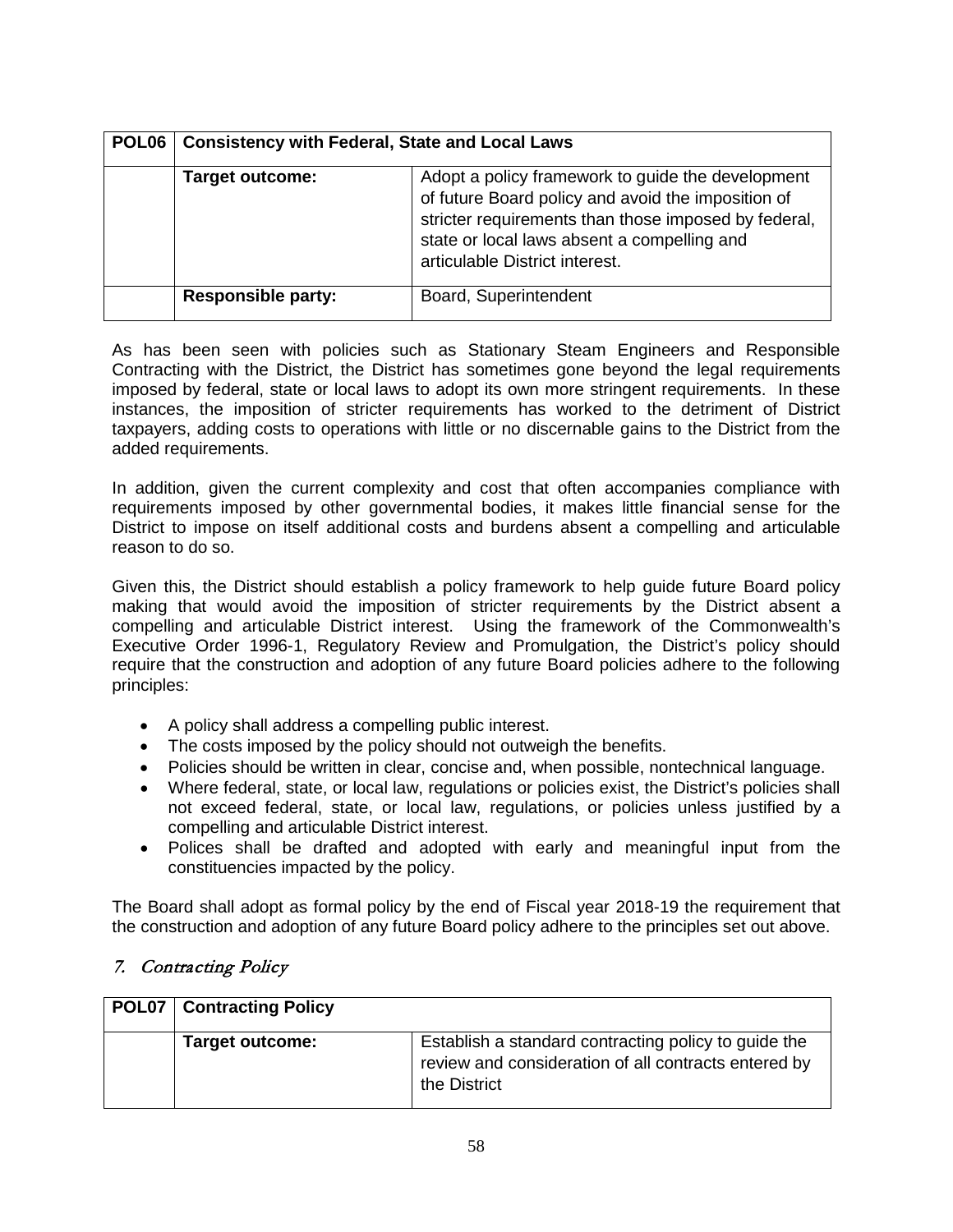| POL <sub>06</sub> | <b>Consistency with Federal, State and Local Laws</b> |                                                                                                                                                                                                                                                  |
|-------------------|-------------------------------------------------------|--------------------------------------------------------------------------------------------------------------------------------------------------------------------------------------------------------------------------------------------------|
|                   | <b>Target outcome:</b>                                | Adopt a policy framework to guide the development<br>of future Board policy and avoid the imposition of<br>stricter requirements than those imposed by federal,<br>state or local laws absent a compelling and<br>articulable District interest. |
|                   | <b>Responsible party:</b>                             | Board, Superintendent                                                                                                                                                                                                                            |

As has been seen with policies such as Stationary Steam Engineers and Responsible Contracting with the District, the District has sometimes gone beyond the legal requirements imposed by federal, state or local laws to adopt its own more stringent requirements. In these instances, the imposition of stricter requirements has worked to the detriment of District taxpayers, adding costs to operations with little or no discernable gains to the District from the added requirements.

In addition, given the current complexity and cost that often accompanies compliance with requirements imposed by other governmental bodies, it makes little financial sense for the District to impose on itself additional costs and burdens absent a compelling and articulable reason to do so.

Given this, the District should establish a policy framework to help guide future Board policy making that would avoid the imposition of stricter requirements by the District absent a compelling and articulable District interest. Using the framework of the Commonwealth's Executive Order 1996-1, Regulatory Review and Promulgation, the District's policy should require that the construction and adoption of any future Board policies adhere to the following principles:

- A policy shall address a compelling public interest.
- The costs imposed by the policy should not outweigh the benefits.
- Policies should be written in clear, concise and, when possible, nontechnical language.
- Where federal, state, or local law, regulations or policies exist, the District's policies shall not exceed federal, state, or local law, regulations, or policies unless justified by a compelling and articulable District interest.
- Polices shall be drafted and adopted with early and meaningful input from the constituencies impacted by the policy.

The Board shall adopt as formal policy by the end of Fiscal year 2018-19 the requirement that the construction and adoption of any future Board policy adhere to the principles set out above.

#### 7. Contracting Policy

| <b>POL07   Contracting Policy</b> |                                                                                                                              |
|-----------------------------------|------------------------------------------------------------------------------------------------------------------------------|
| <b>Target outcome:</b>            | Establish a standard contracting policy to guide the<br>review and consideration of all contracts entered by<br>the District |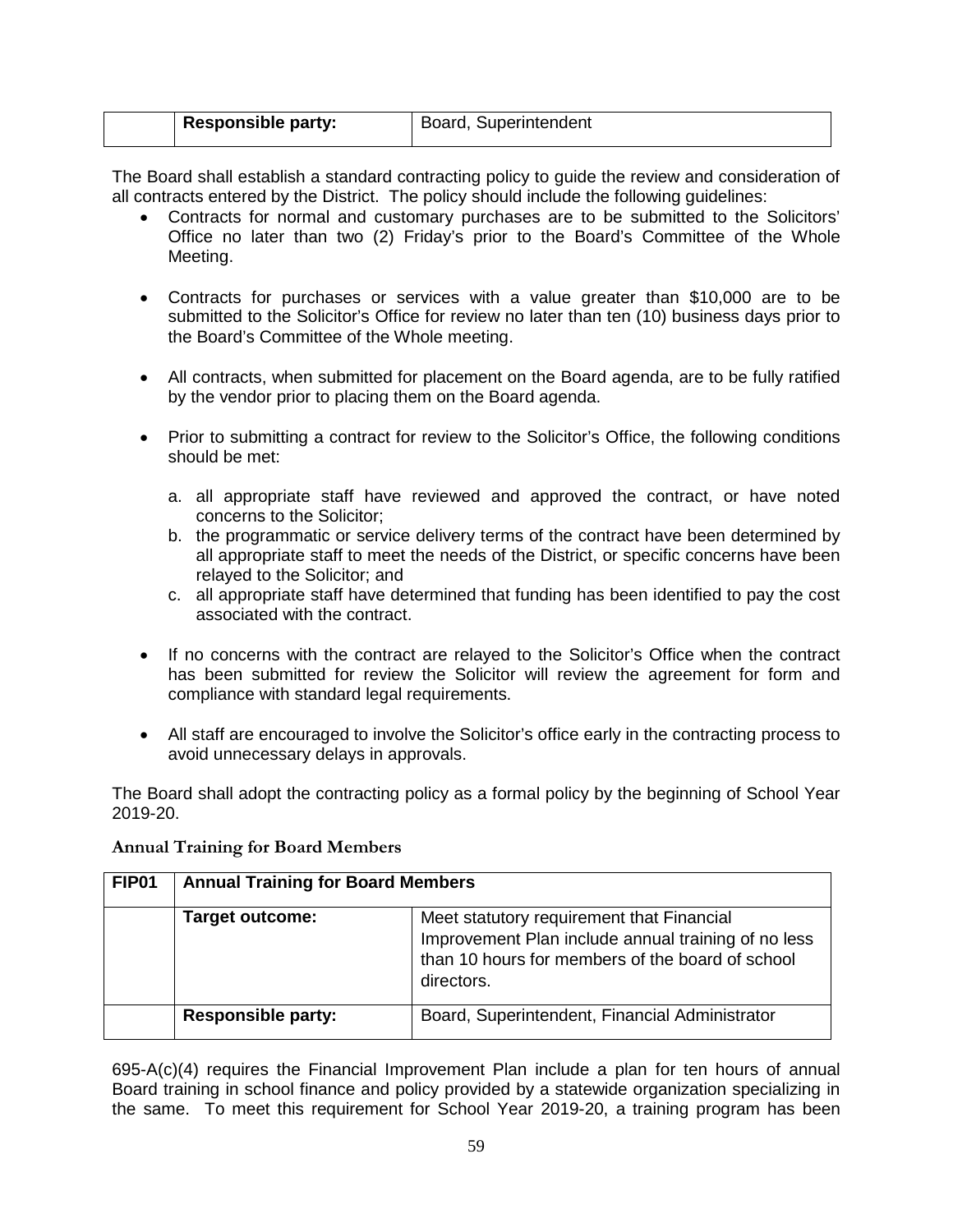| <b>Responsible party:</b> | Board, Superintendent |
|---------------------------|-----------------------|
|                           |                       |

The Board shall establish a standard contracting policy to guide the review and consideration of all contracts entered by the District. The policy should include the following guidelines:

- Contracts for normal and customary purchases are to be submitted to the Solicitors' Office no later than two (2) Friday's prior to the Board's Committee of the Whole Meeting.
- Contracts for purchases or services with a value greater than \$10,000 are to be submitted to the Solicitor's Office for review no later than ten (10) business days prior to the Board's Committee of the Whole meeting.
- All contracts, when submitted for placement on the Board agenda, are to be fully ratified by the vendor prior to placing them on the Board agenda.
- Prior to submitting a contract for review to the Solicitor's Office, the following conditions should be met:
	- a. all appropriate staff have reviewed and approved the contract, or have noted concerns to the Solicitor;
	- b. the programmatic or service delivery terms of the contract have been determined by all appropriate staff to meet the needs of the District, or specific concerns have been relayed to the Solicitor; and
	- c. all appropriate staff have determined that funding has been identified to pay the cost associated with the contract.
- If no concerns with the contract are relayed to the Solicitor's Office when the contract has been submitted for review the Solicitor will review the agreement for form and compliance with standard legal requirements.
- All staff are encouraged to involve the Solicitor's office early in the contracting process to avoid unnecessary delays in approvals.

The Board shall adopt the contracting policy as a formal policy by the beginning of School Year 2019-20.

| <b>FIP01</b> | <b>Annual Training for Board Members</b> |                                                                                                                                                                    |
|--------------|------------------------------------------|--------------------------------------------------------------------------------------------------------------------------------------------------------------------|
|              | <b>Target outcome:</b>                   | Meet statutory requirement that Financial<br>Improvement Plan include annual training of no less<br>than 10 hours for members of the board of school<br>directors. |
|              | <b>Responsible party:</b>                | Board, Superintendent, Financial Administrator                                                                                                                     |

<span id="page-58-0"></span>**Annual Training for Board Members**

695-A(c)(4) requires the Financial Improvement Plan include a plan for ten hours of annual Board training in school finance and policy provided by a statewide organization specializing in the same. To meet this requirement for School Year 2019-20, a training program has been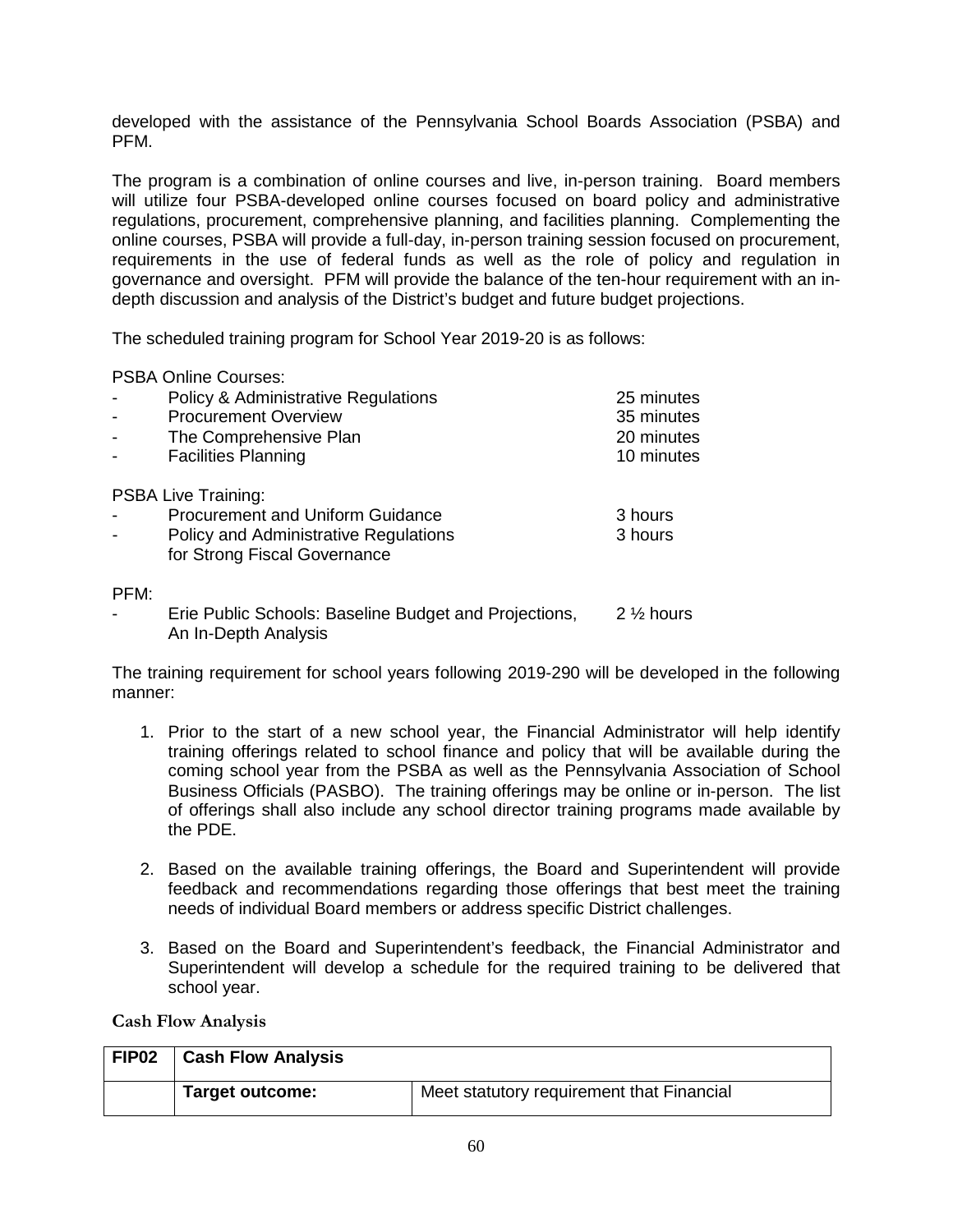developed with the assistance of the Pennsylvania School Boards Association (PSBA) and PFM.

The program is a combination of online courses and live, in-person training. Board members will utilize four PSBA-developed online courses focused on board policy and administrative regulations, procurement, comprehensive planning, and facilities planning. Complementing the online courses, PSBA will provide a full-day, in-person training session focused on procurement, requirements in the use of federal funds as well as the role of policy and regulation in governance and oversight. PFM will provide the balance of the ten-hour requirement with an indepth discussion and analysis of the District's budget and future budget projections.

The scheduled training program for School Year 2019-20 is as follows:

PSBA Online Courses:

|      | <b>Policy &amp; Administrative Regulations</b>        | 25 minutes           |
|------|-------------------------------------------------------|----------------------|
|      | <b>Procurement Overview</b>                           | 35 minutes           |
|      | The Comprehensive Plan                                | 20 minutes           |
|      | <b>Facilities Planning</b>                            | 10 minutes           |
|      | <b>PSBA Live Training:</b>                            |                      |
|      | <b>Procurement and Uniform Guidance</b>               | 3 hours              |
|      | <b>Policy and Administrative Regulations</b>          | 3 hours              |
|      | for Strong Fiscal Governance                          |                      |
| PFM: |                                                       |                      |
|      | Erie Public Schools: Baseline Budget and Projections, | $2\frac{1}{2}$ hours |
|      | An In-Depth Analysis                                  |                      |

The training requirement for school years following 2019-290 will be developed in the following manner:

- 1. Prior to the start of a new school year, the Financial Administrator will help identify training offerings related to school finance and policy that will be available during the coming school year from the PSBA as well as the Pennsylvania Association of School Business Officials (PASBO). The training offerings may be online or in-person. The list of offerings shall also include any school director training programs made available by the PDE.
- 2. Based on the available training offerings, the Board and Superintendent will provide feedback and recommendations regarding those offerings that best meet the training needs of individual Board members or address specific District challenges.
- 3. Based on the Board and Superintendent's feedback, the Financial Administrator and Superintendent will develop a schedule for the required training to be delivered that school year.

<span id="page-59-0"></span>**Cash Flow Analysis**

| FIP <sub>02</sub> | <b>Cash Flow Analysis</b> |                                           |
|-------------------|---------------------------|-------------------------------------------|
|                   | Target outcome:           | Meet statutory requirement that Financial |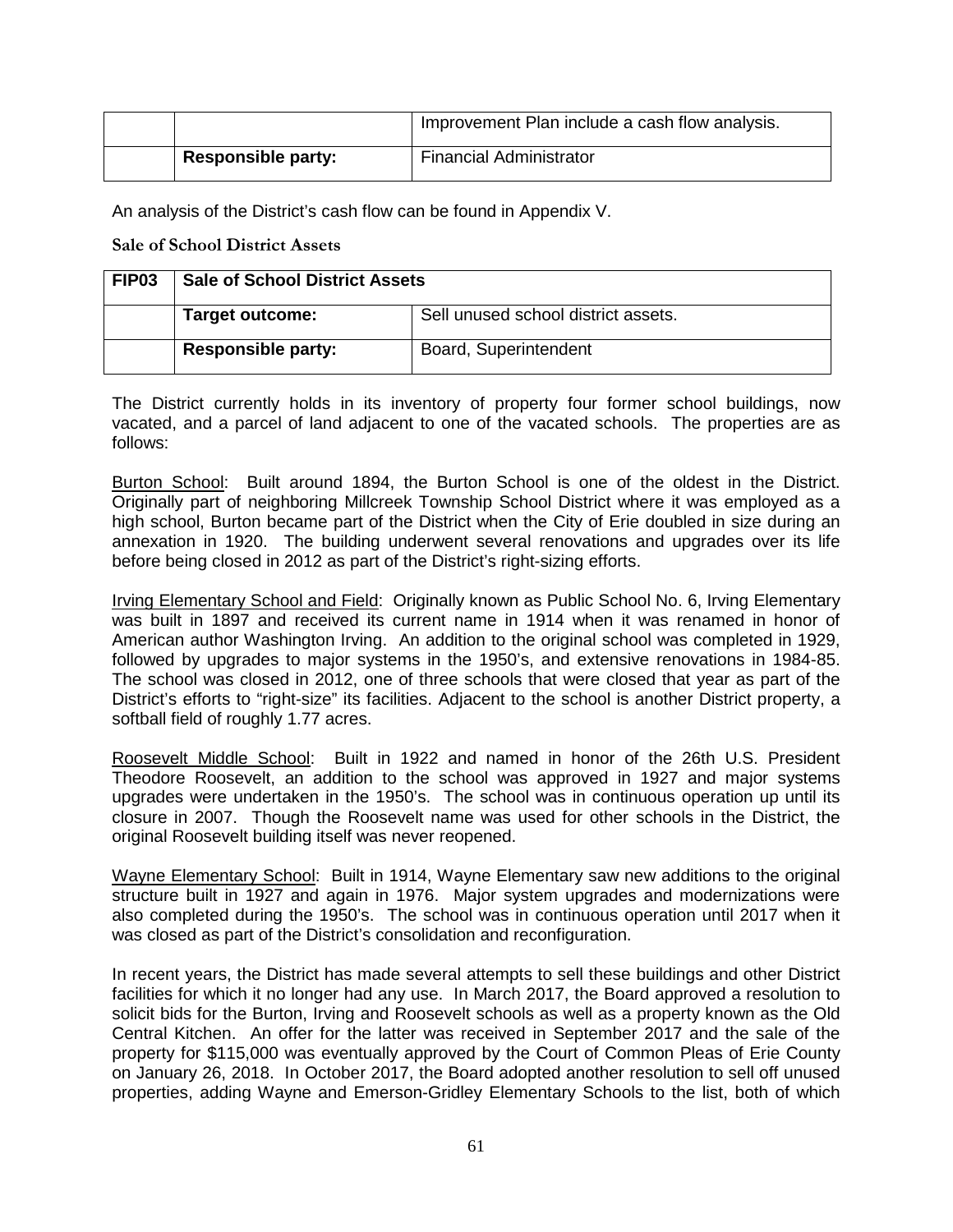|                           | Improvement Plan include a cash flow analysis. |
|---------------------------|------------------------------------------------|
| <b>Responsible party:</b> | <b>Financial Administrator</b>                 |

An analysis of the District's cash flow can be found in Appendix V.

<span id="page-60-0"></span>**Sale of School District Assets**

| FIP <sub>03</sub> | <b>Sale of School District Assets</b> |                                     |
|-------------------|---------------------------------------|-------------------------------------|
|                   | <b>Target outcome:</b>                | Sell unused school district assets. |
|                   | <b>Responsible party:</b>             | Board, Superintendent               |

The District currently holds in its inventory of property four former school buildings, now vacated, and a parcel of land adjacent to one of the vacated schools. The properties are as follows:

Burton School: Built around 1894, the Burton School is one of the oldest in the District. Originally part of neighboring Millcreek Township School District where it was employed as a high school, Burton became part of the District when the City of Erie doubled in size during an annexation in 1920. The building underwent several renovations and upgrades over its life before being closed in 2012 as part of the District's right-sizing efforts.

Irving Elementary School and Field: Originally known as Public School No. 6, Irving Elementary was built in 1897 and received its current name in 1914 when it was renamed in honor of American author Washington Irving. An addition to the original school was completed in 1929, followed by upgrades to major systems in the 1950's, and extensive renovations in 1984-85. The school was closed in 2012, one of three schools that were closed that year as part of the District's efforts to "right-size" its facilities. Adjacent to the school is another District property, a softball field of roughly 1.77 acres.

Roosevelt Middle School: Built in 1922 and named in honor of the 26th U.S. President Theodore Roosevelt, an addition to the school was approved in 1927 and major systems upgrades were undertaken in the 1950's. The school was in continuous operation up until its closure in 2007. Though the Roosevelt name was used for other schools in the District, the original Roosevelt building itself was never reopened.

Wayne Elementary School: Built in 1914, Wayne Elementary saw new additions to the original structure built in 1927 and again in 1976. Major system upgrades and modernizations were also completed during the 1950's. The school was in continuous operation until 2017 when it was closed as part of the District's consolidation and reconfiguration.

In recent years, the District has made several attempts to sell these buildings and other District facilities for which it no longer had any use. In March 2017, the Board approved a resolution to solicit bids for the Burton, Irving and Roosevelt schools as well as a property known as the Old Central Kitchen. An offer for the latter was received in September 2017 and the sale of the property for \$115,000 was eventually approved by the Court of Common Pleas of Erie County on January 26, 2018. In October 2017, the Board adopted another resolution to sell off unused properties, adding Wayne and Emerson-Gridley Elementary Schools to the list, both of which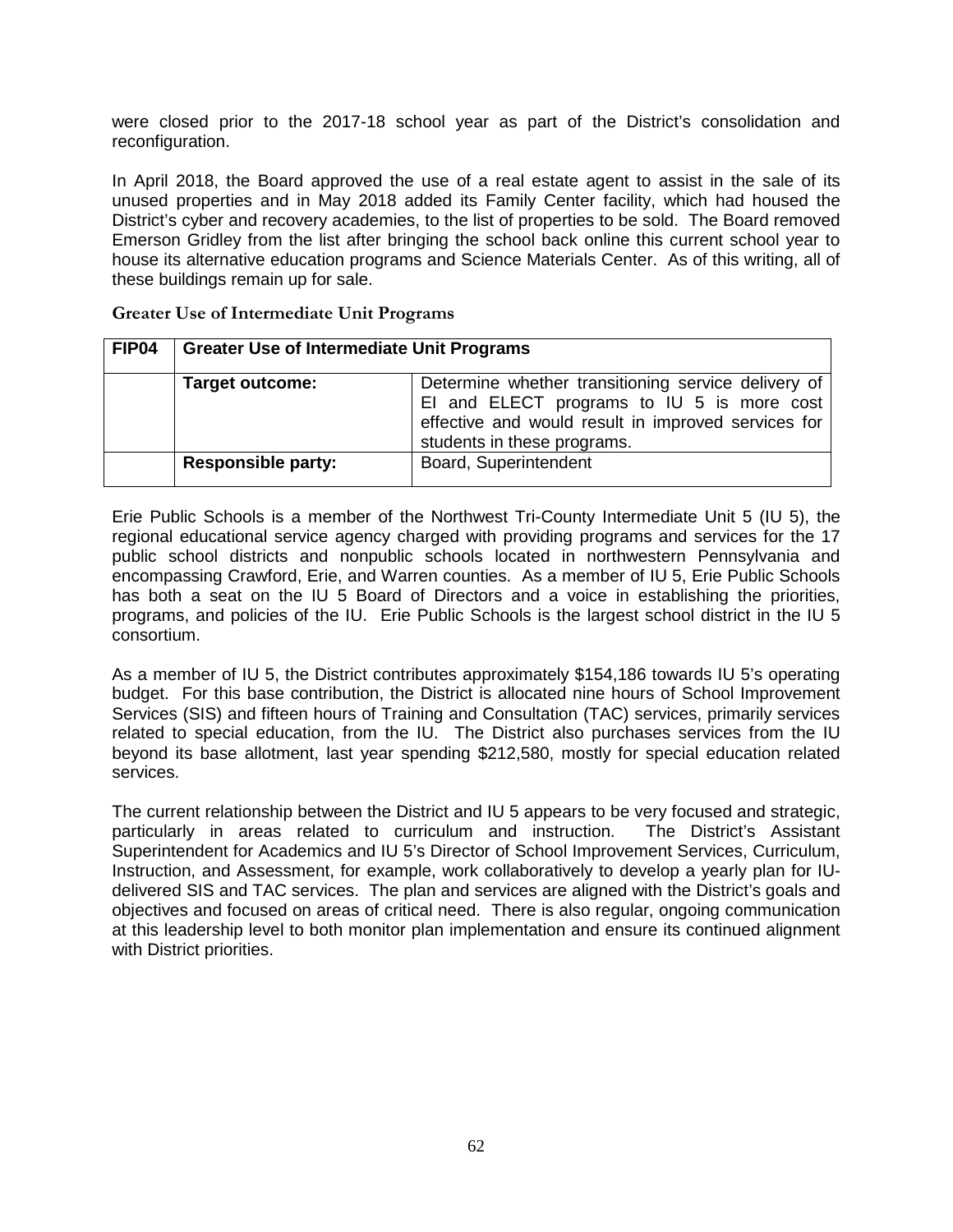were closed prior to the 2017-18 school year as part of the District's consolidation and reconfiguration.

In April 2018, the Board approved the use of a real estate agent to assist in the sale of its unused properties and in May 2018 added its Family Center facility, which had housed the District's cyber and recovery academies, to the list of properties to be sold. The Board removed Emerson Gridley from the list after bringing the school back online this current school year to house its alternative education programs and Science Materials Center. As of this writing, all of these buildings remain up for sale.

| FIP04 | <b>Greater Use of Intermediate Unit Programs</b> |                                                                                                                                                                                         |
|-------|--------------------------------------------------|-----------------------------------------------------------------------------------------------------------------------------------------------------------------------------------------|
|       | <b>Target outcome:</b>                           | Determine whether transitioning service delivery of<br>El and ELECT programs to IU 5 is more cost<br>effective and would result in improved services for<br>students in these programs. |
|       | <b>Responsible party:</b>                        | Board, Superintendent                                                                                                                                                                   |

<span id="page-61-0"></span>**Greater Use of Intermediate Unit Programs**

Erie Public Schools is a member of the Northwest Tri-County Intermediate Unit 5 (IU 5), the regional educational service agency charged with providing programs and services for the 17 public school districts and nonpublic schools located in northwestern Pennsylvania and encompassing Crawford, Erie, and Warren counties. As a member of IU 5, Erie Public Schools has both a seat on the IU 5 Board of Directors and a voice in establishing the priorities, programs, and policies of the IU. Erie Public Schools is the largest school district in the IU 5 consortium.

As a member of IU 5, the District contributes approximately \$154,186 towards IU 5's operating budget. For this base contribution, the District is allocated nine hours of School Improvement Services (SIS) and fifteen hours of Training and Consultation (TAC) services, primarily services related to special education, from the IU. The District also purchases services from the IU beyond its base allotment, last year spending \$212,580, mostly for special education related services.

The current relationship between the District and IU 5 appears to be very focused and strategic, particularly in areas related to curriculum and instruction. The District's Assistant Superintendent for Academics and IU 5's Director of School Improvement Services, Curriculum, Instruction, and Assessment, for example, work collaboratively to develop a yearly plan for IUdelivered SIS and TAC services. The plan and services are aligned with the District's goals and objectives and focused on areas of critical need. There is also regular, ongoing communication at this leadership level to both monitor plan implementation and ensure its continued alignment with District priorities.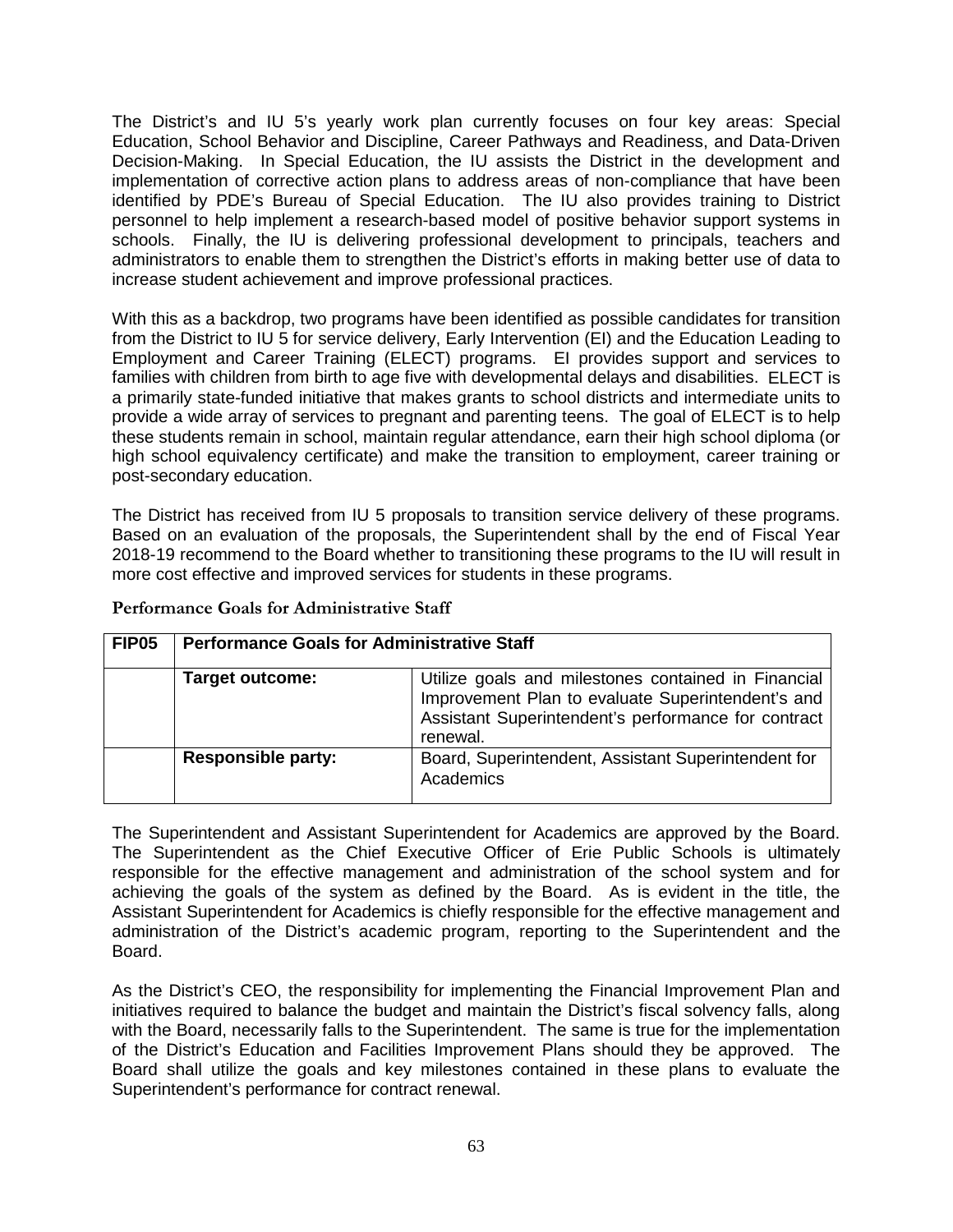The District's and IU 5's yearly work plan currently focuses on four key areas: Special Education, School Behavior and Discipline, Career Pathways and Readiness, and Data-Driven Decision-Making. In Special Education, the IU assists the District in the development and implementation of corrective action plans to address areas of non-compliance that have been identified by PDE's Bureau of Special Education. The IU also provides training to District personnel to help implement a research-based model of positive behavior support systems in schools. Finally, the IU is delivering professional development to principals, teachers and administrators to enable them to strengthen the District's efforts in making better use of data to increase student achievement and improve professional practices.

With this as a backdrop, two programs have been identified as possible candidates for transition from the District to IU 5 for service delivery, Early Intervention (EI) and the Education Leading to Employment and Career Training (ELECT) programs. EI provides support and services to families with children from birth to age five with developmental delays and disabilities. ELECT is a primarily state-funded initiative that makes grants to school districts and intermediate units to provide a wide array of services to pregnant and parenting teens. The goal of ELECT is to help these students remain in school, maintain regular attendance, earn their high school diploma (or high school equivalency certificate) and make the transition to employment, career training or post-secondary education.

The District has received from IU 5 proposals to transition service delivery of these programs. Based on an evaluation of the proposals, the Superintendent shall by the end of Fiscal Year 2018-19 recommend to the Board whether to transitioning these programs to the IU will result in more cost effective and improved services for students in these programs.

| <b>FIP05</b> | <b>Performance Goals for Administrative Staff</b> |                                                                                                                                                                             |
|--------------|---------------------------------------------------|-----------------------------------------------------------------------------------------------------------------------------------------------------------------------------|
|              | <b>Target outcome:</b>                            | Utilize goals and milestones contained in Financial<br>Improvement Plan to evaluate Superintendent's and<br>Assistant Superintendent's performance for contract<br>renewal. |
|              | <b>Responsible party:</b>                         | Board, Superintendent, Assistant Superintendent for<br>Academics                                                                                                            |

<span id="page-62-0"></span>**Performance Goals for Administrative Staff**

The Superintendent and Assistant Superintendent for Academics are approved by the Board. The Superintendent as the Chief Executive Officer of Erie Public Schools is ultimately responsible for the effective management and administration of the school system and for achieving the goals of the system as defined by the Board. As is evident in the title, the Assistant Superintendent for Academics is chiefly responsible for the effective management and administration of the District's academic program, reporting to the Superintendent and the Board.

As the District's CEO, the responsibility for implementing the Financial Improvement Plan and initiatives required to balance the budget and maintain the District's fiscal solvency falls, along with the Board, necessarily falls to the Superintendent. The same is true for the implementation of the District's Education and Facilities Improvement Plans should they be approved. The Board shall utilize the goals and key milestones contained in these plans to evaluate the Superintendent's performance for contract renewal.